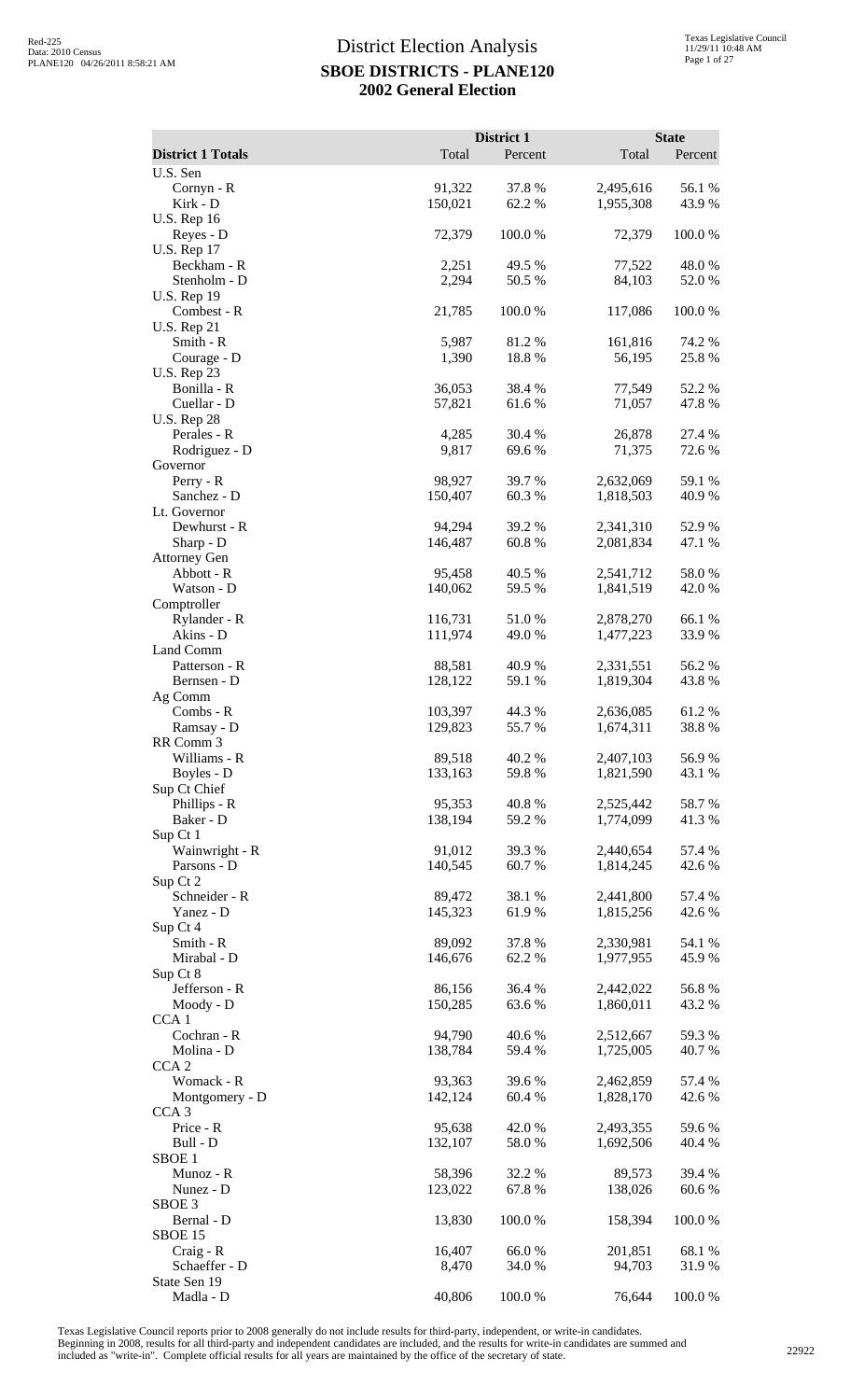|                                                    |                    | District 1       |                        | <b>State</b>     |
|----------------------------------------------------|--------------------|------------------|------------------------|------------------|
| <b>District 1 Totals</b><br>U.S. Sen               | Total              | Percent          | Total                  | Percent          |
| Cornyn - R<br>Kirk - D                             | 91,322<br>150,021  | 37.8%<br>62.2%   | 2,495,616<br>1,955,308 | 56.1 %<br>43.9%  |
| U.S. Rep 16<br>Reyes - D                           | 72,379             | 100.0%           | 72,379                 | 100.0%           |
| <b>U.S. Rep 17</b><br>Beckham - R                  | 2,251              | 49.5 %           | 77,522                 | 48.0%            |
| Stenholm - D<br><b>U.S. Rep 19</b>                 | 2,294              | 50.5 %           | 84,103                 | 52.0%            |
| Combest - R<br><b>U.S. Rep 21</b>                  | 21,785             | 100.0%           | 117,086                | 100.0%           |
| Smith - R<br>Courage - D                           | 5,987<br>1,390     | 81.2%<br>18.8%   | 161,816<br>56,195      | 74.2 %<br>25.8%  |
| <b>U.S. Rep 23</b><br>Bonilla - R<br>Cuellar - D   | 36,053<br>57,821   | 38.4 %<br>61.6 % | 77,549<br>71,057       | 52.2 %<br>47.8%  |
| <b>U.S. Rep 28</b><br>Perales - R<br>Rodriguez - D | 4,285<br>9,817     | 30.4 %<br>69.6%  | 26,878<br>71,375       | 27.4 %<br>72.6 % |
| Governor                                           |                    |                  | 2,632,069              |                  |
| Perry - R<br>Sanchez - D<br>Lt. Governor           | 98,927<br>150,407  | 39.7 %<br>60.3%  | 1,818,503              | 59.1 %<br>40.9%  |
| Dewhurst - R                                       | 94,294             | 39.2 %           | 2,341,310              | 52.9%            |
| Sharp - D<br><b>Attorney Gen</b>                   | 146,487            | 60.8%            | 2,081,834              | 47.1 %           |
| Abbott - R<br>Watson - D                           | 95,458<br>140,062  | 40.5 %<br>59.5 % | 2,541,712<br>1,841,519 | 58.0%<br>42.0%   |
| Comptroller                                        |                    |                  |                        |                  |
| Rylander - R<br>Akins - D                          | 116,731<br>111,974 | 51.0%<br>49.0%   | 2,878,270<br>1,477,223 | 66.1%<br>33.9%   |
| Land Comm<br>Patterson - R                         | 88,581             | 40.9%            | 2,331,551              | 56.2%            |
| Bernsen - D<br>Ag Comm                             | 128,122            | 59.1 %           | 1,819,304              | 43.8%            |
| Combs - R<br>Ramsay - D                            | 103,397<br>129,823 | 44.3 %<br>55.7%  | 2,636,085<br>1,674,311 | 61.2%<br>38.8%   |
| RR Comm 3<br>Williams - R                          | 89,518             | 40.2 %           | 2,407,103              | 56.9%            |
| Boyles - D<br>Sup Ct Chief                         | 133,163            | 59.8%            | 1,821,590              | 43.1 %           |
| Phillips - R<br>Baker - D<br>Sup Ct 1              | 95,353<br>138,194  | 40.8%<br>59.2 %  | 2,525,442<br>1,774,099 | 58.7%<br>41.3%   |
| Wainwright - R<br>Parsons - D                      | 91,012<br>140,545  | 39.3 %<br>60.7%  | 2,440,654<br>1,814,245 | 57.4 %<br>42.6 % |
| Sup Ct 2                                           |                    |                  |                        |                  |
| Schneider - R<br>Yanez - D<br>Sup Ct 4             | 89,472<br>145,323  | 38.1 %<br>61.9%  | 2,441,800<br>1,815,256 | 57.4 %<br>42.6 % |
| Smith - R                                          | 89,092             | 37.8%            | 2,330,981              | 54.1 %           |
| Mirabal - D<br>Sup Ct 8                            | 146,676            | 62.2%            | 1,977,955              | 45.9%            |
| Jefferson - R<br>Moody - D                         | 86,156<br>150,285  | 36.4 %<br>63.6%  | 2,442,022<br>1,860,011 | 56.8%<br>43.2 %  |
| CCA <sub>1</sub><br>Cochran - R                    | 94,790             | 40.6%            | 2,512,667              | 59.3%            |
| Molina - D<br>CCA <sub>2</sub>                     | 138,784            | 59.4 %           | 1,725,005              | 40.7 %           |
| Womack - R<br>Montgomery - D                       | 93,363<br>142,124  | 39.6%<br>60.4%   | 2,462,859<br>1,828,170 | 57.4 %<br>42.6 % |
| CCA <sub>3</sub><br>Price - R                      | 95,638             | 42.0%            | 2,493,355              | 59.6%            |
| Bull - D<br>SBOE <sub>1</sub>                      | 132,107            | 58.0%            | 1,692,506              | 40.4 %           |
| Munoz - R<br>Nunez - D                             | 58,396<br>123,022  | 32.2 %<br>67.8%  | 89,573<br>138,026      | 39.4 %<br>60.6%  |
| SBOE <sub>3</sub><br>Bernal - D                    | 13,830             | 100.0%           | 158,394                | 100.0%           |
| <b>SBOE 15</b><br>Craig - R                        | 16,407             | 66.0%            | 201,851                | 68.1 %           |
| Schaeffer - D<br>State Sen 19                      | 8,470              | 34.0 %           | 94,703                 | 31.9%            |
| Madla - D                                          | 40,806             | 100.0%           | 76,644                 | 100.0%           |

Texas Legislative Council reports prior to 2008 generally do not include results for third-party, independent, or write-in candidates.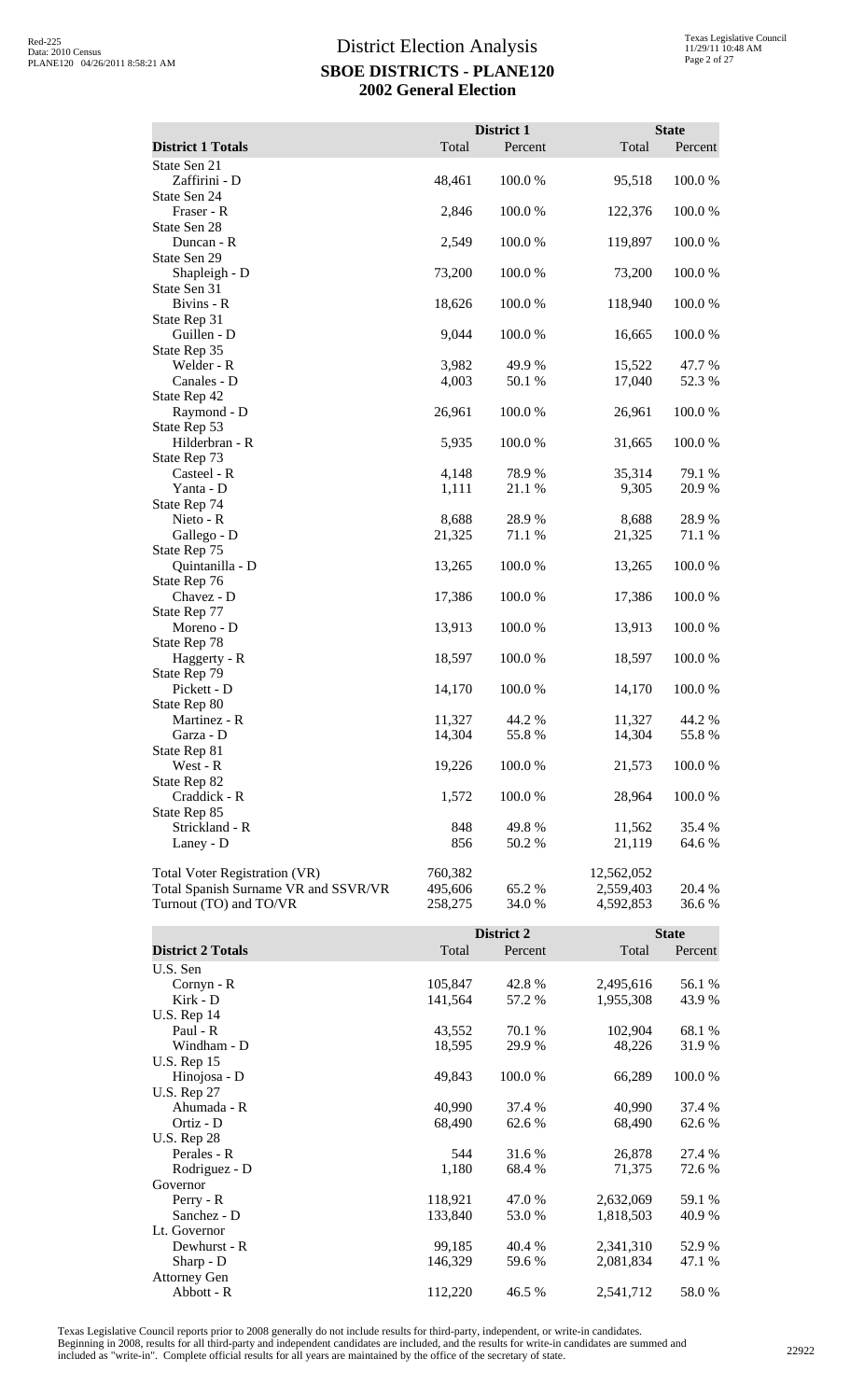|                                      |         | District 1 |            | <b>State</b> |
|--------------------------------------|---------|------------|------------|--------------|
| <b>District 1 Totals</b>             | Total   | Percent    | Total      | Percent      |
| State Sen 21                         |         |            |            |              |
| Zaffirini - D                        | 48,461  | 100.0%     | 95,518     | 100.0%       |
| State Sen 24                         |         |            |            |              |
| Fraser - R                           | 2,846   | 100.0%     | 122,376    | 100.0%       |
| State Sen 28                         |         |            |            |              |
| Duncan - R                           | 2,549   | 100.0%     | 119,897    | 100.0%       |
| State Sen 29                         |         |            |            |              |
| Shapleigh - D                        | 73,200  | 100.0%     | 73,200     | 100.0%       |
| State Sen 31                         |         |            |            |              |
| Bivins - R                           | 18,626  | 100.0%     | 118,940    | 100.0%       |
| State Rep 31                         |         |            |            |              |
| Guillen - D                          | 9,044   | 100.0%     | 16,665     | 100.0%       |
| State Rep 35                         |         |            |            |              |
| Welder - R                           | 3,982   | 49.9 %     | 15,522     | 47.7 %       |
| Canales - D                          | 4,003   | 50.1 %     | 17,040     | 52.3 %       |
| State Rep 42                         |         |            |            |              |
| Raymond - D                          | 26,961  | 100.0%     | 26,961     | 100.0%       |
| State Rep 53                         |         |            |            |              |
| Hilderbran - R                       | 5,935   | 100.0%     | 31,665     | 100.0%       |
| State Rep 73                         |         |            |            |              |
| Casteel - R                          | 4,148   | 78.9%      | 35,314     | 79.1 %       |
| Yanta - D<br>State Rep 74            | 1,111   | 21.1 %     | 9,305      | 20.9%        |
| Nieto - R                            | 8,688   | 28.9%      | 8,688      | 28.9%        |
| Gallego - D                          | 21,325  | 71.1 %     | 21,325     | 71.1 %       |
| State Rep 75                         |         |            |            |              |
| Quintanilla - D                      | 13,265  | 100.0%     | 13,265     | 100.0%       |
| State Rep 76                         |         |            |            |              |
| Chavez - D                           | 17,386  | 100.0%     | 17,386     | 100.0%       |
| State Rep 77                         |         |            |            |              |
| Moreno - D                           | 13,913  | 100.0%     | 13,913     | 100.0%       |
| State Rep 78                         |         |            |            |              |
| Haggerty - R                         | 18,597  | 100.0%     | 18,597     | 100.0%       |
| State Rep 79                         |         |            |            |              |
| Pickett - D                          | 14,170  | 100.0%     | 14,170     | 100.0%       |
| State Rep 80                         |         |            |            |              |
| Martinez - R                         | 11,327  | 44.2 %     | 11,327     | 44.2 %       |
| Garza - D                            | 14,304  | 55.8%      | 14,304     | 55.8%        |
| State Rep 81                         |         |            |            |              |
| West - R                             | 19,226  | 100.0%     | 21,573     | 100.0%       |
| State Rep 82                         |         |            |            |              |
| Craddick - R                         | 1,572   | 100.0 %    | 28,964     | 100.0 %      |
| State Rep 85                         |         |            |            |              |
| Strickland - R                       | 848     | 49.8 %     | 11,562     | 35.4 %       |
| Laney - D                            | 856     | 50.2 %     | 21,119     | 64.6%        |
| <b>Total Voter Registration (VR)</b> | 760,382 |            | 12,562,052 |              |
| Total Spanish Surname VR and SSVR/VR | 495,606 | 65.2%      | 2,559,403  | 20.4 %       |
| Turnout (TO) and TO/VR               | 258,275 | 34.0 %     | 4,592,853  | 36.6 %       |

|                          |         | District 2 |           | <b>State</b> |
|--------------------------|---------|------------|-----------|--------------|
| <b>District 2 Totals</b> | Total   | Percent    | Total     | Percent      |
| U.S. Sen                 |         |            |           |              |
| Cornyn - R               | 105,847 | 42.8%      | 2,495,616 | 56.1 %       |
| Kirk - D                 | 141,564 | 57.2 %     | 1,955,308 | 43.9%        |
| U.S. Rep $14$            |         |            |           |              |
| Paul - R                 | 43,552  | 70.1 %     | 102,904   | 68.1 %       |
| Windham - D              | 18,595  | 29.9 %     | 48,226    | 31.9%        |
| <b>U.S. Rep 15</b>       |         |            |           |              |
| Hinojosa - D             | 49,843  | 100.0%     | 66,289    | 100.0 %      |
| <b>U.S. Rep 27</b>       |         |            |           |              |
| Ahumada - R              | 40,990  | 37.4 %     | 40,990    | 37.4 %       |
| Ortiz - D                | 68,490  | 62.6 %     | 68,490    | 62.6 %       |
| <b>U.S. Rep 28</b>       |         |            |           |              |
| Perales - R              | 544     | 31.6 %     | 26,878    | 27.4 %       |
| Rodriguez - D            | 1,180   | 68.4 %     | 71,375    | 72.6 %       |
| Governor                 |         |            |           |              |
| $Perry - R$              | 118,921 | 47.0 %     | 2,632,069 | 59.1 %       |
| Sanchez - D              | 133,840 | 53.0 %     | 1,818,503 | 40.9 %       |
| Lt. Governor             |         |            |           |              |
| Dewhurst - R             | 99,185  | 40.4 %     | 2,341,310 | 52.9 %       |
| Sharp - D                | 146,329 | 59.6 %     | 2,081,834 | 47.1 %       |
| <b>Attorney Gen</b>      |         |            |           |              |
| Abbott - R               | 112,220 | 46.5 %     | 2,541,712 | 58.0%        |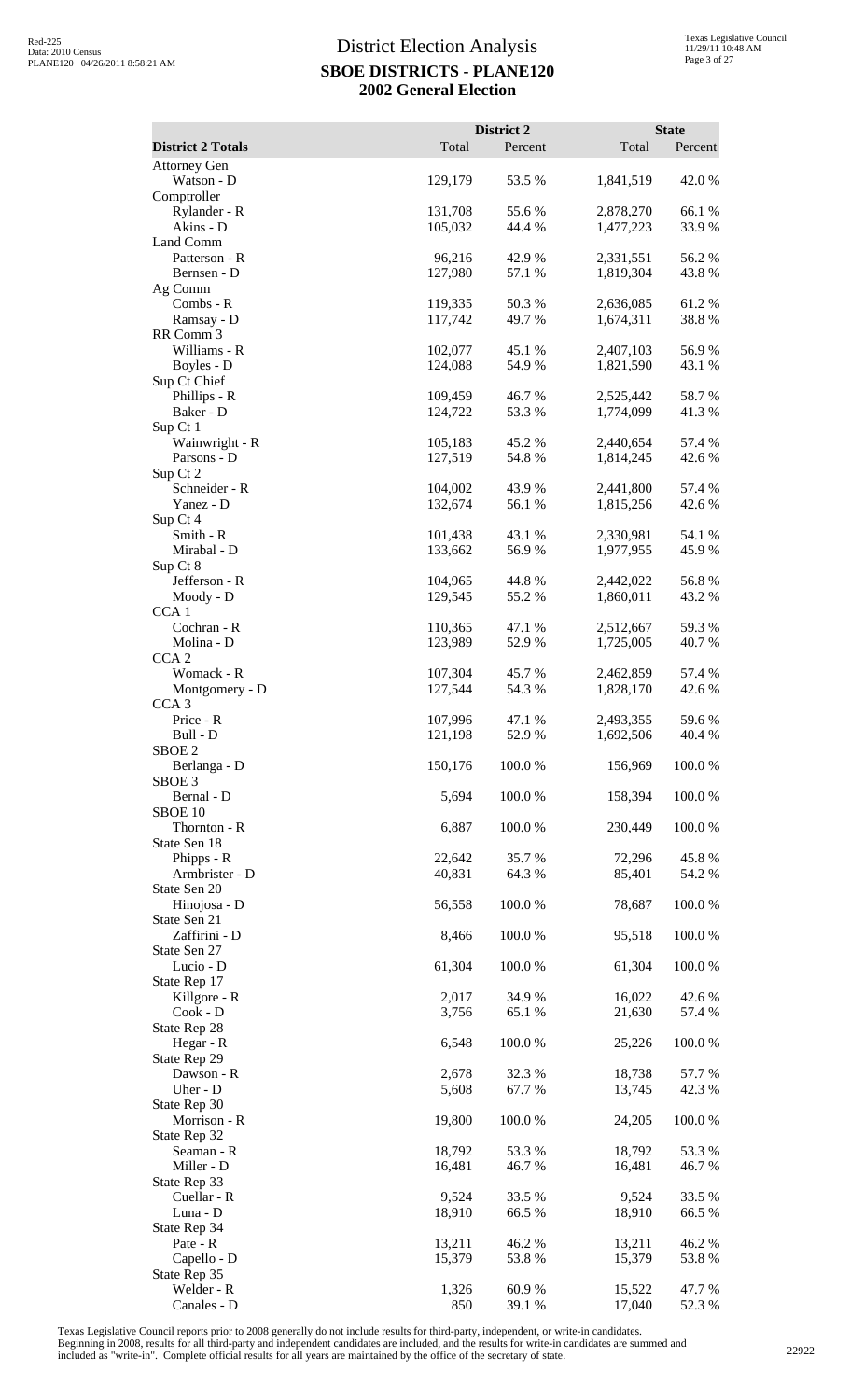|                                                 |                    | <b>District 2</b> |                        | <b>State</b>    |
|-------------------------------------------------|--------------------|-------------------|------------------------|-----------------|
| <b>District 2 Totals</b><br><b>Attorney Gen</b> | Total              | Percent           | Total                  | Percent         |
| Watson - D                                      | 129,179            | 53.5 %            | 1,841,519              | 42.0 %          |
| Comptroller<br>Rylander - R                     | 131,708            | 55.6%             | 2,878,270              | 66.1%           |
| Akins - D                                       | 105,032            | 44.4 %            | 1,477,223              | 33.9%           |
| Land Comm                                       |                    |                   |                        |                 |
| Patterson - R<br>Bernsen - D                    | 96,216<br>127,980  | 42.9%<br>57.1 %   | 2,331,551<br>1,819,304 | 56.2%<br>43.8%  |
| Ag Comm                                         |                    |                   |                        |                 |
| Combs - R                                       | 119,335            | 50.3%<br>49.7%    | 2,636,085              | 61.2%<br>38.8%  |
| Ramsay - D<br>RR Comm 3                         | 117,742            |                   | 1,674,311              |                 |
| Williams - R                                    | 102,077            | 45.1 %            | 2,407,103              | 56.9%           |
| Boyles - D<br>Sup Ct Chief                      | 124,088            | 54.9 %            | 1,821,590              | 43.1 %          |
| Phillips - R                                    | 109,459            | 46.7%             | 2,525,442              | 58.7%           |
| Baker - D                                       | 124,722            | 53.3 %            | 1,774,099              | 41.3%           |
| Sup Ct 1<br>Wainwright - R                      | 105,183            | 45.2 %            | 2,440,654              | 57.4 %          |
| Parsons - D                                     | 127,519            | 54.8%             | 1,814,245              | 42.6 %          |
| Sup Ct 2<br>Schneider - R                       | 104,002            | 43.9%             | 2,441,800              | 57.4 %          |
| Yanez - D                                       | 132,674            | 56.1%             | 1,815,256              | 42.6 %          |
| Sup Ct 4<br>Smith - R                           |                    |                   |                        |                 |
| Mirabal - D                                     | 101,438<br>133,662 | 43.1 %<br>56.9%   | 2,330,981<br>1,977,955 | 54.1 %<br>45.9% |
| Sup Ct 8                                        |                    |                   |                        |                 |
| Jefferson - R<br>Moody - D                      | 104,965<br>129,545 | 44.8%<br>55.2 %   | 2,442,022<br>1,860,011 | 56.8%<br>43.2 % |
| CCA <sub>1</sub>                                |                    |                   |                        |                 |
| Cochran - R                                     | 110,365            | 47.1 %            | 2,512,667              | 59.3%           |
| Molina - D<br>CCA <sub>2</sub>                  | 123,989            | 52.9 %            | 1,725,005              | 40.7 %          |
| Womack - R                                      | 107,304            | 45.7%             | 2,462,859              | 57.4 %          |
| Montgomery - D<br>CCA <sub>3</sub>              | 127,544            | 54.3 %            | 1,828,170              | 42.6 %          |
| Price - R                                       | 107,996            | 47.1 %            | 2,493,355              | 59.6%           |
| Bull - D                                        | 121,198            | 52.9%             | 1,692,506              | 40.4 %          |
| SBOE 2<br>Berlanga - D                          | 150,176            | 100.0%            | 156,969                | 100.0%          |
| SBOE <sub>3</sub>                               |                    |                   |                        |                 |
| Bernal - D<br>SBOE 10                           | 5,694              | 100.0%            | 158,394                | 100.0%          |
| Thornton - R                                    | 6,887              | 100.0%            | 230,449                | 100.0%          |
| State Sen 18                                    | 22,642             | 35.7%             | 72,296                 | 45.8%           |
| Phipps - R<br>Armbrister - D                    | 40,831             | 64.3 %            | 85,401                 | 54.2 %          |
| State Sen 20                                    |                    |                   |                        |                 |
| Hinojosa - D<br>State Sen 21                    | 56,558             | 100.0%            | 78,687                 | 100.0%          |
| Zaffirini - D                                   | 8,466              | 100.0%            | 95,518                 | 100.0%          |
| State Sen 27<br>Lucio - D                       | 61,304             | 100.0%            | 61,304                 | 100.0%          |
| State Rep 17                                    |                    |                   |                        |                 |
| Killgore - R                                    | 2,017              | 34.9 %            | 16,022                 | 42.6 %          |
| $Cook - D$<br>State Rep 28                      | 3,756              | 65.1 %            | 21,630                 | 57.4 %          |
| Hegar - R                                       | 6,548              | 100.0%            | 25,226                 | 100.0%          |
| State Rep 29<br>Dawson - R                      | 2,678              | 32.3 %            | 18,738                 | 57.7 %          |
| Uher - D                                        | 5,608              | 67.7%             | 13,745                 | 42.3 %          |
| State Rep 30                                    |                    |                   |                        |                 |
| Morrison - R<br>State Rep 32                    | 19,800             | 100.0%            | 24,205                 | 100.0%          |
| Seaman - R                                      | 18,792             | 53.3 %            | 18,792                 | 53.3 %          |
| Miller - D<br>State Rep 33                      | 16,481             | 46.7 %            | 16,481                 | 46.7%           |
| Cuellar - R                                     | 9,524              | 33.5 %            | 9,524                  | 33.5 %          |
| Luna - D                                        | 18,910             | 66.5%             | 18,910                 | 66.5%           |
| State Rep 34<br>Pate - R                        | 13,211             | 46.2%             | 13,211                 | 46.2%           |
| Capello - D                                     | 15,379             | 53.8%             | 15,379                 | 53.8%           |
| State Rep 35<br>Welder - R                      | 1,326              | 60.9%             | 15,522                 | 47.7%           |
| Canales - D                                     | 850                | 39.1 %            | 17,040                 | 52.3 %          |

Texas Legislative Council reports prior to 2008 generally do not include results for third-party, independent, or write-in candidates.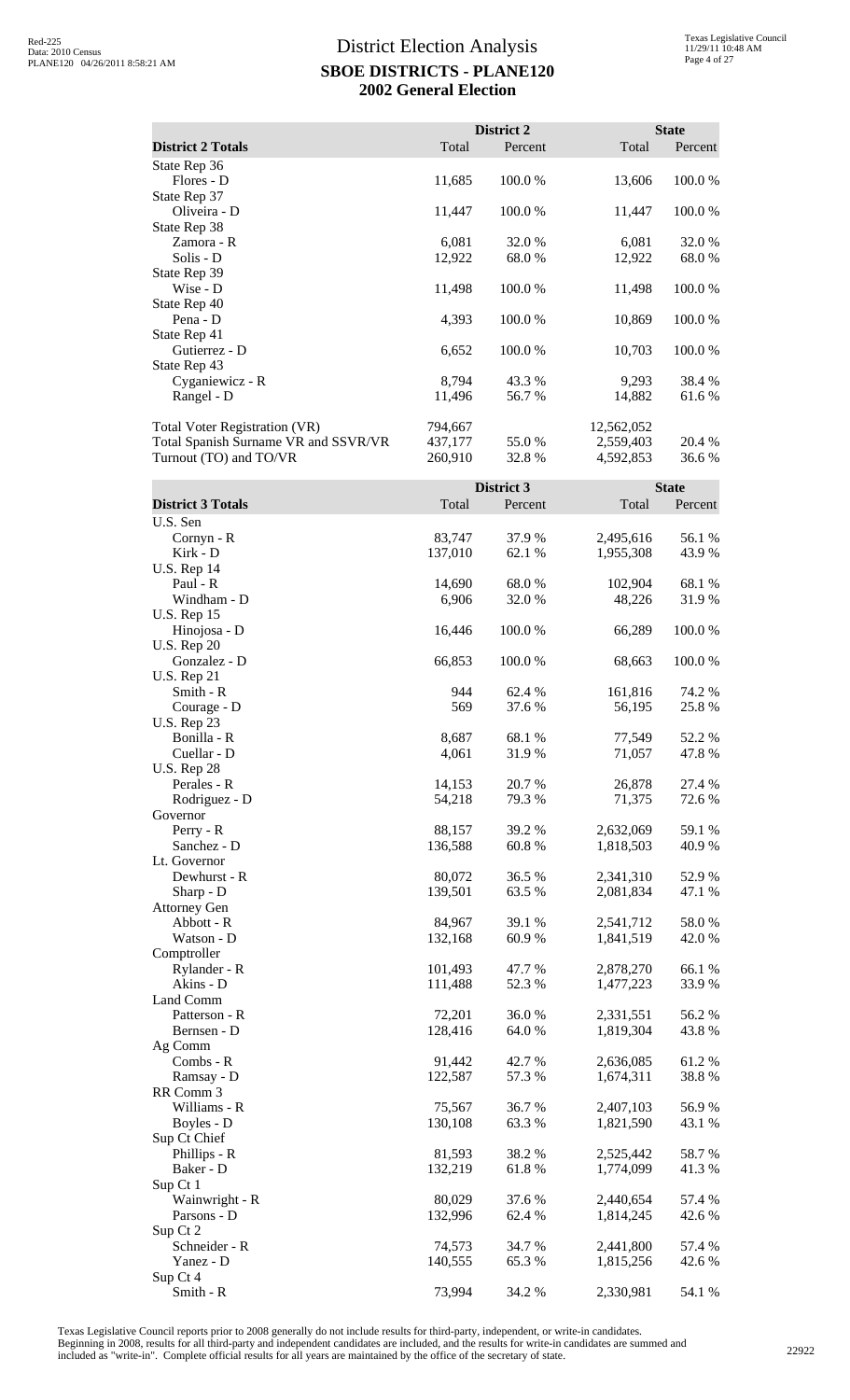|                                      |         | District 2 |            | <b>State</b> |
|--------------------------------------|---------|------------|------------|--------------|
| <b>District 2 Totals</b>             | Total   | Percent    | Total      | Percent      |
| State Rep 36                         |         |            |            |              |
| Flores - D                           | 11,685  | 100.0 %    | 13,606     | 100.0 %      |
| State Rep 37                         |         |            |            |              |
| Oliveira - D                         | 11,447  | 100.0 %    | 11,447     | 100.0 %      |
| State Rep 38                         |         |            |            |              |
| Zamora - R                           | 6,081   | 32.0 %     | 6,081      | 32.0 %       |
| Solis - D                            | 12,922  | 68.0 %     | 12,922     | 68.0 %       |
| State Rep 39                         |         |            |            |              |
| Wise - D                             | 11,498  | 100.0 %    | 11,498     | 100.0 %      |
| State Rep 40                         |         |            |            |              |
| Pena - D                             | 4,393   | 100.0 %    | 10,869     | 100.0%       |
| State Rep 41                         |         |            |            |              |
| Gutierrez - D                        | 6,652   | 100.0 %    | 10,703     | 100.0%       |
| State Rep 43                         |         |            |            |              |
| Cyganiewicz - R                      | 8,794   | 43.3 %     | 9,293      | 38.4 %       |
| Rangel - D                           | 11,496  | 56.7 %     | 14,882     | 61.6 %       |
| <b>Total Voter Registration (VR)</b> | 794,667 |            | 12,562,052 |              |
| Total Spanish Surname VR and SSVR/VR | 437,177 | 55.0 %     | 2,559,403  | 20.4 %       |
| Turnout (TO) and TO/VR               | 260,910 | 32.8 %     | 4,592,853  | 36.6 %       |

|                            |                   | District 3 |           | <b>State</b> |
|----------------------------|-------------------|------------|-----------|--------------|
| <b>District 3 Totals</b>   | Total             | Percent    | Total     | Percent      |
| U.S. Sen                   |                   |            |           |              |
| Cornyn - R                 | 83,747            | 37.9%      | 2,495,616 | 56.1 %       |
| Kirk - D                   | 137,010           | 62.1 %     | 1,955,308 | 43.9%        |
| <b>U.S. Rep 14</b>         |                   |            |           |              |
| Paul - R                   | 14,690            | 68.0%      | 102,904   | 68.1 %       |
| Windham - D                | 6,906             | 32.0%      | 48,226    | 31.9%        |
| <b>U.S. Rep 15</b>         |                   |            |           |              |
| Hinojosa - D               | 16,446            | 100.0%     | 66,289    | 100.0%       |
| <b>U.S. Rep 20</b>         |                   |            |           |              |
| Gonzalez - D               | 66,853            | 100.0%     | 68,663    | 100.0%       |
| <b>U.S. Rep 21</b>         |                   |            |           |              |
| Smith - R                  | 944               | 62.4 %     | 161,816   | 74.2 %       |
| Courage - D                | 569               | 37.6 %     | 56,195    | 25.8%        |
| <b>U.S. Rep 23</b>         |                   |            |           |              |
| Bonilla - R                | 8,687             | 68.1 %     | 77,549    | 52.2 %       |
| Cuellar - D                | 4,061             | 31.9 %     | 71,057    | 47.8%        |
| <b>U.S. Rep 28</b>         |                   |            |           |              |
| Perales - R                | 14,153            | 20.7 %     | 26,878    | 27.4 %       |
| Rodriguez - D              | 54,218            | 79.3%      | 71,375    | 72.6 %       |
| Governor                   |                   |            |           |              |
| Perry - R                  | 88,157            | 39.2 %     | 2,632,069 | 59.1 %       |
| Sanchez - D                | 136,588           | 60.8%      | 1,818,503 | 40.9%        |
| Lt. Governor               |                   |            |           |              |
| Dewhurst - R               | 80,072            | 36.5%      | 2,341,310 | 52.9%        |
| Sharp - D                  | 139,501           | 63.5 %     | 2,081,834 | 47.1 %       |
| <b>Attorney Gen</b>        |                   |            |           |              |
| Abbott - R                 | 84,967            | 39.1 %     | 2,541,712 | 58.0%        |
| Watson - D                 | 132,168           | 60.9 %     | 1,841,519 | 42.0 %       |
| Comptroller                |                   |            |           |              |
| Rylander - R               | 101,493           | 47.7 %     | 2,878,270 | 66.1%        |
| Akins - D                  | 111,488           | 52.3 %     | 1,477,223 | 33.9%        |
| Land Comm                  |                   |            |           |              |
| Patterson - R              | 72,201            | 36.0%      | 2,331,551 | 56.2%        |
| Bernsen - D                | 128,416           | 64.0%      | 1,819,304 | 43.8 %       |
| Ag Comm                    |                   |            |           |              |
| Combs - R                  | 91,442            | 42.7 %     | 2,636,085 | 61.2%        |
| Ramsay - D                 | 122,587           | 57.3 %     | 1,674,311 | 38.8%        |
| RR Comm 3                  |                   |            |           |              |
| Williams - R               | 75,567            | 36.7 %     | 2,407,103 | 56.9%        |
| Boyles - D                 | 130,108           | 63.3%      | 1,821,590 | 43.1 %       |
| Sup Ct Chief               |                   |            |           |              |
| Phillips - R               | 81,593            | 38.2%      | 2,525,442 | 58.7%        |
| Baker - D                  | 132,219           | 61.8%      | 1,774,099 | 41.3 %       |
| Sup Ct 1                   |                   |            |           |              |
| Wainwright - R             | 80,029            | 37.6 %     | 2,440,654 | 57.4 %       |
| Parsons - D                | 132,996           | 62.4 %     | 1,814,245 | 42.6 %       |
| Sup Ct 2                   |                   |            |           |              |
| Schneider - R<br>Yanez - D | 74,573<br>140,555 | 34.7 %     | 2,441,800 | 57.4 %       |
| Sup Ct 4                   |                   | 65.3%      | 1,815,256 | 42.6 %       |
| Smith - R                  | 73,994            | 34.2 %     | 2,330,981 | 54.1 %       |
|                            |                   |            |           |              |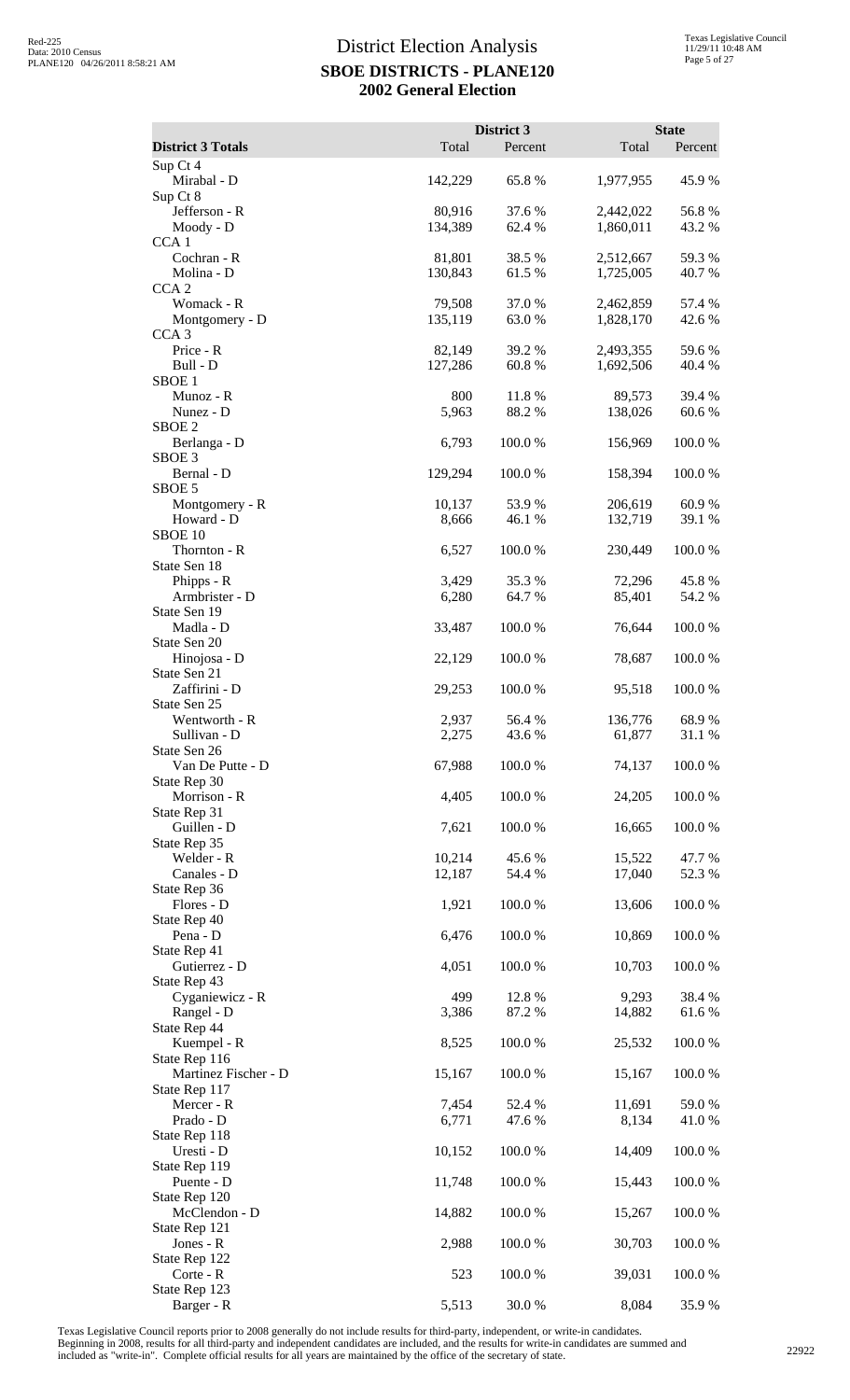|                                       |                | District 3       |                   | <b>State</b>    |
|---------------------------------------|----------------|------------------|-------------------|-----------------|
| <b>District 3 Totals</b><br>Sup Ct 4  | Total          | Percent          | Total             | Percent         |
| Mirabal - D                           | 142,229        | 65.8%            | 1,977,955         | 45.9%           |
| Sup Ct 8<br>Jefferson - R             | 80,916         | 37.6 %           | 2,442,022         | 56.8%           |
| Moody - D                             | 134,389        | 62.4 %           | 1,860,011         | 43.2 %          |
| CCA <sub>1</sub><br>Cochran - R       | 81,801         | 38.5 %           | 2,512,667         | 59.3%           |
| Molina - D                            | 130,843        | 61.5%            | 1,725,005         | 40.7 %          |
| CCA <sub>2</sub><br>Womack - R        | 79,508         | 37.0%            | 2,462,859         | 57.4 %          |
| Montgomery - D                        | 135,119        | 63.0 %           | 1,828,170         | 42.6%           |
| CCA <sub>3</sub><br>Price - R         | 82,149         | 39.2 %           | 2,493,355         | 59.6 %          |
| Bull - D                              | 127,286        | 60.8%            | 1,692,506         | 40.4 %          |
| SBOE <sub>1</sub>                     |                |                  |                   |                 |
| Munoz - R<br>Nunez - D                | 800<br>5,963   | 11.8 %<br>88.2%  | 89,573<br>138,026 | 39.4 %<br>60.6% |
| SBOE <sub>2</sub>                     |                |                  |                   |                 |
| Berlanga - D<br>SBOE <sub>3</sub>     | 6,793          | 100.0%           | 156,969           | 100.0 %         |
| Bernal - D                            | 129,294        | 100.0 %          | 158,394           | 100.0 %         |
| SBOE 5<br>Montgomery - R              | 10,137         | 53.9 %           | 206,619           | 60.9%           |
| Howard - D                            | 8,666          | 46.1 %           | 132,719           | 39.1 %          |
| SBOE <sub>10</sub><br>Thornton - R    | 6,527          | 100.0%           | 230,449           | 100.0%          |
| State Sen 18                          |                |                  |                   |                 |
| Phipps - R<br>Armbrister - D          | 3,429<br>6,280 | 35.3 %<br>64.7 % | 72,296<br>85,401  | 45.8%<br>54.2 % |
| State Sen 19                          |                |                  |                   |                 |
| Madla - D                             | 33,487         | 100.0%           | 76,644            | 100.0%          |
| State Sen 20<br>Hinojosa - D          | 22,129         | 100.0%           | 78,687            | 100.0 %         |
| State Sen 21                          |                |                  |                   |                 |
| Zaffirini - D<br>State Sen 25         | 29,253         | 100.0%           | 95,518            | 100.0%          |
| Wentworth - R                         | 2,937          | 56.4 %           | 136,776           | 68.9%           |
| Sullivan - D<br>State Sen 26          | 2,275          | 43.6 %           | 61,877            | 31.1 %          |
| Van De Putte - D                      | 67,988         | 100.0%           | 74,137            | 100.0%          |
| State Rep 30<br>Morrison - R          | 4,405          | 100.0%           | 24,205            | 100.0%          |
| State Rep 31                          |                |                  |                   |                 |
| Guillen - D<br>State Rep 35           | 7,621          | 100.0%           | 16,665            | 100.0%          |
| Welder - R                            | 10,214         | 45.6%            | 15,522            | 47.7 %          |
| Canales - D<br>State Rep 36           | 12,187         | 54.4 %           | 17,040            | 52.3 %          |
| Flores - D                            | 1,921          | 100.0%           | 13,606            | 100.0%          |
| State Rep 40<br>Pena - D              | 6,476          | 100.0%           | 10,869            | 100.0%          |
| State Rep 41                          |                |                  |                   |                 |
| Gutierrez - D<br>State Rep 43         | 4,051          | 100.0%           | 10,703            | 100.0%          |
| Cyganiewicz - R                       | 499            | 12.8%            | 9,293             | 38.4%           |
| Rangel - D                            | 3,386          | 87.2 %           | 14,882            | 61.6 %          |
| State Rep 44<br>Kuempel - R           | 8,525          | 100.0%           | 25,532            | 100.0%          |
| State Rep 116                         |                |                  |                   |                 |
| Martinez Fischer - D<br>State Rep 117 | 15,167         | 100.0%           | 15,167            | 100.0%          |
| Mercer - R                            | 7,454          | 52.4 %           | 11,691            | 59.0%           |
| Prado - D<br>State Rep 118            | 6,771          | 47.6 %           | 8,134             | 41.0%           |
| Uresti - D                            | 10,152         | 100.0%           | 14,409            | 100.0%          |
| State Rep 119<br>Puente - D           | 11,748         | 100.0%           | 15,443            | 100.0%          |
| State Rep 120                         |                |                  |                   |                 |
| McClendon - D<br>State Rep 121        | 14,882         | 100.0%           | 15,267            | 100.0%          |
| Jones - R                             | 2,988          | 100.0%           | 30,703            | 100.0%          |
| State Rep 122<br>Corte - R            | 523            | 100.0%           | 39,031            | 100.0%          |
| State Rep 123                         |                |                  |                   |                 |
| Barger - R                            | 5,513          | 30.0%            | 8,084             | 35.9%           |

Texas Legislative Council reports prior to 2008 generally do not include results for third-party, independent, or write-in candidates.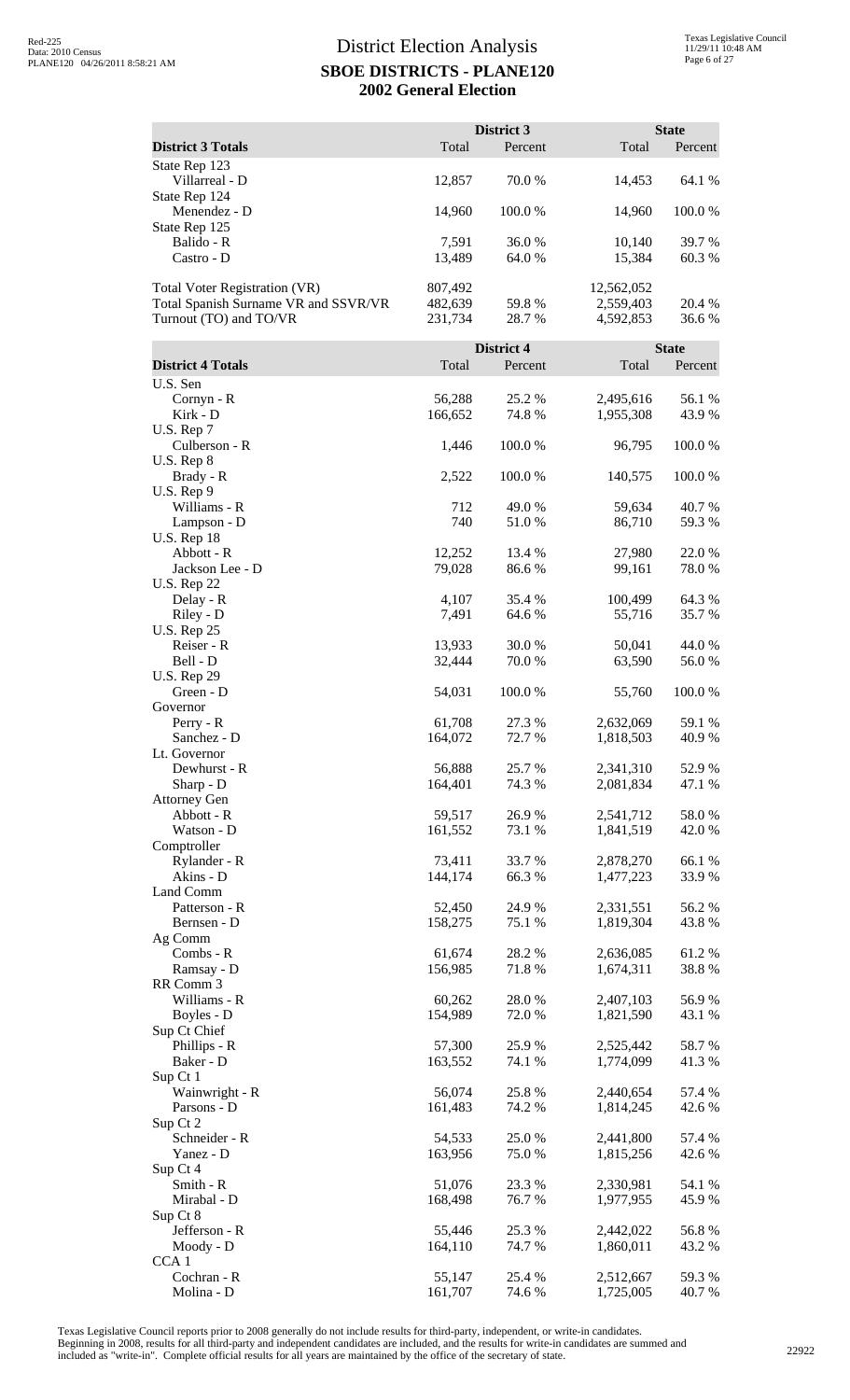|                                                                                                        |                               | District 3       |                                      | <b>State</b>     |
|--------------------------------------------------------------------------------------------------------|-------------------------------|------------------|--------------------------------------|------------------|
| <b>District 3 Totals</b>                                                                               | Total                         | Percent          | Total                                | Percent          |
| State Rep 123<br>Villarreal - D                                                                        | 12,857                        | 70.0 %           | 14,453                               | 64.1 %           |
| State Rep 124<br>Menendez - D<br>State Rep 125                                                         | 14,960                        | 100.0%           | 14,960                               | 100.0%           |
| Balido - R<br>Castro - D                                                                               | 7,591<br>13,489               | 36.0%<br>64.0 %  | 10,140<br>15,384                     | 39.7 %<br>60.3 % |
| <b>Total Voter Registration (VR)</b><br>Total Spanish Surname VR and SSVR/VR<br>Turnout (TO) and TO/VR | 807,492<br>482,639<br>231,734 | 59.8%<br>28.7 %  | 12,562,052<br>2,559,403<br>4,592,853 | 20.4 %<br>36.6%  |
|                                                                                                        |                               | District 4       |                                      | <b>State</b>     |
| <b>District 4 Totals</b>                                                                               | Total                         | Percent          | Total                                | Percent          |
| U.S. Sen<br>Cornyn - R<br>Kirk - D                                                                     | 56,288<br>166,652             | 25.2 %<br>74.8%  | 2,495,616<br>1,955,308               | 56.1 %<br>43.9%  |
| U.S. Rep 7<br>Culberson - R                                                                            | 1,446                         | 100.0%           | 96,795                               | 100.0%           |
| $U.S.$ Rep $8$<br>Brady - R<br>U.S. Rep 9                                                              | 2,522                         | 100.0%           | 140,575                              | 100.0%           |
| Williams - R<br>Lampson - D                                                                            | 712<br>740                    | 49.0%<br>51.0%   | 59,634<br>86,710                     | 40.7%<br>59.3%   |
| <b>U.S. Rep 18</b><br>Abbott - R<br>Jackson Lee - D                                                    | 12,252<br>79,028              | 13.4 %<br>86.6%  | 27,980<br>99,161                     | 22.0%<br>78.0%   |
| <b>U.S. Rep 22</b><br>Delay - R                                                                        | 4,107                         | 35.4 %           | 100,499                              | 64.3 %           |
| Riley - D<br><b>U.S. Rep 25</b><br>Reiser - R                                                          | 7,491<br>13,933               | 64.6 %<br>30.0%  | 55,716<br>50,041                     | 35.7%<br>44.0%   |
| Bell - D<br><b>U.S. Rep 29</b>                                                                         | 32,444                        | 70.0%            | 63,590                               | 56.0%            |
| Green - D<br>Governor<br>$Perry - R$                                                                   | 54,031<br>61,708              | 100.0%<br>27.3 % | 55,760<br>2,632,069                  | 100.0%<br>59.1 % |
| Sanchez - D<br>Lt. Governor                                                                            | 164,072                       | 72.7 %           | 1,818,503                            | 40.9 %           |
| Dewhurst - R<br>Sharp - D<br><b>Attorney Gen</b>                                                       | 56,888<br>164,401             | 25.7 %<br>74.3 % | 2,341,310<br>2,081,834               | 52.9 %<br>47.1 % |
| Abbott - R<br>Watson - D                                                                               | 59,517<br>161,552             | 26.9%<br>73.1 %  | 2,541,712<br>1,841,519               | 58.0%<br>42.0%   |
| Comptroller<br>Rylander - R<br>Akins - D                                                               | 73,411<br>144,174             | 33.7 %<br>66.3%  | 2,878,270<br>1,477,223               | 66.1%<br>33.9%   |
| Land Comm<br>Patterson - R                                                                             | 52,450                        | 24.9%            | 2,331,551                            | 56.2%            |
| Bernsen - D<br>Ag Comm                                                                                 | 158,275                       | 75.1 %           | 1,819,304                            | 43.8%            |
| Combs - R<br>Ramsay - D<br>RR Comm 3                                                                   | 61,674<br>156,985             | 28.2%<br>71.8%   | 2,636,085<br>1,674,311               | 61.2%<br>38.8%   |
| Williams - R<br>Boyles - D                                                                             | 60,262<br>154,989             | 28.0%<br>72.0%   | 2,407,103<br>1,821,590               | 56.9%<br>43.1 %  |
| Sup Ct Chief<br>Phillips - R<br>Baker - D                                                              | 57,300<br>163,552             | 25.9 %<br>74.1 % | 2,525,442<br>1,774,099               | 58.7%<br>41.3%   |
| Sup Ct 1<br>Wainwright - R                                                                             | 56,074                        | 25.8%            | 2,440,654                            | 57.4 %           |
| Parsons - D<br>Sup Ct 2<br>Schneider - R                                                               | 161,483<br>54,533             | 74.2 %<br>25.0%  | 1,814,245<br>2,441,800               | 42.6 %<br>57.4 % |
| Yanez - D<br>Sup Ct 4                                                                                  | 163,956                       | 75.0 %           | 1,815,256                            | 42.6 %           |
| Smith - R<br>Mirabal - D<br>Sup Ct 8                                                                   | 51,076<br>168,498             | 23.3 %<br>76.7%  | 2,330,981<br>1,977,955               | 54.1 %<br>45.9%  |
| Jefferson - R<br>Moody - D                                                                             | 55,446<br>164,110             | 25.3 %<br>74.7 % | 2,442,022<br>1,860,011               | 56.8%<br>43.2 %  |
| CCA <sub>1</sub><br>Cochran - R                                                                        | 55,147                        | 25.4 %           | 2,512,667                            | 59.3%            |
| Molina - D                                                                                             | 161,707                       | 74.6 %           | 1,725,005                            | 40.7 %           |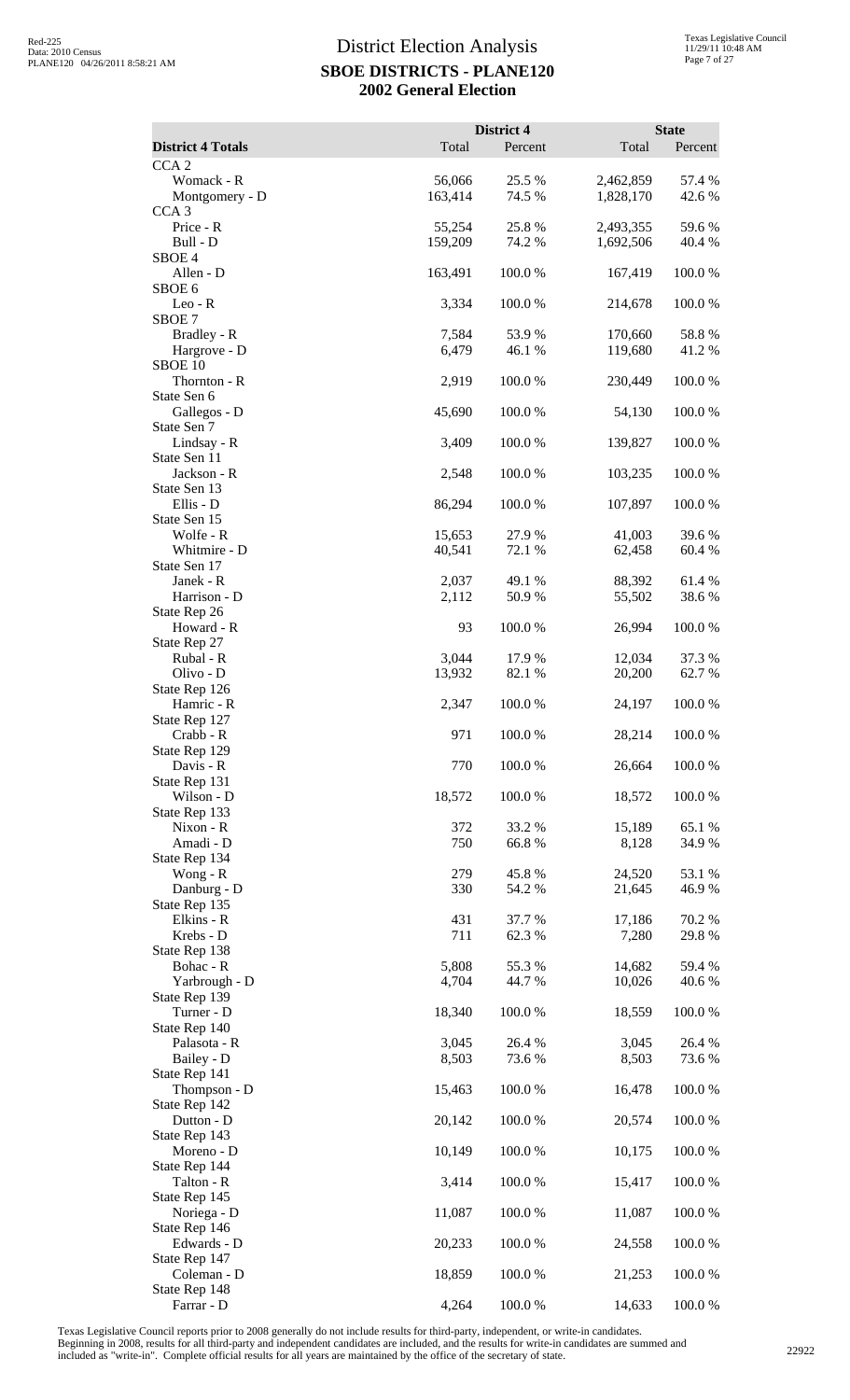| <b>District 4 Totals</b>                  | Total             | District 4<br>Percent | Total                  | <b>State</b><br>Percent |
|-------------------------------------------|-------------------|-----------------------|------------------------|-------------------------|
| CCA <sub>2</sub>                          |                   |                       |                        |                         |
| Womack - R<br>Montgomery - D              | 56,066<br>163,414 | 25.5 %<br>74.5 %      | 2,462,859<br>1,828,170 | 57.4 %<br>42.6 %        |
| CCA <sub>3</sub><br>Price - R<br>Bull - D | 55,254<br>159,209 | 25.8%<br>74.2 %       | 2,493,355<br>1,692,506 | 59.6%<br>40.4 %         |
| SBOE <sub>4</sub><br>Allen - D            | 163,491           | 100.0%                | 167,419                | 100.0%                  |
| SBOE 6<br>$Leo - R$                       | 3,334             | 100.0%                | 214,678                | 100.0%                  |
| SBOE <sub>7</sub>                         |                   |                       |                        |                         |
| Bradley - R<br>Hargrove - D<br>SBOE 10    | 7,584<br>6,479    | 53.9%<br>46.1 %       | 170,660<br>119,680     | 58.8%<br>41.2%          |
| Thornton - R<br>State Sen 6               | 2,919             | 100.0%                | 230,449                | 100.0%                  |
| Gallegos - D<br>State Sen 7               | 45,690            | 100.0%                | 54,130                 | 100.0%                  |
| Lindsay - R<br>State Sen 11               | 3,409             | 100.0%                | 139,827                | 100.0%                  |
| Jackson - R<br>State Sen 13               | 2,548             | 100.0%                | 103,235                | 100.0%                  |
| Ellis - D                                 | 86,294            | 100.0%                | 107,897                | 100.0%                  |
| State Sen 15<br>Wolfe - R                 | 15,653            | 27.9 %                | 41,003                 | 39.6 %                  |
| Whitmire - D                              | 40,541            | 72.1 %                | 62,458                 | 60.4 %                  |
| State Sen 17<br>Janek - R                 | 2,037             | 49.1 %                | 88,392                 | 61.4%                   |
| Harrison - D<br>State Rep 26              | 2,112             | 50.9%                 | 55,502                 | 38.6%                   |
| Howard - R<br>State Rep 27                | 93                | 100.0%                | 26,994                 | 100.0%                  |
| Rubal - R                                 | 3,044             | 17.9%<br>82.1 %       | 12,034                 | 37.3 %                  |
| Olivo - D<br>State Rep 126                | 13,932            |                       | 20,200                 | 62.7 %                  |
| Hamric - R<br>State Rep 127               | 2,347             | 100.0%                | 24,197                 | 100.0%                  |
| Crabb - R<br>State Rep 129                | 971               | 100.0 %               | 28,214                 | 100.0%                  |
| Davis - R<br>State Rep 131                | 770               | 100.0%                | 26,664                 | 100.0%                  |
| Wilson - D<br>State Rep 133               | 18,572            | 100.0%                | 18,572                 | 100.0%                  |
| $Nixon - R$                               | 372               | 33.2 %                | 15,189                 | 65.1 %                  |
| Amadi - D<br>State Rep 134                | 750               | 66.8%                 | 8,128                  | 34.9%                   |
| Wong - $R$<br>Danburg - D                 | 279<br>330        | 45.8%<br>54.2 %       | 24,520<br>21,645       | 53.1 %<br>46.9%         |
| State Rep 135<br>Elkins - R               | 431               | 37.7 %                | 17,186                 | 70.2 %                  |
| Krebs - D                                 | 711               | 62.3%                 | 7,280                  | 29.8%                   |
| State Rep 138<br>Bohac - R                | 5,808             | 55.3%                 | 14,682                 | 59.4 %                  |
| Yarbrough - D<br>State Rep 139            | 4,704             | 44.7 %                | 10,026                 | 40.6 %                  |
| Turner - D<br>State Rep 140               | 18,340            | 100.0%                | 18,559                 | 100.0%                  |
| Palasota - R                              | 3,045             | 26.4 %                | 3,045                  | 26.4 %                  |
| Bailey - D<br>State Rep 141               | 8,503             | 73.6 %                | 8,503                  | 73.6 %                  |
| Thompson - D<br>State Rep 142             | 15,463            | 100.0%                | 16,478                 | 100.0%                  |
| Dutton - D<br>State Rep 143               | 20,142            | 100.0%                | 20,574                 | 100.0%                  |
| Moreno - D<br>State Rep 144               | 10,149            | 100.0%                | 10,175                 | 100.0%                  |
| Talton - R                                | 3,414             | 100.0%                | 15,417                 | 100.0%                  |
| State Rep 145<br>Noriega - D              | 11,087            | 100.0%                | 11,087                 | 100.0%                  |
| State Rep 146<br>Edwards - D              | 20,233            | 100.0%                | 24,558                 | 100.0%                  |
| State Rep 147<br>Coleman - D              | 18,859            | 100.0%                | 21,253                 | 100.0%                  |
| State Rep 148<br>Farrar - D               | 4,264             | 100.0%                | 14,633                 | 100.0%                  |

Texas Legislative Council reports prior to 2008 generally do not include results for third-party, independent, or write-in candidates.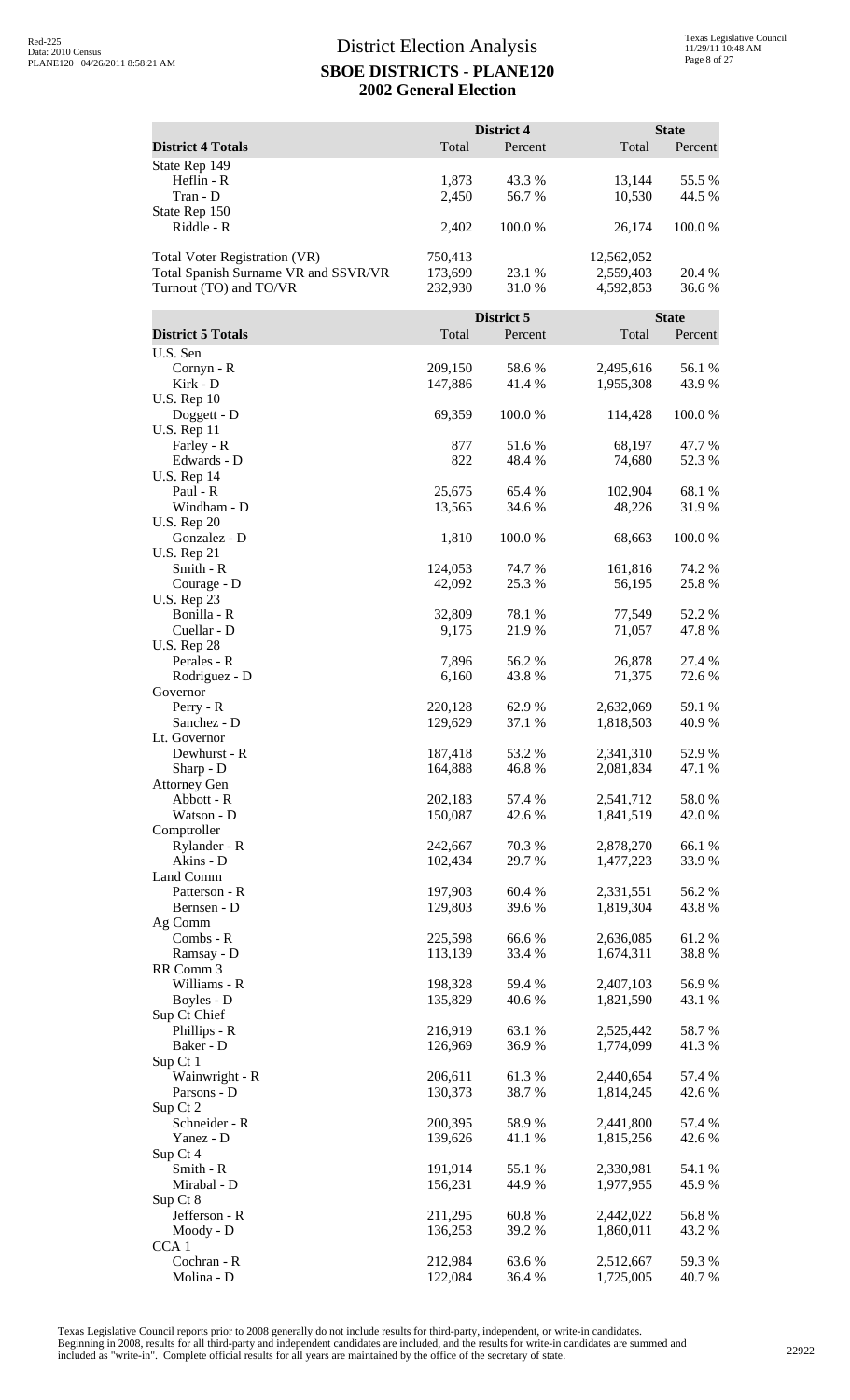|                                                                                                        |                               | District 4       |                                      | <b>State</b>     |
|--------------------------------------------------------------------------------------------------------|-------------------------------|------------------|--------------------------------------|------------------|
| <b>District 4 Totals</b>                                                                               | Total                         | Percent          | Total                                | Percent          |
| State Rep 149<br>Heflin - R<br>Tran - D                                                                | 1,873<br>2,450                | 43.3 %<br>56.7 % | 13,144<br>10,530                     | 55.5 %<br>44.5 % |
| State Rep 150<br>Riddle - R                                                                            | 2,402                         | 100.0%           | 26,174                               | 100.0%           |
| <b>Total Voter Registration (VR)</b><br>Total Spanish Surname VR and SSVR/VR<br>Turnout (TO) and TO/VR | 750,413<br>173,699<br>232,930 | 23.1 %<br>31.0 % | 12,562,052<br>2,559,403<br>4,592,853 | 20.4 %<br>36.6%  |
|                                                                                                        |                               | District 5       |                                      | <b>State</b>     |
| <b>District 5 Totals</b>                                                                               | Total                         | Percent          | Total                                | Percent          |
| U.S. Sen<br>Cornyn - R<br>Kirk - D                                                                     | 209,150<br>147,886            | 58.6%<br>41.4%   | 2,495,616<br>1,955,308               | 56.1 %<br>43.9%  |
| <b>U.S. Rep 10</b><br>Doggett - D<br><b>U.S. Rep 11</b>                                                | 69,359                        | 100.0%           | 114,428                              | 100.0%           |
| Farley - R<br>Edwards - D                                                                              | 877<br>822                    | 51.6 %<br>48.4 % | 68,197<br>74,680                     | 47.7 %<br>52.3%  |
| <b>U.S. Rep 14</b><br>Paul - R<br>Windham - D                                                          | 25,675<br>13,565              | 65.4 %<br>34.6 % | 102,904<br>48,226                    | 68.1 %<br>31.9%  |
| <b>U.S. Rep 20</b><br>Gonzalez - D                                                                     | 1,810                         | 100.0 %          | 68,663                               | 100.0%           |
| <b>U.S. Rep 21</b><br>Smith - R<br>Courage - D<br><b>U.S. Rep 23</b>                                   | 124,053<br>42,092             | 74.7 %<br>25.3 % | 161,816<br>56,195                    | 74.2 %<br>25.8%  |
| Bonilla - R<br>Cuellar - D<br><b>U.S. Rep 28</b>                                                       | 32,809<br>9,175               | 78.1 %<br>21.9 % | 77,549<br>71,057                     | 52.2%<br>47.8%   |
| Perales - R<br>Rodriguez - D<br>Governor                                                               | 7,896<br>6,160                | 56.2%<br>43.8%   | 26,878<br>71,375                     | 27.4 %<br>72.6 % |
| Perry - R<br>Sanchez - D<br>Lt. Governor                                                               | 220,128<br>129,629            | 62.9 %<br>37.1 % | 2,632,069<br>1,818,503               | 59.1 %<br>40.9%  |
| Dewhurst - R<br>Sharp - D<br><b>Attorney Gen</b>                                                       | 187,418<br>164,888            | 53.2 %<br>46.8%  | 2,341,310<br>2,081,834               | 52.9%<br>47.1 %  |
| Abbott - R<br>Watson - D                                                                               | 202,183<br>150,087            | 57.4 %<br>42.6 % | 2,541,712<br>1,841,519               | 58.0%<br>42.0 %  |
| Comptroller<br>Rylander - R<br>Akins - D                                                               | 242,667<br>102,434            | 70.3%<br>29.7 %  | 2,878,270<br>1,477,223               | 66.1%<br>33.9%   |
| Land Comm<br>Patterson - R<br>Bernsen - D                                                              | 197,903<br>129,803            | 60.4%<br>39.6%   | 2,331,551<br>1,819,304               | 56.2%<br>43.8%   |
| Ag Comm<br>Combs - R<br>Ramsay - D                                                                     | 225,598<br>113,139            | 66.6%<br>33.4 %  | 2,636,085<br>1,674,311               | 61.2%<br>38.8%   |
| RR Comm 3<br>Williams - R<br>Boyles - D                                                                | 198,328<br>135,829            | 59.4 %<br>40.6%  | 2,407,103<br>1,821,590               | 56.9%<br>43.1 %  |
| Sup Ct Chief<br>Phillips - R<br>Baker - D                                                              | 216,919<br>126,969            | 63.1 %<br>36.9%  | 2,525,442<br>1,774,099               | 58.7%<br>41.3%   |
| Sup Ct 1<br>Wainwright - R                                                                             | 206,611                       | 61.3%            | 2,440,654                            | 57.4 %           |
| Parsons - D<br>Sup Ct 2<br>Schneider - R                                                               | 130,373<br>200,395            | 38.7%<br>58.9%   | 1,814,245<br>2,441,800               | 42.6 %<br>57.4 % |
| Yanez - D<br>Sup Ct 4                                                                                  | 139,626                       | 41.1%            | 1,815,256                            | 42.6 %           |
| Smith - R<br>Mirabal - D<br>Sup Ct 8                                                                   | 191,914<br>156,231            | 55.1 %<br>44.9%  | 2,330,981<br>1,977,955               | 54.1 %<br>45.9%  |
| Jefferson - R<br>Moody - D                                                                             | 211,295<br>136,253            | 60.8%<br>39.2 %  | 2,442,022<br>1,860,011               | 56.8%<br>43.2 %  |
| CCA <sub>1</sub><br>Cochran - R<br>Molina - D                                                          | 212,984<br>122,084            | 63.6%<br>36.4 %  | 2,512,667<br>1,725,005               | 59.3%<br>40.7%   |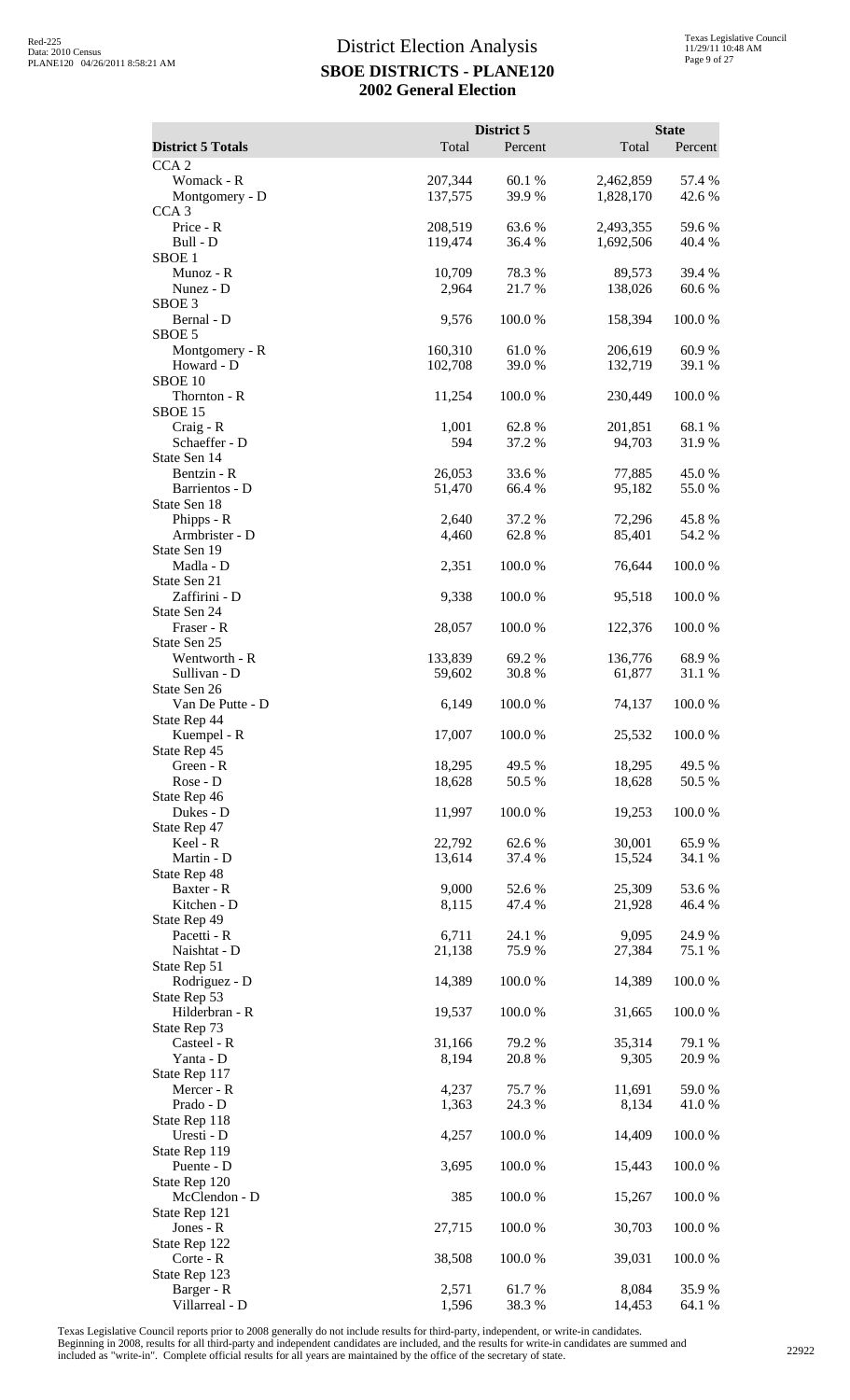|                                                  |                    | District 5       |                        | <b>State</b>      |
|--------------------------------------------------|--------------------|------------------|------------------------|-------------------|
| <b>District 5 Totals</b><br>CCA <sub>2</sub>     | Total              | Percent          | Total                  | Percent           |
| Womack - R<br>Montgomery - D                     | 207,344<br>137,575 | 60.1%<br>39.9%   | 2,462,859<br>1,828,170 | 57.4 %<br>42.6 %  |
| CCA <sub>3</sub><br>Price - R<br>Bull - D        | 208,519<br>119,474 | 63.6%<br>36.4 %  | 2,493,355<br>1,692,506 | 59.6 %<br>40.4 %  |
| SBOE <sub>1</sub><br>Munoz - R<br>Nunez - D      | 10,709<br>2,964    | 78.3%<br>21.7%   | 89,573<br>138,026      | 39.4 %<br>60.6%   |
| SBOE <sub>3</sub><br>Bernal - D<br>SBOE 5        | 9,576              | 100.0%           | 158,394                | 100.0%            |
| Montgomery - R<br>Howard - D<br>SBOE 10          | 160,310<br>102,708 | 61.0%<br>39.0 %  | 206,619<br>132,719     | 60.9%<br>39.1 %   |
| Thornton - R<br>SBOE 15                          | 11,254             | 100.0%           | 230,449                | 100.0%            |
| $Craig - R$<br>Schaeffer - D<br>State Sen 14     | 1,001<br>594       | 62.8%<br>37.2 %  | 201,851<br>94,703      | 68.1%<br>31.9%    |
| Bentzin - R<br>Barrientos - D<br>State Sen 18    | 26,053<br>51,470   | 33.6 %<br>66.4 % | 77,885<br>95,182       | 45.0%<br>55.0%    |
| Phipps - R<br>Armbrister - D                     | 2,640<br>4,460     | 37.2 %<br>62.8%  | 72,296<br>85,401       | 45.8%<br>54.2 %   |
| State Sen 19<br>Madla - D<br>State Sen 21        | 2,351              | 100.0%           | 76,644                 | 100.0%            |
| Zaffirini - D<br>State Sen 24<br>Fraser - R      | 9,338<br>28,057    | 100.0%<br>100.0% | 95,518<br>122,376      | 100.0%<br>100.0%  |
| State Sen 25<br>Wentworth - R                    | 133,839            | 69.2%            | 136,776                | 68.9%             |
| Sullivan - D<br>State Sen 26<br>Van De Putte - D | 59,602<br>6,149    | 30.8%<br>100.0%  | 61,877<br>74,137       | 31.1 %<br>100.0 % |
| State Rep 44<br>Kuempel - R<br>State Rep 45      | 17,007             | 100.0%           | 25,532                 | 100.0%            |
| Green - R<br>Rose - D<br>State Rep 46            | 18,295<br>18,628   | 49.5 %<br>50.5 % | 18,295<br>18,628       | 49.5 %<br>50.5 %  |
| Dukes - D<br>State Rep 47                        | 11,997             | 100.0%           | 19,253                 | 100.0%            |
| Keel - R<br>Martin - D<br>State Rep 48           | 22,792<br>13,614   | 62.6 %<br>37.4 % | 30,001<br>15,524       | 65.9%<br>34.1 %   |
| Baxter - R<br>Kitchen - D<br>State Rep 49        | 9,000<br>8,115     | 52.6 %<br>47.4 % | 25,309<br>21,928       | 53.6%<br>46.4 %   |
| Pacetti - R<br>Naishtat - D                      | 6,711<br>21,138    | 24.1 %<br>75.9%  | 9,095<br>27,384        | 24.9%<br>75.1 %   |
| State Rep 51<br>Rodriguez - D<br>State Rep 53    | 14,389             | 100.0%           | 14,389                 | 100.0%            |
| Hilderbran - R<br>State Rep 73<br>Casteel - R    | 19,537<br>31,166   | 100.0%<br>79.2 % | 31,665<br>35,314       | 100.0%<br>79.1 %  |
| Yanta - D<br>State Rep 117                       | 8,194              | 20.8 %           | 9,305                  | 20.9%             |
| Mercer - R<br>Prado - D<br>State Rep 118         | 4,237<br>1,363     | 75.7 %<br>24.3 % | 11,691<br>8,134        | 59.0%<br>41.0%    |
| Uresti - D<br>State Rep 119<br>Puente - D        | 4,257<br>3,695     | 100.0%<br>100.0% | 14,409<br>15,443       | 100.0%<br>100.0%  |
| State Rep 120<br>McClendon - D                   | 385                | 100.0%           | 15,267                 | 100.0%            |
| State Rep 121<br>Jones - R<br>State Rep 122      | 27,715             | 100.0%           | 30,703                 | 100.0%            |
| Corte - R<br>State Rep 123                       | 38,508             | 100.0%           | 39,031                 | 100.0%            |
| Barger - R<br>Villarreal - D                     | 2,571<br>1,596     | 61.7%<br>38.3%   | 8,084<br>14,453        | 35.9%<br>64.1 %   |

Texas Legislative Council reports prior to 2008 generally do not include results for third-party, independent, or write-in candidates.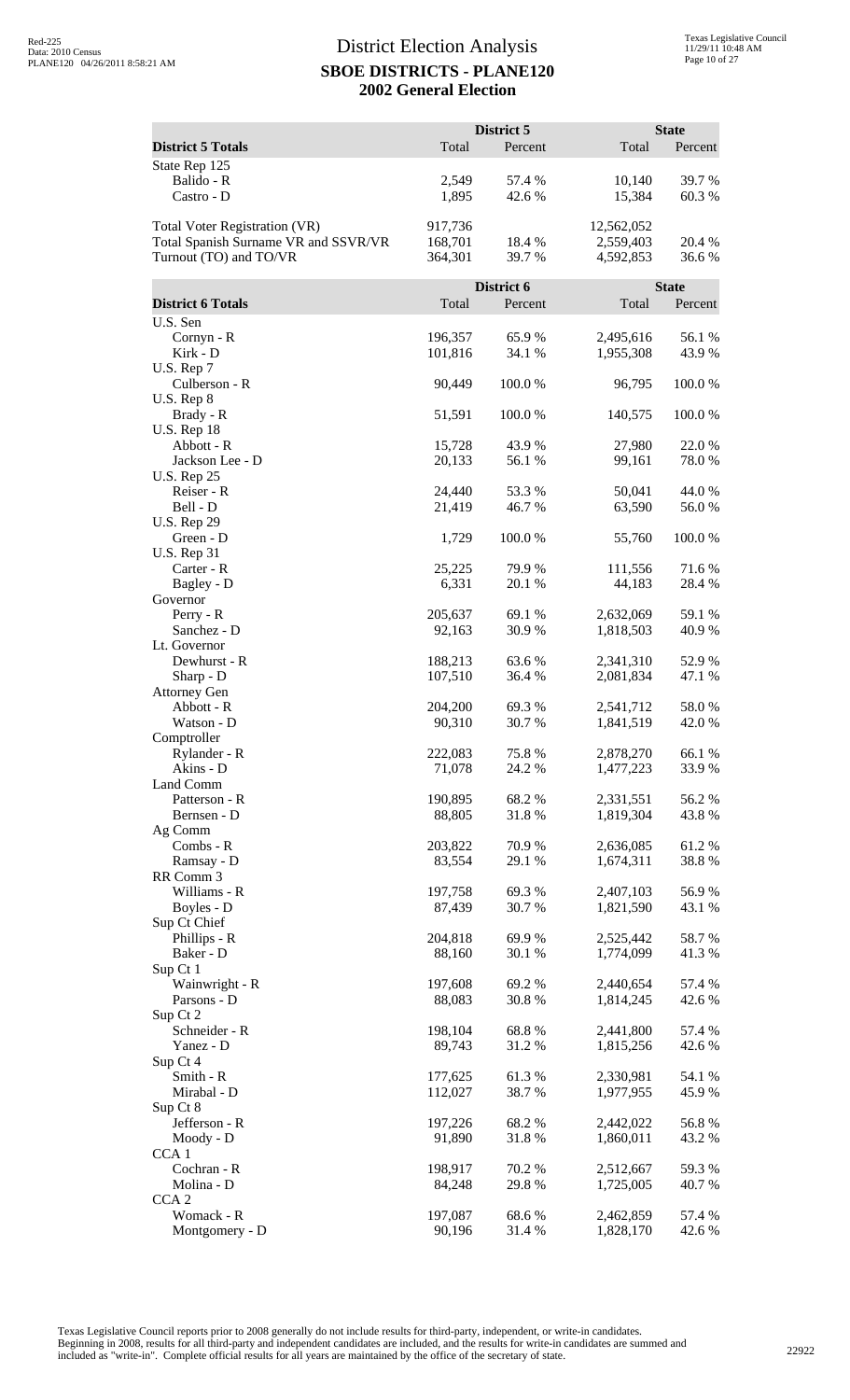|                                                                                                        |                               | District 5       |                                      | <b>State</b>    |
|--------------------------------------------------------------------------------------------------------|-------------------------------|------------------|--------------------------------------|-----------------|
| <b>District 5 Totals</b>                                                                               | Total                         | Percent          | Total                                | Percent         |
| State Rep 125<br>Balido - R<br>Castro - D                                                              | 2,549<br>1,895                | 57.4 %<br>42.6 % | 10,140<br>15,384                     | 39.7 %<br>60.3% |
| <b>Total Voter Registration (VR)</b><br>Total Spanish Surname VR and SSVR/VR<br>Turnout (TO) and TO/VR | 917,736<br>168,701<br>364,301 | 18.4 %<br>39.7 % | 12,562,052<br>2,559,403<br>4,592,853 | 20.4 %<br>36.6% |
|                                                                                                        |                               | District 6       |                                      | <b>State</b>    |
| <b>District 6 Totals</b>                                                                               | Total                         | Percent          | Total                                | Percent         |
| U.S. Sen                                                                                               |                               |                  |                                      |                 |
| Cornyn - R<br>Kirk - D                                                                                 | 196,357<br>101,816            | 65.9%<br>34.1 %  | 2,495,616<br>1,955,308               | 56.1 %<br>43.9% |
| U.S. Rep 7<br>Culberson - R<br>U.S. Rep 8                                                              | 90,449                        | 100.0%           | 96,795                               | 100.0%          |
| Brady - R<br><b>U.S. Rep 18</b>                                                                        | 51,591                        | 100.0%           | 140,575                              | 100.0%          |
| Abbott - R                                                                                             | 15,728                        | 43.9%            | 27,980                               | 22.0%           |
| Jackson Lee - D<br><b>U.S. Rep 25</b>                                                                  | 20,133                        | 56.1 %           | 99,161                               | 78.0%           |
| Reiser - R                                                                                             | 24,440                        | 53.3 %           | 50,041                               | 44.0 %          |
| Bell - D<br><b>U.S. Rep 29</b>                                                                         | 21,419                        | 46.7%            | 63,590                               | 56.0%           |
| Green - D<br><b>U.S. Rep 31</b>                                                                        | 1,729                         | 100.0%           | 55,760                               | 100.0%          |
| Carter - R<br>Bagley - D                                                                               | 25,225<br>6,331               | 79.9 %<br>20.1 % | 111,556<br>44,183                    | 71.6%<br>28.4 % |
| Governor<br>Perry - R                                                                                  | 205,637                       | 69.1 %           | 2,632,069                            | 59.1 %          |
| Sanchez - D<br>Lt. Governor                                                                            | 92,163                        | 30.9%            | 1,818,503                            | 40.9%           |
| Dewhurst - R                                                                                           | 188,213                       | 63.6%            | 2,341,310                            | 52.9%           |
| Sharp - D<br><b>Attorney Gen</b>                                                                       | 107,510                       | 36.4 %           | 2,081,834                            | 47.1 %          |
| Abbott - R<br>Watson - D                                                                               | 204,200<br>90,310             | 69.3%<br>30.7%   | 2,541,712<br>1,841,519               | 58.0%<br>42.0%  |
| Comptroller                                                                                            |                               |                  |                                      |                 |
| Rylander - R<br>Akins - D                                                                              | 222,083<br>71,078             | 75.8%<br>24.2 %  | 2,878,270<br>1,477,223               | 66.1 %<br>33.9% |
| Land Comm                                                                                              |                               |                  |                                      |                 |
| Patterson - R<br>Bernsen - D                                                                           | 190,895<br>88,805             | 68.2%<br>31.8%   | 2,331,551<br>1,819,304               | 56.2%<br>43.8%  |
| Ag Comm                                                                                                |                               |                  |                                      |                 |
| Combs - R                                                                                              | 203,822                       | 70.9%            | 2,636,085                            | 61.2%           |
| Ramsay - D<br>RR Comm 3                                                                                | 83,554                        | 29.1 %           | 1,674,311                            | 38.8%           |
| Williams - R                                                                                           | 197,758                       | 69.3 %           | 2,407,103                            | 56.9%           |
| Boyles - D<br>Sup Ct Chief                                                                             | 87,439                        | 30.7%            | 1,821,590                            | 43.1 %          |
| Phillips - R                                                                                           | 204,818                       | 69.9%            | 2,525,442                            | 58.7%           |
| Baker - D                                                                                              | 88,160                        | 30.1 %           | 1,774,099                            | 41.3%           |
| Sup Ct 1<br>Wainwright - R                                                                             | 197,608                       | 69.2 %           | 2,440,654                            | 57.4 %          |
| Parsons - D                                                                                            | 88,083                        | 30.8%            | 1,814,245                            | 42.6 %          |
| Sup Ct 2<br>Schneider - R                                                                              | 198,104                       | 68.8%            | 2,441,800                            | 57.4 %          |
| Yanez - D                                                                                              | 89,743                        | 31.2%            | 1,815,256                            | 42.6 %          |
| Sup Ct 4                                                                                               |                               |                  |                                      |                 |
| Smith - R<br>Mirabal - D                                                                               | 177,625<br>112,027            | 61.3%<br>38.7%   | 2,330,981<br>1,977,955               | 54.1 %<br>45.9% |
| Sup Ct 8                                                                                               |                               |                  |                                      |                 |
| Jefferson - R<br>Moody - D                                                                             | 197,226<br>91,890             | 68.2%<br>31.8%   | 2,442,022<br>1,860,011               | 56.8%<br>43.2 % |
| CCA <sub>1</sub>                                                                                       |                               |                  |                                      |                 |
| Cochran - R                                                                                            | 198,917                       | 70.2 %           | 2,512,667                            | 59.3%           |
| Molina - D<br>CCA <sub>2</sub>                                                                         | 84,248                        | 29.8%            | 1,725,005                            | 40.7%           |
| Womack - R                                                                                             | 197,087                       | 68.6%            | 2,462,859                            | 57.4 %          |
| Montgomery - D                                                                                         | 90,196                        | 31.4 %           | 1,828,170                            | 42.6 %          |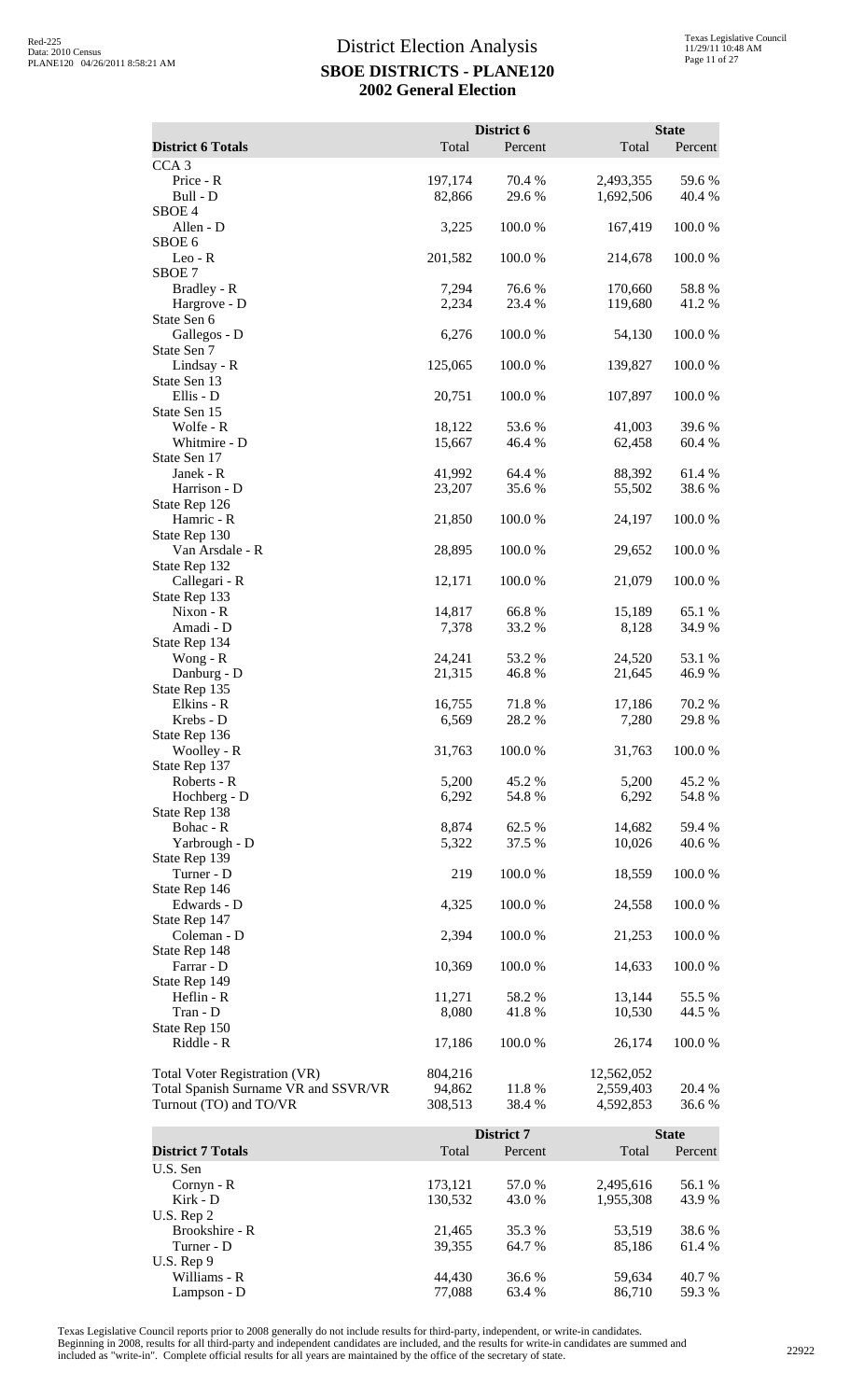|                                      |                   | District 6       |                        | <b>State</b>     |
|--------------------------------------|-------------------|------------------|------------------------|------------------|
| <b>District 6 Totals</b>             | Total             | Percent          | Total                  | Percent          |
| CCA <sub>3</sub>                     |                   |                  |                        |                  |
| Price - R<br>Bull - D                | 197,174<br>82,866 | 70.4 %<br>29.6%  | 2,493,355<br>1,692,506 | 59.6%<br>40.4 %  |
| SBOE <sub>4</sub>                    |                   |                  |                        |                  |
| Allen - D                            | 3,225             | 100.0%           | 167,419                | 100.0%           |
| SBOE 6                               |                   |                  |                        |                  |
| $Leo - R$                            | 201,582           | 100.0%           | 214,678                | 100.0%           |
| SBOE 7                               |                   |                  |                        |                  |
| Bradley - R                          | 7,294             | 76.6%            | 170,660                | 58.8%            |
| Hargrove - D<br>State Sen 6          | 2,234             | 23.4 %           | 119,680                | 41.2%            |
| Gallegos - D                         | 6,276             | 100.0%           | 54,130                 | 100.0%           |
| State Sen 7                          |                   |                  |                        |                  |
| Lindsay - R                          | 125,065           | 100.0%           | 139,827                | 100.0%           |
| State Sen 13                         |                   |                  |                        |                  |
| Ellis - D                            | 20,751            | 100.0%           | 107,897                | 100.0%           |
| State Sen 15                         |                   |                  |                        |                  |
| Wolfe - R<br>Whitmire - D            | 18,122<br>15,667  | 53.6%<br>46.4 %  | 41,003<br>62,458       | 39.6%<br>60.4%   |
| State Sen 17                         |                   |                  |                        |                  |
| Janek - R                            | 41,992            | 64.4 %           | 88,392                 | 61.4%            |
| Harrison - D                         | 23,207            | 35.6%            | 55,502                 | 38.6%            |
| State Rep 126                        |                   |                  |                        |                  |
| Hamric - R                           | 21,850            | 100.0%           | 24,197                 | 100.0%           |
| State Rep 130                        |                   |                  |                        |                  |
| Van Arsdale - R                      | 28,895            | 100.0%           | 29,652                 | 100.0%           |
| State Rep 132<br>Callegari - R       | 12,171            | 100.0%           | 21,079                 | 100.0%           |
| State Rep 133                        |                   |                  |                        |                  |
| Nixon - R                            | 14,817            | 66.8%            | 15,189                 | 65.1 %           |
| Amadi - D                            | 7,378             | 33.2 %           | 8,128                  | 34.9%            |
| State Rep 134                        |                   |                  |                        |                  |
| Wong - $R$                           | 24,241            | 53.2 %           | 24,520                 | 53.1 %           |
| Danburg - D                          | 21,315            | 46.8%            | 21,645                 | 46.9%            |
| State Rep 135<br>Elkins - R          | 16,755            | 71.8%            | 17,186                 | 70.2 %           |
| Krebs - D                            | 6,569             | 28.2%            | 7,280                  | 29.8%            |
| State Rep 136                        |                   |                  |                        |                  |
| Woolley - R                          | 31,763            | 100.0%           | 31,763                 | 100.0%           |
| State Rep 137                        |                   |                  |                        |                  |
| Roberts - R                          | 5,200             | 45.2 %           | 5,200                  | 45.2 %           |
| Hochberg - D                         | 6,292             | 54.8%            | 6,292                  | 54.8%            |
| State Rep 138                        |                   |                  |                        |                  |
| Bohac - R<br>Yarbrough - D           | 8,874<br>5,322    | 62.5 %<br>37.5 % | 14,682<br>10,026       | 59.4 %<br>40.6 % |
| State Rep 139                        |                   |                  |                        |                  |
| Turner - D                           | 219               | 100.0%           | 18,559                 | 100.0 %          |
| State Rep 146                        |                   |                  |                        |                  |
| Edwards - D                          | 4,325             | 100.0%           | 24,558                 | 100.0%           |
| State Rep 147                        |                   |                  |                        |                  |
| Coleman - D                          | 2,394             | 100.0%           | 21,253                 | 100.0 %          |
| State Rep 148                        |                   |                  |                        |                  |
| Farrar - D<br>State Rep 149          | 10,369            | 100.0%           | 14,633                 | 100.0%           |
| Heflin - R                           | 11,271            | 58.2 %           | 13,144                 | 55.5 %           |
| Tran - D                             | 8,080             | 41.8%            | 10,530                 | 44.5 %           |
| State Rep 150                        |                   |                  |                        |                  |
| Riddle - R                           | 17,186            | 100.0%           | 26,174                 | 100.0 %          |
|                                      |                   |                  |                        |                  |
| Total Voter Registration (VR)        | 804,216           |                  | 12,562,052             |                  |
| Total Spanish Surname VR and SSVR/VR | 94,862            | 11.8 %<br>38.4 % | 2,559,403              | 20.4 %           |
| Turnout (TO) and TO/VR               | 308,513           |                  | 4,592,853              | 36.6 %           |
|                                      |                   | District 7       |                        | <b>State</b>     |
| <b>District 7 Totals</b>             | Total             | Percent          | Total                  | Percent          |

**District 7 Totals Total Percent** Total Percent Total Percent U.S. Sen Cornyn - R<br>
Kirk - D<br>
173,121 57.0 % 2,495,616 56.1 %<br>
130,532 43.0 % 1,955,308 43.9 % 1,955,308 U.S. Rep 2 Brookshire - R 21,465 35.3 % 53,519 38.6 %<br>
Turner - D 39,355 64.7 % 85,186 61.4 % Turner - D 39,355 64.7 % 85,186 61.4 % U.S. Rep 9 Williams - R 6.4 and 59,634 59,634 **40.7** % Lampson - D 77,088 63.4 % 86,710 59.3 %

Texas Legislative Council reports prior to 2008 generally do not include results for third-party, independent, or write-in candidates.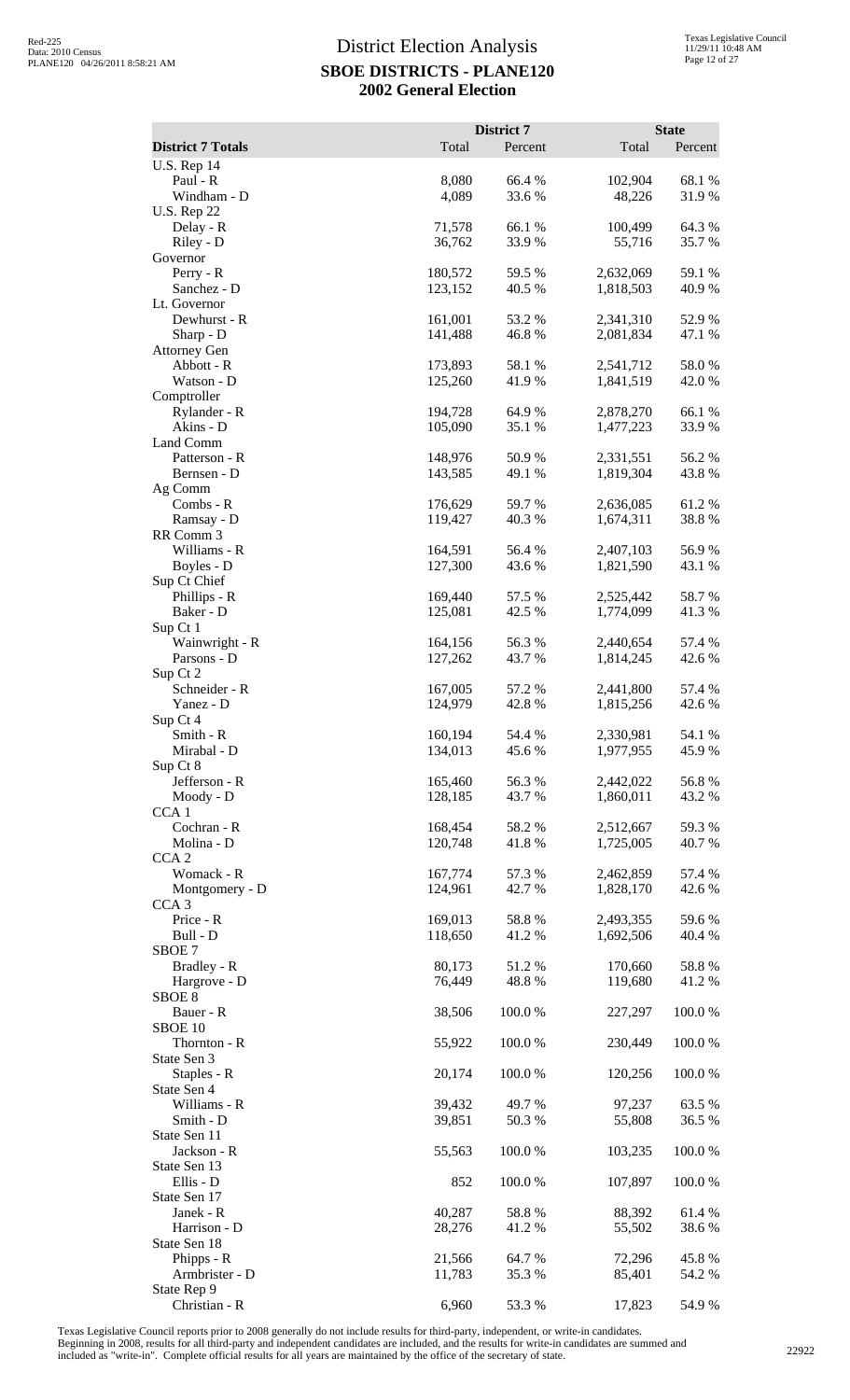| <b>District 7 Totals</b>          | Total              | District 7<br>Percent | Total                  | <b>State</b><br>Percent |
|-----------------------------------|--------------------|-----------------------|------------------------|-------------------------|
| <b>U.S. Rep 14</b>                |                    |                       |                        |                         |
| Paul - R                          | 8,080              | 66.4 %                | 102,904                | 68.1%                   |
| Windham - D<br><b>U.S. Rep 22</b> | 4,089              | 33.6%                 | 48,226                 | 31.9%                   |
| Delay - R                         | 71,578             | 66.1 %                | 100,499                | 64.3%                   |
| Riley - D                         | 36,762             | 33.9%                 | 55,716                 | 35.7%                   |
| Governor<br>Perry - R             | 180,572            | 59.5 %                | 2,632,069              | 59.1 %                  |
| Sanchez - D                       | 123,152            | 40.5 %                | 1,818,503              | 40.9%                   |
| Lt. Governor                      |                    |                       |                        |                         |
| Dewhurst - R<br>Sharp - D         | 161,001<br>141,488 | 53.2 %<br>46.8%       | 2,341,310<br>2,081,834 | 52.9%<br>47.1 %         |
| <b>Attorney Gen</b>               |                    |                       |                        |                         |
| Abbott - R                        | 173,893            | 58.1 %                | 2,541,712              | 58.0%                   |
| Watson - D<br>Comptroller         | 125,260            | 41.9 %                | 1,841,519              | 42.0 %                  |
| Rylander - R                      | 194,728            | 64.9 %                | 2,878,270              | 66.1%                   |
| Akins - D                         | 105,090            | 35.1 %                | 1,477,223              | 33.9%                   |
| Land Comm                         |                    |                       |                        |                         |
| Patterson - R<br>Bernsen - D      | 148,976<br>143,585 | 50.9%<br>49.1 %       | 2,331,551<br>1,819,304 | 56.2%<br>43.8%          |
| Ag Comm                           |                    |                       |                        |                         |
| Combs - R                         | 176,629            | 59.7 %                | 2,636,085              | 61.2%                   |
| Ramsay - D<br>RR Comm 3           | 119,427            | 40.3%                 | 1,674,311              | 38.8%                   |
| Williams - R                      | 164,591            | 56.4 %                | 2,407,103              | 56.9%                   |
| Boyles - D                        | 127,300            | 43.6%                 | 1,821,590              | 43.1 %                  |
| Sup Ct Chief<br>Phillips - R      |                    | 57.5 %                |                        | 58.7%                   |
| Baker - D                         | 169,440<br>125,081 | 42.5 %                | 2,525,442<br>1,774,099 | 41.3%                   |
| Sup Ct 1                          |                    |                       |                        |                         |
| Wainwright - R                    | 164,156            | 56.3%                 | 2,440,654              | 57.4 %                  |
| Parsons - D<br>Sup Ct 2           | 127,262            | 43.7 %                | 1,814,245              | 42.6 %                  |
| Schneider - R                     | 167,005            | 57.2 %                | 2,441,800              | 57.4 %                  |
| Yanez - D                         | 124,979            | 42.8%                 | 1,815,256              | 42.6%                   |
| Sup Ct 4<br>Smith - R             | 160,194            | 54.4 %                | 2,330,981              | 54.1 %                  |
| Mirabal - D                       | 134,013            | 45.6 %                | 1,977,955              | 45.9%                   |
| Sup Ct 8                          |                    |                       |                        |                         |
| Jefferson - R<br>Moody - D        | 165,460<br>128,185 | 56.3%<br>43.7%        | 2,442,022<br>1,860,011 | 56.8%<br>43.2 %         |
| CCA <sub>1</sub>                  |                    |                       |                        |                         |
| Cochran - R                       | 168,454            | 58.2%                 | 2,512,667              | 59.3 %                  |
| Molina - D<br>CCA <sub>2</sub>    | 120,748            | 41.8%                 | 1,725,005              | 40.7 %                  |
| Womack - R                        | 167,774            | 57.3 %                | 2,462,859              | 57.4 %                  |
| Montgomery - D                    | 124,961            | 42.7 %                | 1,828,170              | 42.6 %                  |
| CCA <sub>3</sub>                  |                    |                       |                        |                         |
| Price - R<br>Bull - D             | 169,013<br>118,650 | 58.8%<br>41.2%        | 2,493,355<br>1,692,506 | 59.6%<br>40.4 %         |
| SBOE 7                            |                    |                       |                        |                         |
| Bradley - R                       | 80,173             | 51.2%                 | 170,660                | 58.8%                   |
| Hargrove - D<br>SBOE <sub>8</sub> | 76,449             | 48.8%                 | 119,680                | 41.2%                   |
| Bauer - R                         | 38,506             | 100.0 %               | 227,297                | 100.0%                  |
| SBOE 10                           |                    |                       |                        |                         |
| Thornton - R<br>State Sen 3       | 55,922             | 100.0%                | 230,449                | 100.0%                  |
| Staples - R                       | 20,174             | 100.0%                | 120,256                | 100.0%                  |
| State Sen 4                       |                    |                       |                        |                         |
| Williams - R<br>Smith - D         | 39,432<br>39,851   | 49.7 %<br>50.3%       | 97,237<br>55,808       | 63.5 %<br>36.5 %        |
| State Sen 11                      |                    |                       |                        |                         |
| Jackson - R                       | 55,563             | 100.0%                | 103,235                | 100.0%                  |
| State Sen 13                      |                    |                       |                        |                         |
| Ellis - D<br>State Sen 17         | 852                | 100.0 %               | 107,897                | 100.0%                  |
| Janek - R                         | 40,287             | 58.8%                 | 88,392                 | 61.4 %                  |
| Harrison - D                      | 28,276             | 41.2 %                | 55,502                 | 38.6%                   |
| State Sen 18<br>Phipps - R        | 21,566             | 64.7 %                | 72,296                 | 45.8%                   |
| Armbrister - D                    | 11,783             | 35.3 %                | 85,401                 | 54.2 %                  |
| State Rep 9                       |                    |                       |                        |                         |
| Christian - R                     | 6,960              | 53.3 %                | 17,823                 | 54.9%                   |

Texas Legislative Council reports prior to 2008 generally do not include results for third-party, independent, or write-in candidates.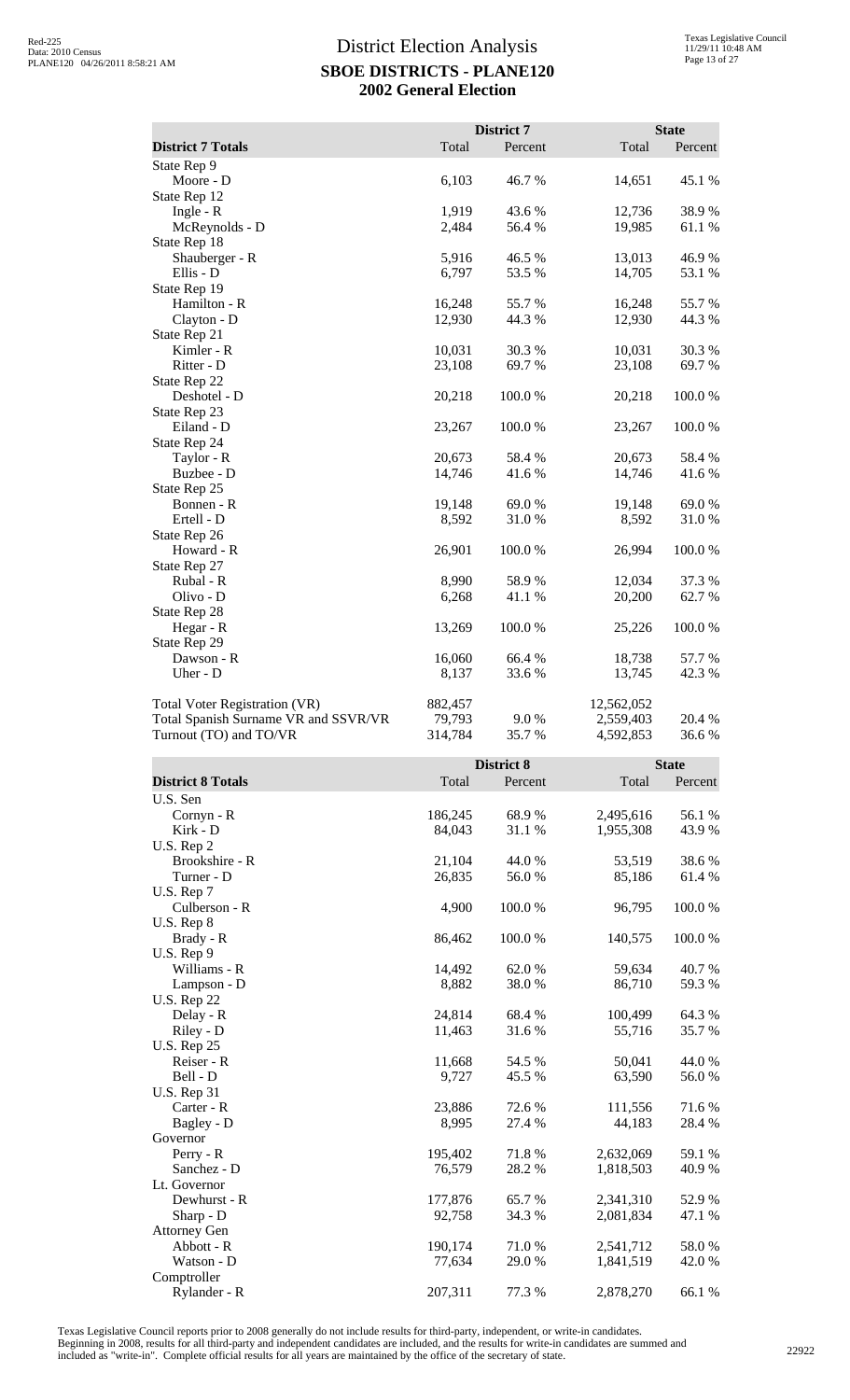|                                      |         | District 7 |            | <b>State</b> |
|--------------------------------------|---------|------------|------------|--------------|
| <b>District 7 Totals</b>             | Total   | Percent    | Total      | Percent      |
| State Rep 9                          |         |            |            |              |
| Moore - D                            | 6,103   | 46.7%      | 14,651     | 45.1 %       |
| State Rep 12                         |         |            |            |              |
| Ingle - $R$                          | 1,919   | 43.6 %     | 12,736     | 38.9%        |
| McReynolds - D                       | 2,484   | 56.4 %     | 19,985     | 61.1 %       |
| State Rep 18                         |         |            |            |              |
| Shauberger - R                       | 5,916   | 46.5 %     | 13,013     | 46.9%        |
| Ellis - D                            | 6,797   | 53.5%      | 14,705     | 53.1 %       |
| State Rep 19                         |         |            |            |              |
| Hamilton - R                         | 16,248  | 55.7%      | 16,248     | 55.7 %       |
| Clayton - D                          | 12,930  | 44.3 %     | 12,930     | 44.3 %       |
| State Rep 21                         |         |            |            |              |
| Kimler - R                           | 10,031  | 30.3%      | 10,031     | 30.3%        |
| Ritter - D                           | 23,108  | 69.7%      | 23,108     | 69.7%        |
| State Rep 22                         |         |            |            |              |
| Deshotel - D                         | 20,218  | 100.0%     | 20,218     | 100.0%       |
| State Rep 23                         |         |            |            |              |
| Eiland - D                           | 23,267  | 100.0%     | 23,267     | 100.0%       |
| State Rep 24                         |         |            |            |              |
| Taylor - R                           | 20,673  | 58.4%      | 20,673     | 58.4%        |
| Buzbee - D                           | 14,746  | 41.6%      | 14,746     | 41.6%        |
| State Rep 25                         |         |            |            |              |
| Bonnen - R                           | 19,148  | 69.0%      | 19,148     | 69.0%        |
| Ertell - D                           | 8,592   | 31.0%      | 8,592      | 31.0 %       |
| State Rep 26                         |         |            |            |              |
| Howard - R                           | 26,901  | 100.0%     | 26,994     | 100.0%       |
| State Rep 27                         |         |            |            |              |
| Rubal - R                            | 8,990   | 58.9%      | 12,034     | 37.3 %       |
| Olivo - D                            | 6,268   | 41.1 %     | 20,200     | 62.7%        |
| State Rep 28                         |         |            |            |              |
| Hegar - R                            | 13,269  | 100.0%     | 25,226     | 100.0%       |
| State Rep 29                         |         |            |            |              |
| Dawson - R                           | 16,060  | 66.4%      | 18,738     | 57.7 %       |
| Uher - D                             | 8,137   | 33.6%      | 13,745     | 42.3 %       |
| <b>Total Voter Registration (VR)</b> | 882,457 |            | 12,562,052 |              |
| Total Spanish Surname VR and SSVR/VR | 79,793  | 9.0%       | 2,559,403  | 20.4 %       |
| Turnout (TO) and TO/VR               | 314,784 | 35.7 %     | 4,592,853  | 36.6%        |

|                          |         | <b>District 8</b> |           |         |
|--------------------------|---------|-------------------|-----------|---------|
| <b>District 8 Totals</b> | Total   | Percent           | Total     | Percent |
| U.S. Sen                 |         |                   |           |         |
| Cornyn - R               | 186,245 | 68.9%             | 2,495,616 | 56.1 %  |
| Kirk - D                 | 84,043  | 31.1 %            | 1,955,308 | 43.9%   |
| U.S. Rep 2               |         |                   |           |         |
| Brookshire - R           | 21,104  | 44.0 %            | 53,519    | 38.6%   |
| Turner - D               | 26,835  | 56.0%             | 85,186    | 61.4%   |
| U.S. Rep 7               |         |                   |           |         |
| Culberson - R            | 4,900   | 100.0%            | 96,795    | 100.0%  |
| U.S. Rep 8               |         |                   |           |         |
| Brady - R                | 86,462  | 100.0%            | 140,575   | 100.0%  |
| U.S. Rep 9               |         |                   |           |         |
| Williams - R             | 14,492  | 62.0 %            | 59,634    | 40.7%   |
| Lampson - D              | 8,882   | 38.0%             | 86,710    | 59.3%   |
| <b>U.S. Rep 22</b>       |         |                   |           |         |
| Delay - R                | 24,814  | 68.4%             | 100,499   | 64.3 %  |
| Riley - D                | 11,463  | 31.6%             | 55,716    | 35.7%   |
| <b>U.S. Rep 25</b>       |         |                   |           |         |
| Reiser - R               | 11,668  | 54.5 %            | 50,041    | 44.0%   |
| Bell - D                 | 9,727   | 45.5 %            | 63,590    | 56.0%   |
| <b>U.S. Rep 31</b>       |         |                   |           |         |
| Carter - R               | 23,886  | 72.6 %            | 111,556   | 71.6 %  |
| Bagley - D               | 8,995   | 27.4 %            | 44,183    | 28.4 %  |
| Governor                 |         |                   |           |         |
| Perry - R                | 195,402 | 71.8%             | 2,632,069 | 59.1 %  |
| Sanchez - D              | 76,579  | 28.2 %            | 1,818,503 | 40.9 %  |
| Lt. Governor             |         |                   |           |         |
| Dewhurst - R             | 177,876 | 65.7%             | 2,341,310 | 52.9%   |
| Sharp - D                | 92,758  | 34.3 %            | 2,081,834 | 47.1 %  |
| <b>Attorney Gen</b>      |         |                   |           |         |
| Abbott - R               | 190,174 | 71.0%             | 2,541,712 | 58.0%   |
| Watson - D               | 77,634  | 29.0 %            | 1,841,519 | 42.0%   |
| Comptroller              |         |                   |           |         |
| Rylander - R             | 207,311 | 77.3 %            | 2,878,270 | 66.1%   |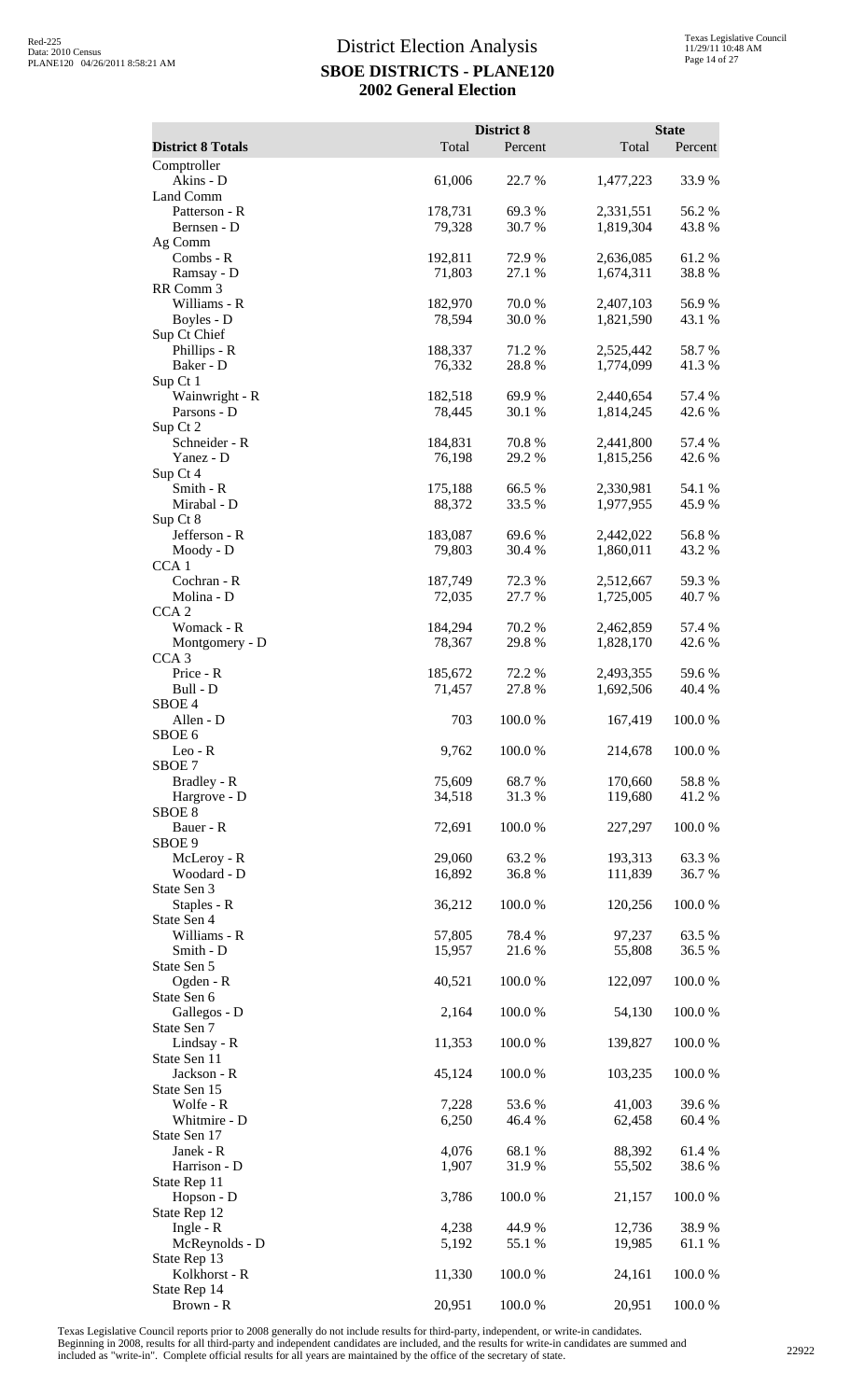| <b>District 8 Totals</b>        | Total             | District 8<br>Percent | Total                  | <b>State</b><br>Percent |
|---------------------------------|-------------------|-----------------------|------------------------|-------------------------|
| Comptroller                     |                   |                       |                        |                         |
| Akins - D                       | 61,006            | 22.7 %                | 1,477,223              | 33.9%                   |
| Land Comm<br>Patterson - R      | 178,731           | 69.3%                 | 2,331,551              | 56.2%                   |
| Bernsen - D                     | 79,328            | 30.7%                 | 1,819,304              | 43.8%                   |
| Ag Comm<br>Combs - R            | 192,811           | 72.9%                 | 2,636,085              | 61.2%                   |
| Ramsay - D                      | 71,803            | 27.1 %                | 1,674,311              | 38.8%                   |
| RR Comm 3<br>Williams - R       |                   | 70.0%                 |                        |                         |
| Boyles - D                      | 182,970<br>78,594 | 30.0 %                | 2,407,103<br>1,821,590 | 56.9%<br>43.1 %         |
| Sup Ct Chief                    |                   |                       |                        |                         |
| Phillips - R<br>Baker - D       | 188,337<br>76,332 | 71.2 %<br>28.8%       | 2,525,442<br>1,774,099 | 58.7%<br>41.3%          |
| Sup Ct 1                        |                   |                       |                        |                         |
| Wainwright - R<br>Parsons - D   | 182,518<br>78,445 | 69.9 %<br>30.1 %      | 2,440,654              | 57.4 %<br>42.6 %        |
| Sup Ct 2                        |                   |                       | 1,814,245              |                         |
| Schneider - R                   | 184,831           | 70.8%                 | 2,441,800              | 57.4 %                  |
| Yanez - D<br>Sup Ct 4           | 76,198            | 29.2 %                | 1,815,256              | 42.6 %                  |
| Smith - R                       | 175,188           | 66.5 %                | 2,330,981              | 54.1 %                  |
| Mirabal - D<br>Sup Ct 8         | 88,372            | 33.5 %                | 1,977,955              | 45.9%                   |
| Jefferson - R                   | 183,087           | 69.6 %                | 2,442,022              | 56.8%                   |
| Moody - D                       | 79,803            | 30.4 %                | 1,860,011              | 43.2 %                  |
| CCA <sub>1</sub><br>Cochran - R | 187,749           | 72.3 %                | 2,512,667              | 59.3%                   |
| Molina - D                      | 72,035            | 27.7 %                | 1,725,005              | 40.7%                   |
| CCA <sub>2</sub><br>Womack - R  |                   | 70.2 %                |                        | 57.4 %                  |
| Montgomery - D                  | 184,294<br>78,367 | 29.8%                 | 2,462,859<br>1,828,170 | 42.6 %                  |
| CCA <sub>3</sub>                |                   |                       |                        |                         |
| Price - R<br>Bull - D           | 185,672<br>71,457 | 72.2 %<br>27.8 %      | 2,493,355<br>1,692,506 | 59.6%<br>40.4 %         |
| SBOE <sub>4</sub>               |                   |                       |                        |                         |
| Allen - D<br>SBOE <sub>6</sub>  | 703               | 100.0%                | 167,419                | 100.0%                  |
| $Leo - R$                       | 9,762             | 100.0%                | 214,678                | 100.0%                  |
| SBOE <sub>7</sub>               |                   |                       |                        |                         |
| Bradley - R<br>Hargrove - D     | 75,609<br>34,518  | 68.7%<br>31.3%        | 170,660<br>119,680     | 58.8%<br>41.2%          |
| SBOE <sub>8</sub>               |                   |                       |                        |                         |
| Bauer - R<br>SBOE 9             | 72,691            | 100.0%                | 227,297                | 100.0%                  |
| McLeroy - R                     | 29,060            | 63.2%                 | 193,313                | 63.3%                   |
| Woodard - D                     | 16,892            | 36.8%                 | 111,839                | 36.7%                   |
| State Sen 3<br>Staples - R      | 36,212            | 100.0%                | 120,256                | 100.0%                  |
| State Sen 4                     |                   |                       |                        |                         |
| Williams - R<br>Smith - D       | 57,805<br>15,957  | 78.4 %<br>21.6 %      | 97,237<br>55,808       | 63.5 %<br>36.5 %        |
| State Sen 5                     |                   |                       |                        |                         |
| Ogden - R                       | 40,521            | 100.0%                | 122,097                | 100.0%                  |
| State Sen 6<br>Gallegos - D     | 2,164             | 100.0%                | 54,130                 | 100.0%                  |
| State Sen 7                     |                   |                       |                        |                         |
| Lindsay - R<br>State Sen 11     | 11,353            | 100.0%                | 139,827                | 100.0%                  |
| Jackson - R                     | 45,124            | 100.0%                | 103,235                | 100.0%                  |
| State Sen 15<br>Wolfe - R       | 7,228             | 53.6%                 | 41,003                 | 39.6%                   |
| Whitmire - D                    | 6,250             | 46.4 %                | 62,458                 | 60.4%                   |
| State Sen 17                    |                   |                       |                        |                         |
| Janek - R<br>Harrison - D       | 4,076<br>1,907    | 68.1 %<br>31.9%       | 88,392<br>55,502       | 61.4%<br>38.6%          |
| State Rep 11                    |                   |                       |                        |                         |
| Hopson - D<br>State Rep 12      | 3,786             | 100.0%                | 21,157                 | 100.0%                  |
| Ingle - $R$                     | 4,238             | 44.9%                 | 12,736                 | 38.9%                   |
| McReynolds - D                  | 5,192             | 55.1 %                | 19,985                 | 61.1%                   |
| State Rep 13<br>Kolkhorst - R   | 11,330            | 100.0%                | 24,161                 | 100.0%                  |
| State Rep 14                    |                   |                       |                        |                         |
| Brown - R                       | 20,951            | 100.0%                | 20,951                 | 100.0%                  |

Texas Legislative Council reports prior to 2008 generally do not include results for third-party, independent, or write-in candidates.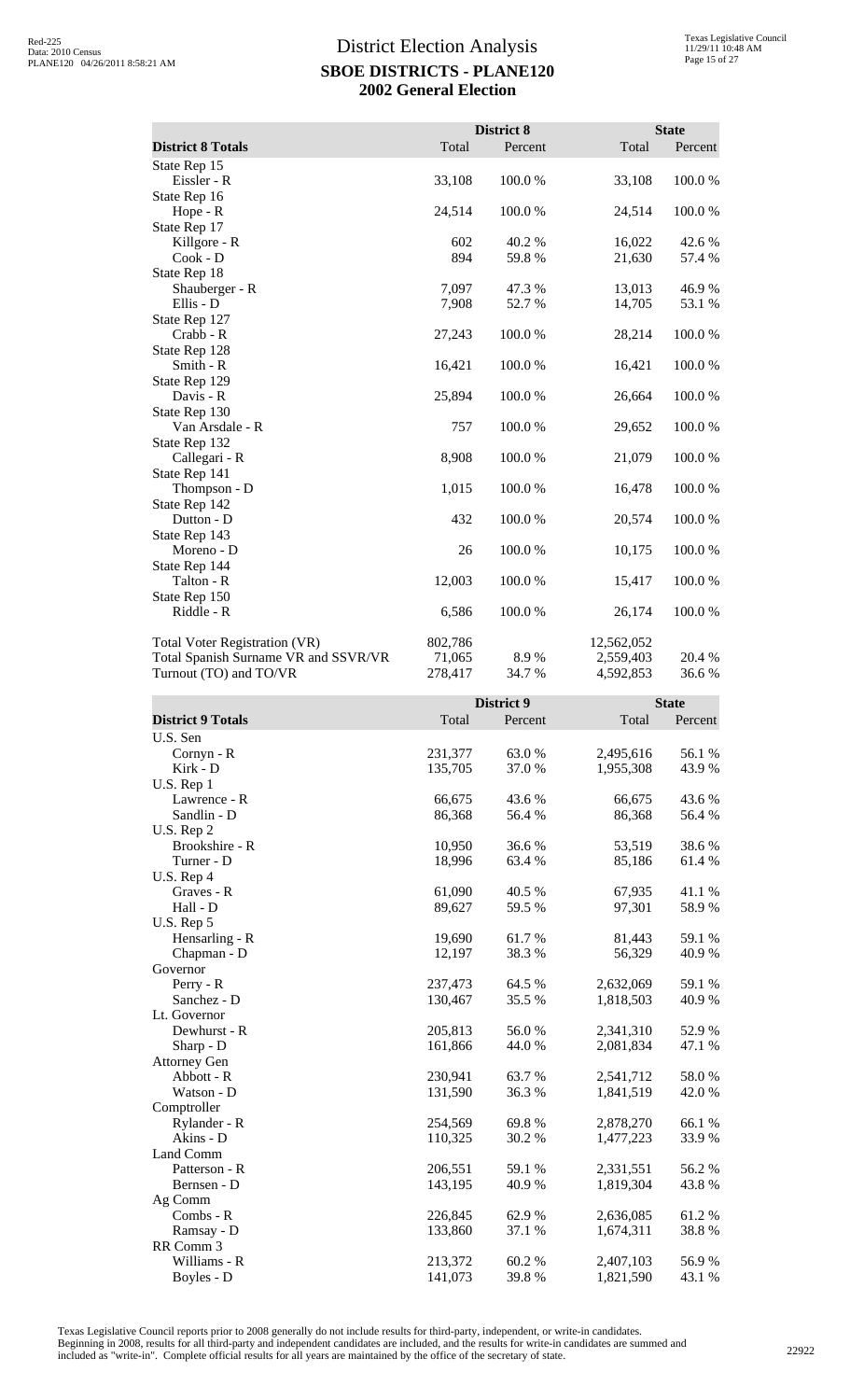|                                      |         | District 8 |            | <b>State</b> |
|--------------------------------------|---------|------------|------------|--------------|
| <b>District 8 Totals</b>             | Total   | Percent    | Total      | Percent      |
| State Rep 15                         |         |            |            |              |
| Eissler - R                          | 33,108  | 100.0%     | 33,108     | 100.0%       |
| State Rep 16                         |         |            |            |              |
| Hope - R                             | 24,514  | 100.0%     | 24,514     | 100.0%       |
| State Rep 17                         |         |            |            |              |
| Killgore - R                         | 602     | 40.2 %     | 16,022     | 42.6 %       |
| $Cook - D$                           | 894     | 59.8%      | 21,630     | 57.4 %       |
| State Rep 18                         |         |            |            |              |
| Shauberger - R                       | 7,097   | 47.3 %     | 13,013     | 46.9%        |
| Ellis - D                            | 7,908   | 52.7%      | 14,705     | 53.1 %       |
| State Rep 127                        |         |            |            |              |
| Crabb - R                            | 27,243  | 100.0%     | 28,214     | 100.0%       |
| State Rep 128                        |         |            |            |              |
| Smith - R                            | 16,421  | $100.0~\%$ | 16,421     | 100.0%       |
| State Rep 129                        |         |            |            |              |
| Davis - R                            | 25,894  | 100.0%     | 26,664     | 100.0%       |
| State Rep 130                        |         |            |            |              |
| Van Arsdale - R                      | 757     | 100.0%     | 29,652     | 100.0%       |
| State Rep 132                        |         |            |            |              |
| Callegari - R                        | 8,908   | 100.0%     | 21,079     | 100.0%       |
| State Rep 141                        |         |            |            |              |
| Thompson - D                         | 1,015   | 100.0%     | 16,478     | 100.0%       |
| State Rep 142                        |         |            |            |              |
| Dutton - D                           | 432     | 100.0%     | 20,574     | 100.0%       |
| State Rep 143                        |         |            |            |              |
| Moreno - D                           | 26      | 100.0%     | 10,175     | 100.0%       |
| State Rep 144                        |         |            |            |              |
| Talton - R                           | 12,003  | 100.0%     | 15,417     | 100.0%       |
| State Rep 150                        |         |            |            |              |
| Riddle - R                           | 6,586   | 100.0%     | 26,174     | 100.0%       |
| Total Voter Registration (VR)        | 802,786 |            | 12,562,052 |              |
| Total Spanish Surname VR and SSVR/VR | 71,065  | 8.9%       | 2,559,403  | 20.4 %       |
| Turnout (TO) and TO/VR               | 278,417 | 34.7 %     | 4,592,853  | 36.6%        |

|                          |         | District 9 |           | <b>State</b> |
|--------------------------|---------|------------|-----------|--------------|
| <b>District 9 Totals</b> | Total   | Percent    | Total     | Percent      |
| U.S. Sen                 |         |            |           |              |
| Cornyn - R               | 231,377 | 63.0%      | 2,495,616 | 56.1 %       |
| Kirk - D                 | 135,705 | 37.0%      | 1,955,308 | 43.9%        |
| U.S. Rep 1               |         |            |           |              |
| Lawrence - R             | 66,675  | 43.6 %     | 66,675    | 43.6 %       |
| Sandlin - D              | 86,368  | 56.4 %     | 86,368    | 56.4 %       |
| U.S. Rep 2               |         |            |           |              |
| Brookshire - R           | 10,950  | 36.6%      | 53,519    | 38.6%        |
| Turner - D               | 18,996  | 63.4 %     | 85,186    | 61.4 %       |
| U.S. Rep 4               |         |            |           |              |
| Graves - R               | 61,090  | 40.5 %     | 67,935    | 41.1%        |
| Hall - D                 | 89,627  | 59.5 %     | 97,301    | 58.9%        |
| U.S. Rep 5               |         |            |           |              |
| Hensarling - R           | 19,690  | 61.7%      | 81,443    | 59.1 %       |
| Chapman - D              | 12,197  | 38.3 %     | 56,329    | 40.9%        |
| Governor                 |         |            |           |              |
| Perry - R                | 237,473 | 64.5 %     | 2,632,069 | 59.1 %       |
| Sanchez - D              | 130,467 | 35.5 %     | 1,818,503 | 40.9%        |
| Lt. Governor             |         |            |           |              |
| Dewhurst - R             | 205,813 | 56.0%      | 2,341,310 | 52.9%        |
| Sharp - D                | 161,866 | 44.0%      | 2,081,834 | 47.1 %       |
| <b>Attorney Gen</b>      |         |            |           |              |
| Abbott - R               | 230,941 | 63.7%      | 2,541,712 | 58.0%        |
| Watson - D               | 131,590 | 36.3 %     | 1,841,519 | 42.0 %       |
| Comptroller              |         |            |           |              |
| Rylander - R             | 254,569 | 69.8%      | 2,878,270 | 66.1%        |
| Akins - D                | 110,325 | 30.2 %     | 1,477,223 | 33.9%        |
| Land Comm                |         |            |           |              |
| Patterson - R            | 206,551 | 59.1 %     | 2,331,551 | 56.2%        |
| Bernsen - D              | 143,195 | 40.9 %     | 1,819,304 | 43.8%        |
| Ag Comm                  |         |            |           |              |
| Combs - R                | 226,845 | 62.9%      | 2,636,085 | 61.2%        |
| Ramsay - D               | 133,860 | 37.1 %     | 1,674,311 | 38.8%        |
| RR Comm 3                |         |            |           |              |
| Williams - R             | 213,372 | 60.2%      | 2,407,103 | 56.9%        |
| Boyles - D               | 141,073 | 39.8%      | 1,821,590 | 43.1 %       |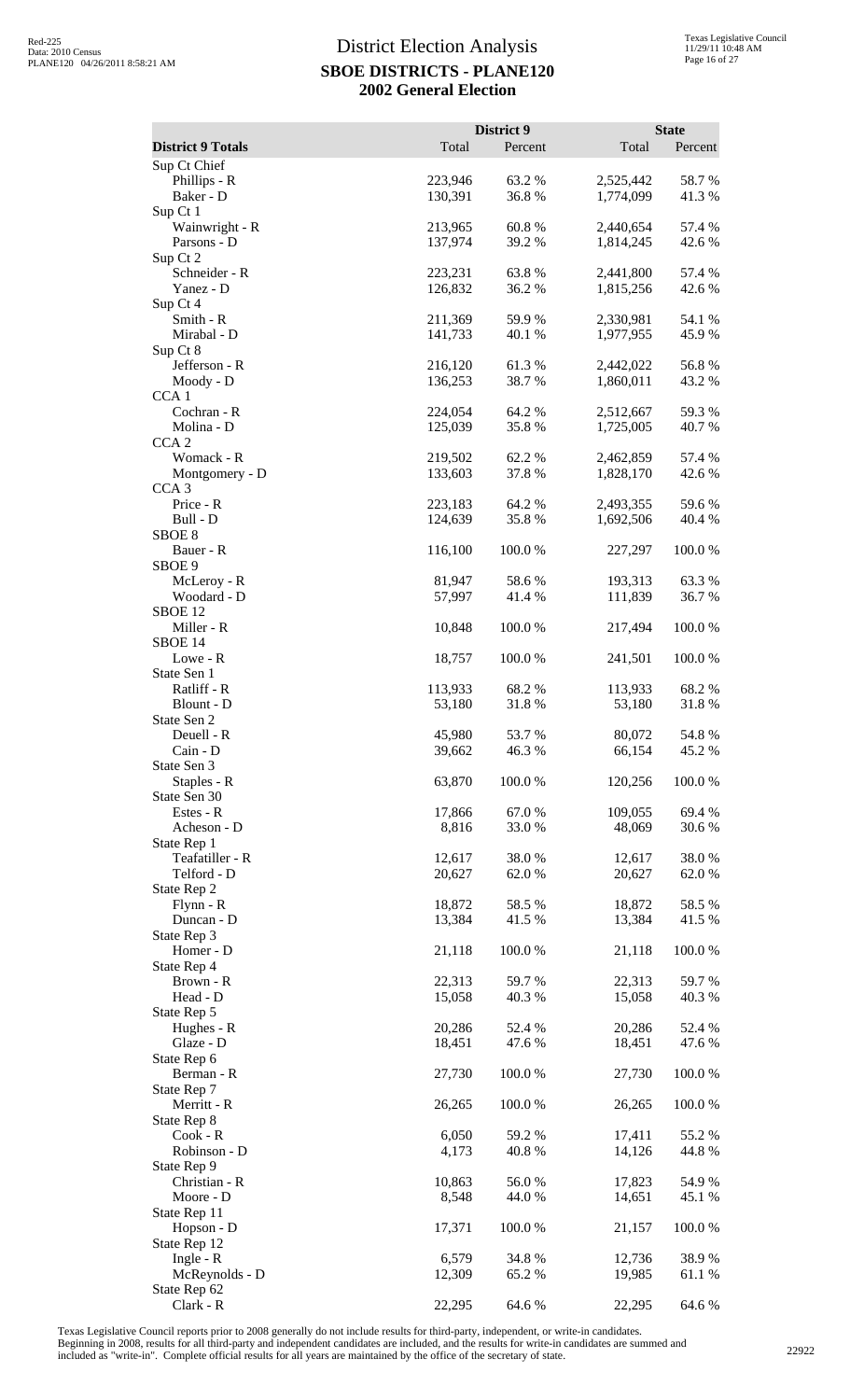| <b>District 9 Totals</b>                        | Total              | District 9<br>Percent | Total                  | <b>State</b><br>Percent |
|-------------------------------------------------|--------------------|-----------------------|------------------------|-------------------------|
| Sup Ct Chief                                    |                    |                       |                        |                         |
| Phillips - R<br>Baker - D                       | 223,946<br>130,391 | 63.2%<br>36.8%        | 2,525,442<br>1,774,099 | 58.7%<br>41.3%          |
| Sup Ct 1<br>Wainwright - R<br>Parsons - D       | 213,965<br>137,974 | 60.8%<br>39.2 %       | 2,440,654<br>1,814,245 | 57.4 %<br>42.6 %        |
| Sup Ct 2<br>Schneider - R<br>Yanez - D          | 223,231<br>126,832 | 63.8%<br>36.2%        | 2,441,800<br>1,815,256 | 57.4 %<br>42.6 %        |
| Sup Ct 4<br>Smith - R<br>Mirabal - D            | 211,369<br>141,733 | 59.9 %<br>40.1 %      | 2,330,981<br>1,977,955 | 54.1 %<br>45.9 %        |
| Sup Ct 8<br>Jefferson - R<br>Moody - D          | 216,120<br>136,253 | 61.3%<br>38.7%        | 2,442,022<br>1,860,011 | 56.8%<br>43.2 %         |
| CCA <sub>1</sub><br>Cochran - R                 | 224,054            | 64.2 %                | 2,512,667              | 59.3 %                  |
| Molina - D<br>CCA <sub>2</sub><br>Womack - R    | 125,039<br>219,502 | 35.8%<br>62.2%        | 1,725,005<br>2,462,859 | 40.7%<br>57.4 %         |
| Montgomery - D<br>CCA <sub>3</sub><br>Price - R | 133,603<br>223,183 | 37.8%<br>64.2 %       | 1,828,170<br>2,493,355 | 42.6 %<br>59.6%         |
| Bull - D<br>SBOE <sub>8</sub><br>Bauer - R      | 124,639<br>116,100 | 35.8%<br>100.0%       | 1,692,506<br>227,297   | 40.4 %<br>100.0%        |
| SBOE 9<br>McLeroy - R                           | 81,947             | 58.6%                 | 193,313                | 63.3%                   |
| Woodard - D<br>SBOE <sub>12</sub><br>Miller - R | 57,997<br>10,848   | 41.4 %<br>100.0%      | 111,839<br>217,494     | 36.7%<br>100.0%         |
| SBOE 14<br>Lowe - R<br>State Sen 1              | 18,757             | 100.0%                | 241,501                | 100.0%                  |
| Ratliff - R<br>Blount - D<br>State Sen 2        | 113,933<br>53,180  | 68.2%<br>31.8%        | 113,933<br>53,180      | 68.2%<br>31.8%          |
| Deuell - R<br>Cain - D<br>State Sen 3           | 45,980<br>39,662   | 53.7%<br>46.3 %       | 80,072<br>66,154       | 54.8%<br>45.2 %         |
| Staples - R<br>State Sen 30                     | 63,870             | 100.0%                | 120,256                | 100.0%                  |
| Estes - R<br>Acheson - D<br>State Rep 1         | 17,866<br>8,816    | 67.0 %<br>33.0%       | 109,055<br>48,069      | 69.4 %<br>30.6%         |
| Teafatiller - R<br>Telford - D<br>State Rep 2   | 12,617<br>20,627   | 38.0%<br>62.0 %       | 12,617<br>20,627       | 38.0%<br>62.0 %         |
| Flynn - R<br>Duncan - D<br>State Rep 3          | 18,872<br>13,384   | 58.5 %<br>41.5 %      | 18,872<br>13,384       | 58.5 %<br>41.5 %        |
| Homer - D<br>State Rep 4<br>Brown - R           | 21,118<br>22,313   | 100.0%<br>59.7%       | 21,118<br>22,313       | 100.0%<br>59.7 %        |
| Head - D<br>State Rep 5                         | 15,058             | 40.3%                 | 15,058                 | 40.3 %                  |
| Hughes - R<br>Glaze - D<br>State Rep 6          | 20,286<br>18,451   | 52.4 %<br>47.6 %      | 20,286<br>18,451       | 52.4 %<br>47.6 %        |
| Berman - R<br>State Rep 7<br>Merritt - R        | 27,730<br>26,265   | 100.0%<br>100.0%      | 27,730<br>26,265       | 100.0%<br>100.0%        |
| State Rep 8<br>$Cook - R$<br>Robinson - D       | 6,050<br>4,173     | 59.2 %<br>40.8 %      | 17,411<br>14,126       | 55.2 %<br>44.8%         |
| State Rep 9<br>Christian - R                    | 10,863             | 56.0%                 | 17,823                 | 54.9%                   |
| Moore - D<br>State Rep 11<br>Hopson - D         | 8,548<br>17,371    | 44.0 %<br>100.0 %     | 14,651<br>21,157       | 45.1 %<br>100.0%        |
| State Rep 12<br>Ingle - $R$<br>McReynolds - D   | 6,579<br>12,309    | 34.8%<br>65.2%        | 12,736<br>19,985       | 38.9%<br>61.1 %         |
| State Rep 62<br>Clark - R                       | 22,295             | 64.6 %                | 22,295                 | 64.6 %                  |

Texas Legislative Council reports prior to 2008 generally do not include results for third-party, independent, or write-in candidates.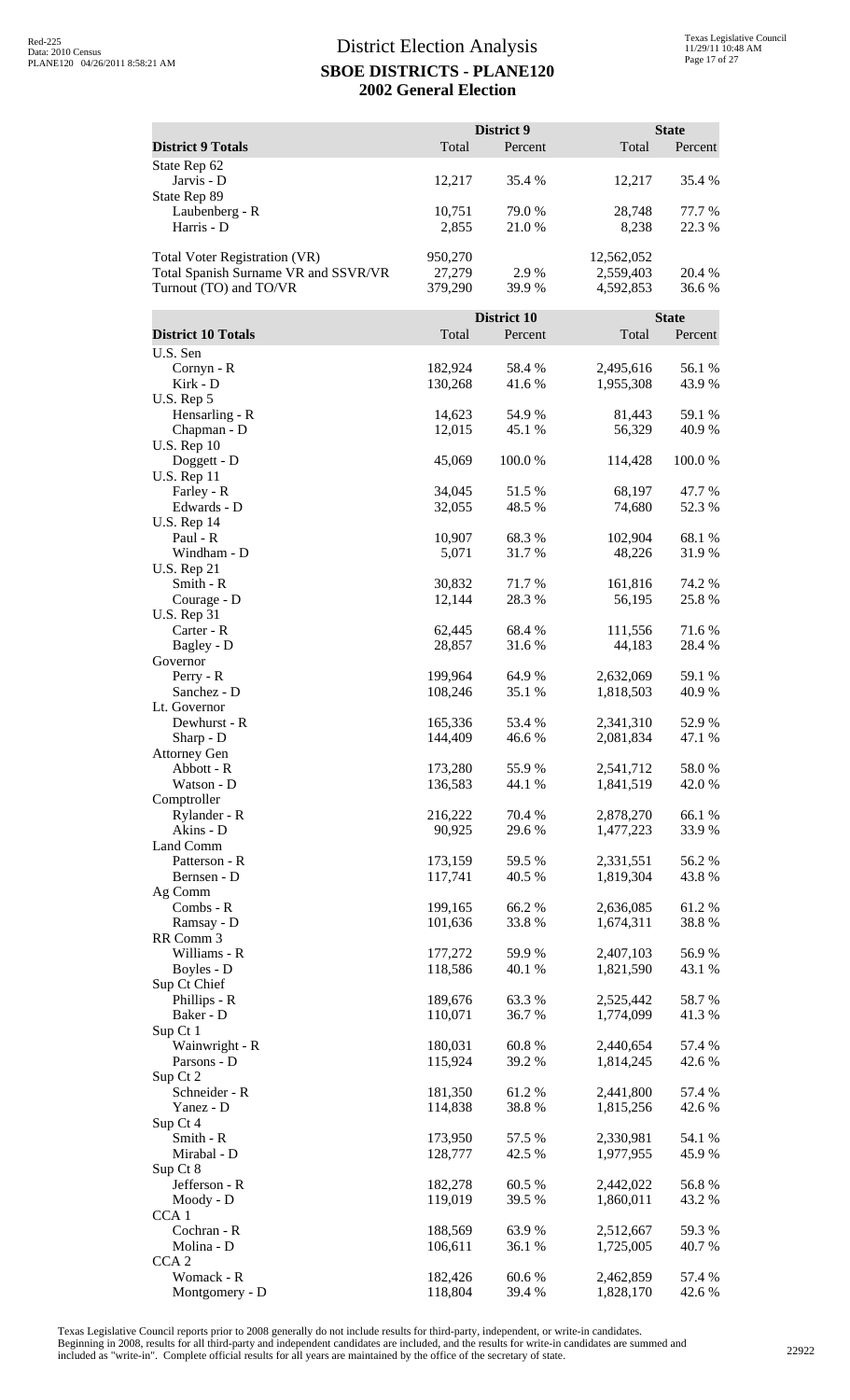|                                      |                    | District 9         |                        | <b>State</b>     |
|--------------------------------------|--------------------|--------------------|------------------------|------------------|
| <b>District 9 Totals</b>             | Total              | Percent            | Total                  | Percent          |
| State Rep 62<br>Jarvis - D           | 12,217             | 35.4 %             | 12,217                 | 35.4 %           |
| State Rep 89<br>Laubenberg - R       | 10,751             | 79.0 %             | 28,748                 | 77.7 %           |
| Harris - D                           | 2,855              | 21.0 %             | 8,238                  | 22.3 %           |
| <b>Total Voter Registration (VR)</b> | 950,270            |                    | 12,562,052             |                  |
| Total Spanish Surname VR and SSVR/VR | 27,279             | 2.9 %              | 2,559,403              | 20.4 %           |
| Turnout (TO) and TO/VR               | 379,290            | 39.9%              | 4,592,853              | 36.6%            |
|                                      |                    | <b>District 10</b> |                        | <b>State</b>     |
| <b>District 10 Totals</b>            | Total              | Percent            | Total                  | Percent          |
| U.S. Sen                             |                    |                    |                        |                  |
| Cornyn - R                           | 182,924            | 58.4%              | 2,495,616              | 56.1 %           |
| Kirk - D<br>U.S. Rep 5               | 130,268            | 41.6%              | 1,955,308              | 43.9%            |
| Hensarling - R                       | 14,623             | 54.9 %             | 81,443                 | 59.1 %           |
| Chapman - D                          | 12,015             | 45.1 %             | 56,329                 | 40.9%            |
| <b>U.S. Rep 10</b>                   |                    | 100.0%             |                        |                  |
| Doggett - D<br><b>U.S. Rep 11</b>    | 45,069             |                    | 114,428                | $100.0~\%$       |
| Farley - R                           | 34,045             | 51.5%              | 68,197                 | 47.7 %           |
| Edwards - D                          | 32,055             | 48.5 %             | 74,680                 | 52.3 %           |
| <b>U.S. Rep 14</b><br>Paul - R       | 10,907             | 68.3%              | 102,904                | 68.1%            |
| Windham - D                          | 5,071              | 31.7%              | 48,226                 | 31.9%            |
| <b>U.S. Rep 21</b>                   |                    |                    |                        |                  |
| Smith - R                            | 30,832             | 71.7 %             | 161,816                | 74.2 %           |
| Courage - D<br><b>U.S. Rep 31</b>    | 12,144             | 28.3%              | 56,195                 | 25.8%            |
| Carter - R                           | 62,445             | 68.4 %             | 111,556                | 71.6%            |
| Bagley - D                           | 28,857             | 31.6%              | 44,183                 | 28.4 %           |
| Governor                             |                    |                    |                        |                  |
| Perry - R<br>Sanchez - D             | 199,964<br>108,246 | 64.9 %<br>35.1 %   | 2,632,069<br>1,818,503 | 59.1 %<br>40.9%  |
| Lt. Governor                         |                    |                    |                        |                  |
| Dewhurst - R                         | 165,336            | 53.4 %             | 2,341,310              | 52.9%            |
| Sharp - D<br><b>Attorney Gen</b>     | 144,409            | 46.6%              | 2,081,834              | 47.1 %           |
| Abbott - R                           | 173,280            | 55.9%              | 2,541,712              | 58.0%            |
| Watson - D                           | 136,583            | 44.1 %             | 1,841,519              | 42.0 %           |
| Comptroller                          |                    |                    |                        |                  |
| Rylander - R<br>Akins - D            | 216,222<br>90,925  | 70.4 %<br>29.6 %   | 2,878,270<br>1,477,223 | 66.1 %<br>33.9%  |
| Land Comm                            |                    |                    |                        |                  |
| Patterson - R                        | 173,159            | 59.5 %             | 2,331,551              | 56.2%            |
| Bernsen - D<br>Ag Comm               | 117,741            | 40.5 %             | 1,819,304              | 43.8%            |
| Combs - R                            | 199,165            | 66.2%              | 2,636,085              | 61.2%            |
| Ramsay - D                           | 101,636            | 33.8%              | 1,674,311              | 38.8%            |
| RR Comm 3<br>Williams - R            | 177,272            |                    | 2,407,103              | 56.9%            |
| Boyles - D                           | 118,586            | 59.9%<br>40.1 %    | 1,821,590              | 43.1 %           |
| Sup Ct Chief                         |                    |                    |                        |                  |
| Phillips - R                         | 189,676            | 63.3%              | 2,525,442              | 58.7%            |
| Baker - D<br>Sup Ct 1                | 110,071            | 36.7%              | 1,774,099              | 41.3%            |
| Wainwright - R                       | 180,031            | 60.8%              | 2,440,654              | 57.4 %           |
| Parsons - D                          | 115,924            | 39.2 %             | 1,814,245              | 42.6 %           |
| Sup Ct 2<br>Schneider - R            |                    |                    |                        |                  |
| Yanez - D                            | 181,350<br>114,838 | 61.2%<br>38.8%     | 2,441,800<br>1,815,256 | 57.4 %<br>42.6 % |
| Sup Ct 4                             |                    |                    |                        |                  |
| Smith - R                            | 173,950            | 57.5 %             | 2,330,981              | 54.1 %           |
| Mirabal - D<br>Sup Ct 8              | 128,777            | 42.5 %             | 1,977,955              | 45.9%            |
| Jefferson - R                        | 182,278            | 60.5 %             | 2,442,022              | 56.8%            |
| Moody - D                            | 119,019            | 39.5 %             | 1,860,011              | 43.2 %           |
| CCA <sub>1</sub>                     |                    |                    |                        |                  |
| Cochran - R<br>Molina - D            | 188,569<br>106,611 | 63.9%<br>36.1%     | 2,512,667<br>1,725,005 | 59.3%<br>40.7 %  |
| CCA <sub>2</sub>                     |                    |                    |                        |                  |
| Womack - R                           | 182,426            | 60.6%              | 2,462,859              | 57.4 %           |
| Montgomery - D                       | 118,804            | 39.4 %             | 1,828,170              | 42.6 %           |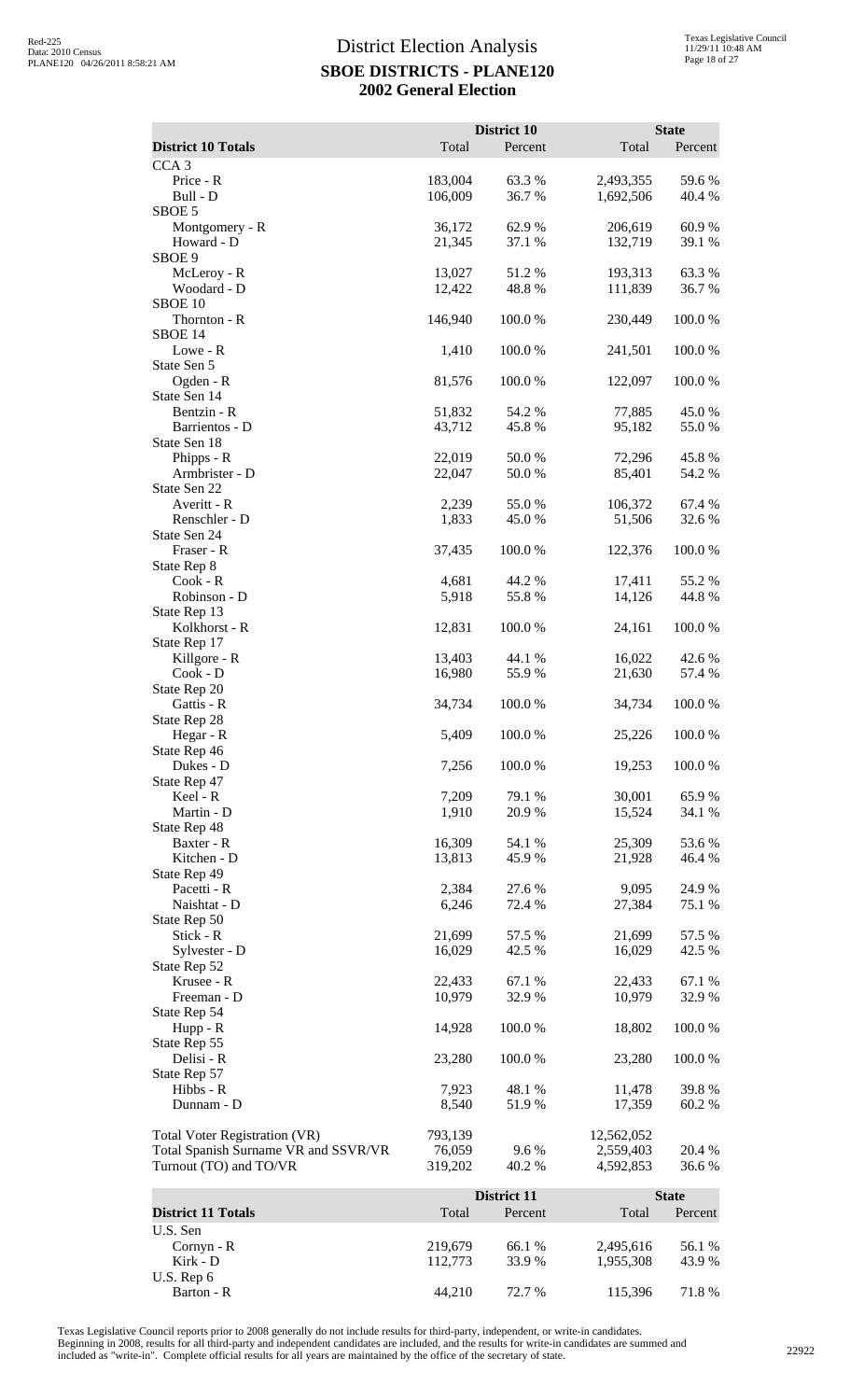|                                                                |                   | District 10            |                        | <b>State</b>            |
|----------------------------------------------------------------|-------------------|------------------------|------------------------|-------------------------|
| <b>District 10 Totals</b>                                      | Total             | Percent                | Total                  | Percent                 |
| CCA <sub>3</sub><br>Price - R                                  | 183,004           | 63.3%                  | 2,493,355              | 59.6 %                  |
| Bull - D                                                       | 106,009           | 36.7 %                 | 1,692,506              | 40.4 %                  |
| SBOE 5                                                         |                   |                        |                        |                         |
| Montgomery - R<br>Howard - D                                   | 36,172<br>21,345  | 62.9 %<br>37.1 %       | 206,619<br>132,719     | 60.9%<br>39.1 %         |
| SBOE 9                                                         |                   |                        |                        |                         |
| McLeroy - R<br>Woodard - D                                     | 13,027            | 51.2%<br>48.8%         | 193,313                | 63.3%<br>36.7%          |
| SBOE 10                                                        | 12,422            |                        | 111,839                |                         |
| Thornton - R                                                   | 146,940           | 100.0%                 | 230,449                | 100.0%                  |
| SBOE 14<br>Lowe - R                                            | 1,410             | 100.0%                 | 241,501                | 100.0%                  |
| State Sen 5                                                    |                   |                        |                        |                         |
| Ogden - R<br>State Sen 14                                      | 81,576            | 100.0%                 | 122,097                | 100.0%                  |
| Bentzin - R                                                    | 51,832            | 54.2 %                 | 77,885                 | 45.0%                   |
| Barrientos - D                                                 | 43,712            | 45.8%                  | 95,182                 | 55.0%                   |
| State Sen 18<br>Phipps - R                                     | 22,019            | 50.0%                  | 72,296                 | 45.8%                   |
| Armbrister - D                                                 | 22,047            | 50.0%                  | 85,401                 | 54.2 %                  |
| State Sen 22<br>Averitt - R                                    | 2,239             | 55.0%                  | 106,372                | 67.4 %                  |
| Renschler - D                                                  | 1,833             | 45.0 %                 | 51,506                 | 32.6%                   |
| State Sen 24                                                   |                   |                        |                        |                         |
| Fraser - R<br>State Rep 8                                      | 37,435            | 100.0 %                | 122,376                | 100.0%                  |
| Cook - R                                                       | 4,681             | 44.2 %                 | 17,411                 | 55.2 %                  |
| Robinson - D                                                   | 5,918             | 55.8%                  | 14,126                 | 44.8%                   |
| State Rep 13<br>Kolkhorst - R                                  | 12,831            | 100.0%                 | 24,161                 | 100.0%                  |
| State Rep 17                                                   |                   |                        |                        |                         |
| Killgore - R<br>Cook - D                                       | 13,403<br>16,980  | 44.1 %<br>55.9%        | 16,022<br>21,630       | 42.6 %<br>57.4 %        |
| State Rep 20                                                   |                   |                        |                        |                         |
| Gattis - R                                                     | 34,734            | 100.0%                 | 34,734                 | 100.0%                  |
| State Rep 28<br>Hegar - R                                      | 5,409             | 100.0%                 | 25,226                 | 100.0%                  |
| State Rep 46                                                   |                   |                        |                        |                         |
| Dukes - D<br>State Rep 47                                      | 7,256             | 100.0%                 | 19,253                 | 100.0%                  |
| Keel - R                                                       | 7,209             | 79.1 %                 | 30,001                 | 65.9%                   |
| Martin - D                                                     | 1,910             | 20.9%                  | 15,524                 | 34.1 %                  |
| State Rep 48<br>Baxter - R                                     | 16,309            | 54.1 %                 | 25,309                 | 53.6%                   |
| Kitchen - D                                                    | 13,813            | 45.9%                  | 21,928                 | 46.4 %                  |
| State Rep 49<br>Pacetti - R                                    | 2,384             | 27.6 %                 | 9,095                  | 24.9%                   |
| Naishtat - D                                                   | 6,246             | 72.4 %                 | 27,384                 | 75.1 %                  |
| State Rep 50                                                   |                   |                        |                        |                         |
| Stick - R<br>Sylvester - D                                     | 21,699<br>16,029  | 57.5 %<br>42.5 %       | 21,699<br>16,029       | 57.5 %<br>42.5 %        |
| State Rep 52                                                   |                   |                        |                        |                         |
| Krusee - R<br>Freeman - D                                      | 22,433<br>10,979  | 67.1 %<br>32.9%        | 22,433<br>10,979       | 67.1 %<br>32.9%         |
| State Rep 54                                                   |                   |                        |                        |                         |
| Hupp - R                                                       | 14,928            | 100.0%                 | 18,802                 | 100.0%                  |
| State Rep 55<br>Delisi - R                                     | 23,280            | 100.0%                 | 23,280                 | 100.0%                  |
| State Rep 57                                                   |                   |                        |                        |                         |
| Hibbs - R<br>Dunnam - D                                        | 7,923<br>8,540    | 48.1 %<br>51.9%        | 11,478<br>17,359       | 39.8%<br>60.2%          |
|                                                                |                   |                        |                        |                         |
| Total Voter Registration (VR)                                  | 793,139           |                        | 12,562,052             |                         |
| Total Spanish Surname VR and SSVR/VR<br>Turnout (TO) and TO/VR | 76,059<br>319,202 | 9.6%<br>40.2 %         | 2,559,403<br>4,592,853 | 20.4 %<br>36.6%         |
|                                                                |                   |                        |                        |                         |
| <b>District 11 Totals</b>                                      | Total             | District 11<br>Percent | Total                  | <b>State</b><br>Percent |
| U.S. Sen                                                       |                   |                        |                        |                         |
| Cornyn - R                                                     | 219,679           | 66.1 %                 | 2,495,616              | 56.1 %                  |
| Kirk - D<br>U.S. Rep 6                                         | 112,773           | 33.9%                  | 1,955,308              | 43.9%                   |
| Barton - R                                                     | 44,210            | 72.7 %                 | 115,396                | 71.8%                   |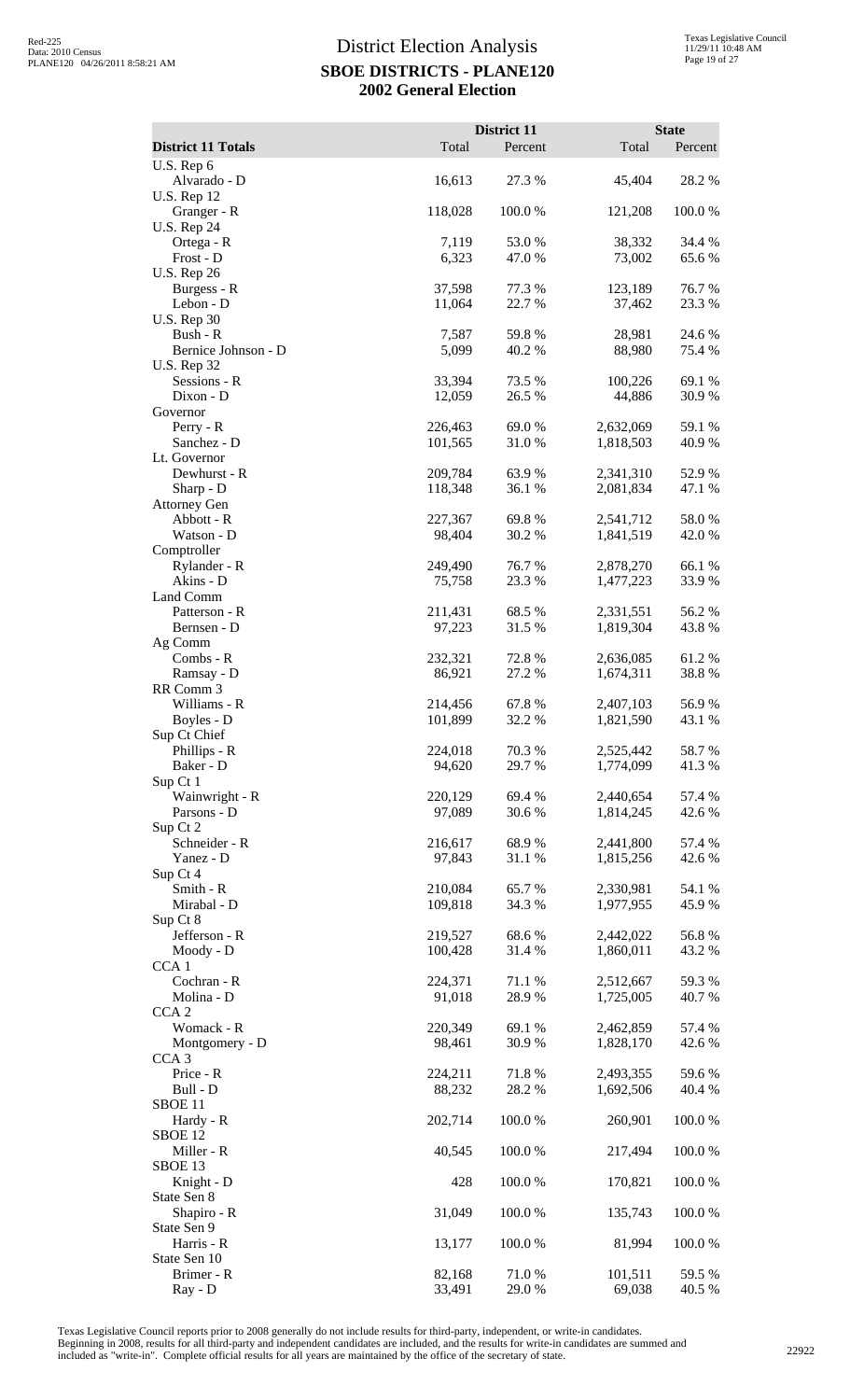|                                                       |                    | District 11      |                        | <b>State</b>     |
|-------------------------------------------------------|--------------------|------------------|------------------------|------------------|
| <b>District 11 Totals</b>                             | Total              | Percent          | Total                  | Percent          |
| U.S. Rep 6<br>Alvarado - D                            | 16,613             | 27.3 %           | 45,404                 | 28.2 %           |
| <b>U.S. Rep 12</b><br>Granger - R                     | 118,028            | 100.0%           | 121,208                | 100.0%           |
| <b>U.S. Rep 24</b><br>Ortega - R                      | 7,119              | 53.0%            | 38,332                 | 34.4 %           |
| Frost - D<br><b>U.S. Rep 26</b>                       | 6,323              | 47.0 %           | 73,002                 | 65.6%            |
| Burgess - R<br>Lebon - D                              | 37,598<br>11,064   | 77.3 %<br>22.7 % | 123,189<br>37,462      | 76.7%<br>23.3 %  |
| <b>U.S. Rep 30</b><br>Bush - R<br>Bernice Johnson - D | 7,587<br>5,099     | 59.8%<br>40.2 %  | 28,981<br>88,980       | 24.6 %<br>75.4 % |
| <b>U.S. Rep 32</b><br>Sessions - R                    | 33,394             | 73.5 %           | 100,226                | 69.1 %           |
| Dixon - D<br>Governor                                 | 12,059             | 26.5 %           | 44,886                 | 30.9%            |
| Perry - R                                             | 226,463            | 69.0%            | 2,632,069              | 59.1 %           |
| Sanchez - D<br>Lt. Governor                           | 101,565            | 31.0%            | 1,818,503              | 40.9%            |
| Dewhurst - R                                          | 209,784            | 63.9%            | 2,341,310              | 52.9%            |
| Sharp - D<br><b>Attorney Gen</b>                      | 118,348            | 36.1 %           | 2,081,834              | 47.1 %           |
| Abbott - R                                            | 227,367            | 69.8%            | 2,541,712              | 58.0%            |
| Watson - D<br>Comptroller                             | 98,404             | 30.2 %           | 1,841,519              | 42.0%            |
| Rylander - R<br>Akins - D                             | 249,490<br>75,758  | 76.7%<br>23.3 %  | 2,878,270<br>1,477,223 | 66.1%<br>33.9%   |
| Land Comm                                             |                    |                  |                        |                  |
| Patterson - R<br>Bernsen - D                          | 211,431<br>97,223  | 68.5 %<br>31.5 % | 2,331,551<br>1,819,304 | 56.2%<br>43.8%   |
| Ag Comm<br>Combs - R                                  | 232,321            | 72.8 %           | 2,636,085              | 61.2%            |
| Ramsay - D                                            | 86,921             | 27.2 %           | 1,674,311              | 38.8%            |
| RR Comm 3<br>Williams - R                             | 214,456            | 67.8%            | 2,407,103              | 56.9%            |
| Boyles - D                                            | 101,899            | 32.2 %           | 1,821,590              | 43.1 %           |
| Sup Ct Chief<br>Phillips - R                          | 224,018            | 70.3%            | 2,525,442              | 58.7 %           |
| Baker - D<br>Sup Ct 1                                 | 94,620             | 29.7%            | 1,774,099              | 41.3%            |
| Wainwright - R<br>Parsons - D                         | 220,129<br>97,089  | 69.4 %<br>30.6%  | 2,440,654<br>1,814,245 | 57.4 %<br>42.6 % |
| Sup Ct 2<br>Schneider - R                             | 216,617            | 68.9%            | 2,441,800              | 57.4 %           |
| Yanez - D<br>Sup Ct 4                                 | 97,843             | 31.1 %           | 1,815,256              | 42.6%            |
| Smith - R<br>Mirabal - D                              | 210,084<br>109,818 | 65.7%<br>34.3 %  | 2,330,981<br>1,977,955 | 54.1 %<br>45.9%  |
| Sup Ct 8<br>Jefferson - R                             | 219,527            | 68.6%            | 2,442,022              | 56.8%            |
| Moody - D<br>CCA <sub>1</sub>                         | 100,428            | 31.4 %           | 1,860,011              | 43.2 %           |
| Cochran - R                                           | 224,371            | 71.1 %           | 2,512,667              | 59.3%            |
| Molina - D<br>CCA <sub>2</sub>                        | 91,018             | 28.9%            | 1,725,005              | 40.7 %           |
| Womack - R<br>Montgomery - D                          | 220,349<br>98,461  | 69.1 %<br>30.9%  | 2,462,859<br>1,828,170 | 57.4 %<br>42.6 % |
| CCA <sub>3</sub><br>Price - R                         | 224,211            | 71.8%            | 2,493,355              | 59.6%            |
| Bull - D                                              | 88,232             | 28.2 %           | 1,692,506              | 40.4 %           |
| SBOE <sub>11</sub><br>Hardy - R                       | 202,714            | 100.0%           | 260,901                | 100.0%           |
| SBOE <sub>12</sub><br>Miller - R                      | 40,545             | 100.0%           | 217,494                | 100.0%           |
| SBOE 13<br>Knight - D                                 | 428                | 100.0%           | 170,821                | 100.0%           |
| State Sen 8<br>Shapiro - R                            | 31,049             | 100.0%           | 135,743                | 100.0%           |
| State Sen 9<br>Harris - R                             | 13,177             | 100.0%           | 81,994                 | 100.0%           |
| State Sen 10<br>Brimer - R                            | 82,168             | 71.0%            | 101,511                | 59.5 %           |
| Ray - D                                               | 33,491             | 29.0%            | 69,038                 | 40.5 %           |

Texas Legislative Council reports prior to 2008 generally do not include results for third-party, independent, or write-in candidates.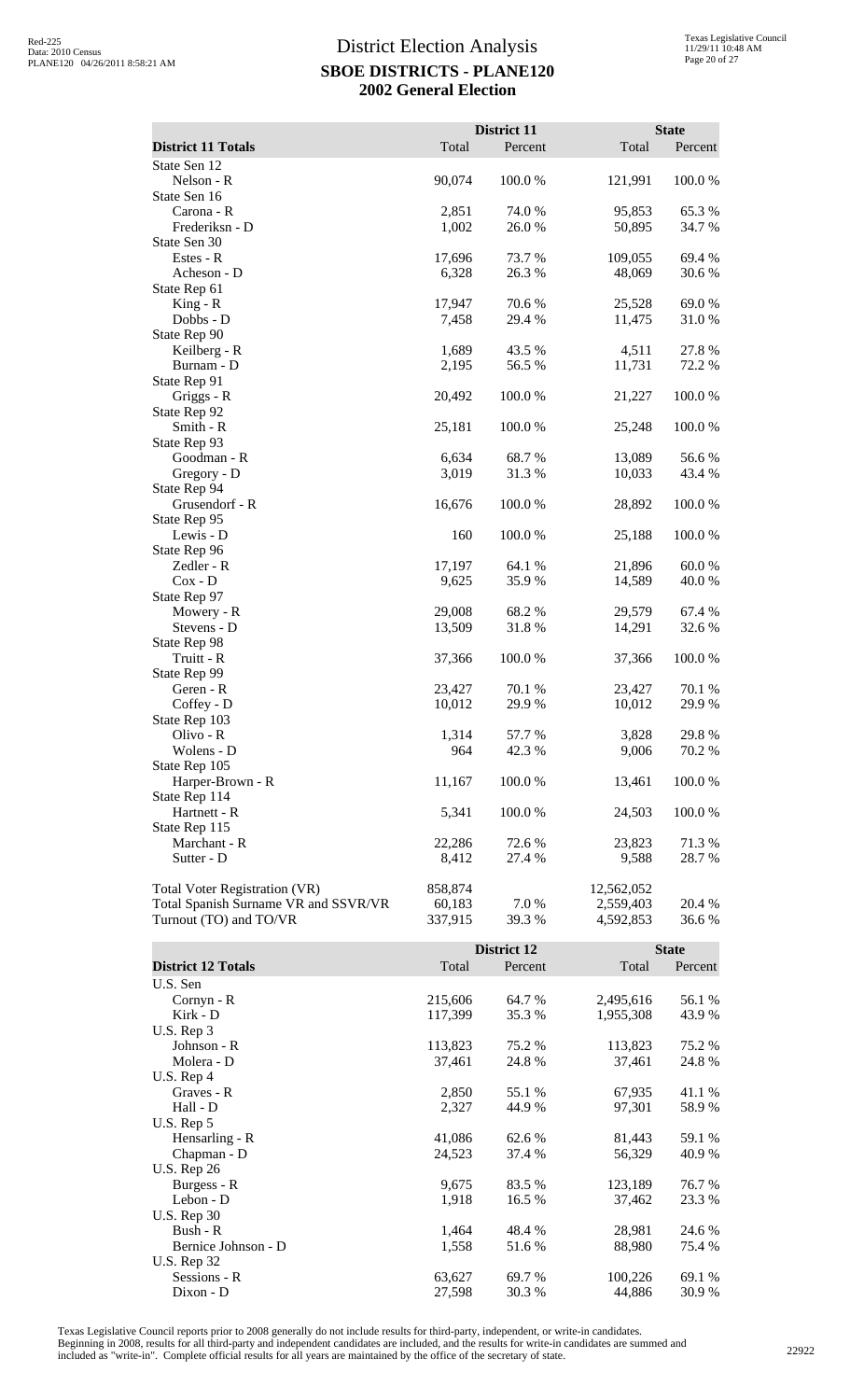|                                      |                  | District 11     |                  | <b>State</b>    |
|--------------------------------------|------------------|-----------------|------------------|-----------------|
| <b>District 11 Totals</b>            | Total            | Percent         | Total            | Percent         |
| State Sen 12                         |                  |                 |                  |                 |
| Nelson - R                           | 90,074           | 100.0%          | 121,991          | 100.0%          |
| State Sen 16                         |                  |                 |                  |                 |
| Carona - R                           | 2,851            | 74.0 %          | 95,853           | 65.3 %          |
| Frederiksn - D                       | 1,002            | 26.0%           | 50,895           | 34.7 %          |
| State Sen 30                         |                  |                 |                  |                 |
| Estes - R                            | 17,696           | 73.7 %          | 109,055          | 69.4 %          |
| Acheson - D                          | 6,328            | 26.3 %          | 48,069           | 30.6 %          |
| State Rep 61                         | 17,947           | 70.6%           |                  | 69.0%           |
| $King - R$<br>Dobbs - D              | 7,458            | 29.4 %          | 25,528<br>11,475 | 31.0 %          |
| State Rep 90                         |                  |                 |                  |                 |
| Keilberg - R                         | 1,689            | 43.5 %          | 4,511            | 27.8 %          |
| Burnam - D                           | 2,195            | 56.5 %          | 11,731           | 72.2 %          |
| State Rep 91                         |                  |                 |                  |                 |
| Griggs - R                           | 20,492           | 100.0%          | 21,227           | 100.0%          |
| State Rep 92                         |                  |                 |                  |                 |
| Smith - R                            | 25,181           | 100.0%          | 25,248           | 100.0%          |
| State Rep 93                         |                  |                 |                  |                 |
| Goodman - R                          | 6,634            | 68.7%           | 13,089           | 56.6%           |
| Gregory - D                          | 3,019            | 31.3%           | 10,033           | 43.4 %          |
| State Rep 94<br>Grusendorf - R       | 16,676           | 100.0%          |                  |                 |
| State Rep 95                         |                  |                 | 28,892           | 100.0 %         |
| Lewis - D                            | 160              | 100.0%          | 25,188           | 100.0%          |
| State Rep 96                         |                  |                 |                  |                 |
| Zedler - R                           | 17,197           | 64.1 %          | 21,896           | 60.0 %          |
| $Cox - D$                            | 9,625            | 35.9%           | 14,589           | 40.0 %          |
| State Rep 97                         |                  |                 |                  |                 |
| Mowery - R                           | 29,008           | 68.2%           | 29,579           | 67.4 %          |
| Stevens - D                          | 13,509           | 31.8%           | 14,291           | 32.6 %          |
| State Rep 98                         |                  |                 |                  |                 |
| Truitt - R                           | 37,366           | 100.0%          | 37,366           | 100.0%          |
| State Rep 99                         |                  |                 |                  |                 |
| Geren - R<br>Coffey - D              | 23,427<br>10,012 | 70.1 %<br>29.9% | 23,427<br>10,012 | 70.1 %<br>29.9% |
| State Rep 103                        |                  |                 |                  |                 |
| $O$ livo - R                         | 1,314            | 57.7 %          | 3,828            | 29.8 %          |
| Wolens - D                           | 964              | 42.3 %          | 9,006            | 70.2 %          |
| State Rep 105                        |                  |                 |                  |                 |
| Harper-Brown - R                     | 11,167           | 100.0%          | 13,461           | 100.0%          |
| State Rep 114                        |                  |                 |                  |                 |
| Hartnett - R                         | 5,341            | 100.0%          | 24,503           | 100.0%          |
| State Rep 115                        |                  |                 |                  |                 |
| Marchant - R                         | 22,286           | 72.6 %          | 23,823           | 71.3 %          |
| Sutter - D                           | 8,412            | 27.4 %          | 9,588            | 28.7 %          |
| Total Voter Registration (VR)        | 858,874          |                 | 12,562,052       |                 |
| Total Spanish Surname VR and SSVR/VR | 60,183           | 7.0%            | 2,559,403        | 20.4 %          |
| Turnout (TO) and TO/VR               | 337,915          | 39.3 %          | 4,592,853        | 36.6 %          |
|                                      |                  |                 |                  |                 |
|                                      |                  | District 12     |                  | <b>State</b>    |
| <b>District 12 Totals</b>            | Total            | Percent         | Total            | Percent         |
| U.S. Sen                             |                  |                 |                  |                 |
| Cornyn - R                           | 215,606          | 64.7 %          | 2,495,616        | 56.1 %          |
| Kirk - D                             | 117,399          | 35.3 %          | 1,955,308        | 43.9%           |
| U.S. Rep 3                           |                  |                 |                  |                 |
| Johnson - R                          | 113,823          | 75.2 %          | 113,823          | 75.2 %          |
| Molera - D                           | 37.461           | 24.8%           | 37.461           | 24.8%           |

| U.S. Rep $4$        |        |        |         |        |
|---------------------|--------|--------|---------|--------|
| Graves - R          | 2,850  | 55.1 % | 67,935  | 41.1 % |
| Hall - D            | 2,327  | 44.9 % | 97,301  | 58.9%  |
| U.S. Rep 5          |        |        |         |        |
| Hensarling - R      | 41,086 | 62.6 % | 81,443  | 59.1 % |
| Chapman - D         | 24,523 | 37.4 % | 56,329  | 40.9 % |
| U.S. Rep 26         |        |        |         |        |
| Burgess - R         | 9,675  | 83.5 % | 123,189 | 76.7 % |
| Lebon - D           | 1,918  | 16.5 % | 37,462  | 23.3 % |
| <b>U.S. Rep 30</b>  |        |        |         |        |
| Bush - $R$          | 1.464  | 48.4 % | 28,981  | 24.6 % |
| Bernice Johnson - D | 1.558  | 51.6 % | 88,980  | 75.4 % |
| U.S. Rep 32         |        |        |         |        |
| Sessions - R        | 63,627 | 69.7 % | 100,226 | 69.1 % |
| $Dixon - D$         | 27.598 | 30.3 % | 44.886  | 30.9 % |

Molera - D 37,461 24.8 % 37,461 24.8 %

Texas Legislative Council reports prior to 2008 generally do not include results for third-party, independent, or write-in candidates.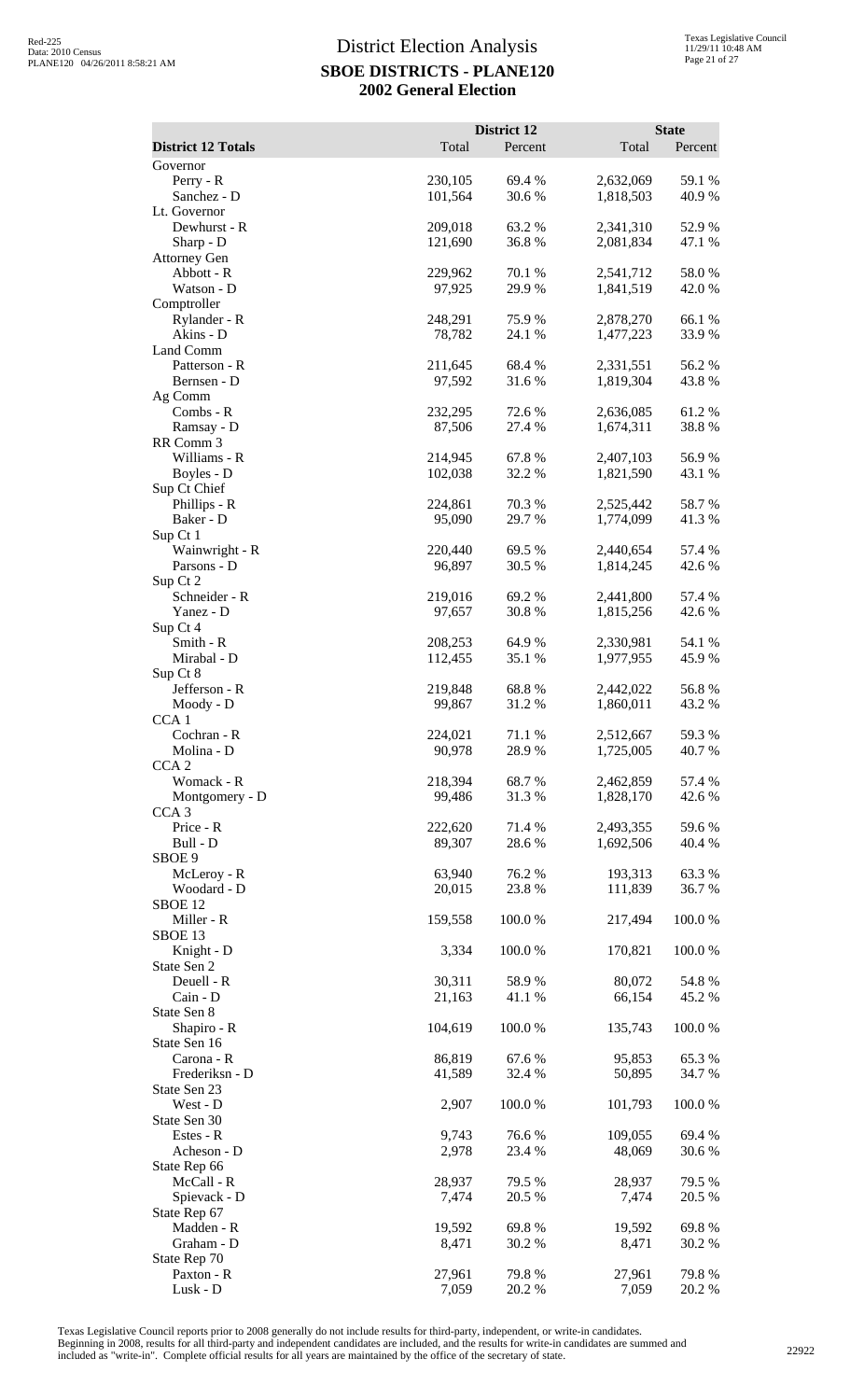|                                    |                    | District 12      |                        | <b>State</b>    |
|------------------------------------|--------------------|------------------|------------------------|-----------------|
| <b>District 12 Totals</b>          | Total              | Percent          | Total                  | Percent         |
| Governor<br>Perry - R              | 230,105            | 69.4 %           | 2,632,069              | 59.1 %          |
| Sanchez - D                        | 101,564            | 30.6%            | 1,818,503              | 40.9%           |
| Lt. Governor                       |                    |                  |                        |                 |
| Dewhurst - R<br>Sharp - D          | 209,018<br>121,690 | 63.2 %<br>36.8%  | 2,341,310<br>2,081,834 | 52.9%<br>47.1 % |
| <b>Attorney Gen</b>                |                    |                  |                        |                 |
| Abbott - R                         | 229,962            | 70.1 %           | 2,541,712              | 58.0%           |
| Watson - D                         | 97,925             | 29.9%            | 1,841,519              | 42.0 %          |
| Comptroller<br>Rylander - R        | 248,291            | 75.9%            | 2,878,270              | 66.1%           |
| Akins - D                          | 78,782             | 24.1 %           | 1,477,223              | 33.9%           |
| Land Comm                          |                    |                  |                        |                 |
| Patterson - R<br>Bernsen - D       | 211,645<br>97,592  | 68.4%<br>31.6%   | 2,331,551<br>1,819,304 | 56.2%<br>43.8 % |
| Ag Comm                            |                    |                  |                        |                 |
| Combs - R                          | 232,295            | 72.6%            | 2,636,085              | 61.2%           |
| Ramsay - D                         | 87,506             | 27.4 %           | 1,674,311              | 38.8%           |
| RR Comm 3<br>Williams - R          | 214,945            | 67.8%            | 2,407,103              | 56.9%           |
| Boyles - D                         | 102,038            | 32.2 %           | 1,821,590              | 43.1 %          |
| Sup Ct Chief                       |                    |                  |                        |                 |
| Phillips - R<br>Baker - D          | 224,861<br>95,090  | 70.3 %<br>29.7 % | 2,525,442<br>1,774,099 | 58.7%<br>41.3%  |
| Sup Ct 1                           |                    |                  |                        |                 |
| Wainwright - R                     | 220,440            | 69.5 %           | 2,440,654              | 57.4 %          |
| Parsons - D                        | 96,897             | 30.5 %           | 1,814,245              | 42.6 %          |
| Sup Ct 2<br>Schneider - R          | 219,016            | 69.2%            | 2,441,800              | 57.4 %          |
| Yanez - D                          | 97,657             | 30.8%            | 1,815,256              | 42.6 %          |
| Sup Ct 4                           |                    |                  |                        |                 |
| Smith - R                          | 208,253            | 64.9 %           | 2,330,981              | 54.1 %          |
| Mirabal - D<br>Sup Ct 8            | 112,455            | 35.1 %           | 1,977,955              | 45.9%           |
| Jefferson - R                      | 219,848            | 68.8%            | 2,442,022              | 56.8%           |
| Moody - D                          | 99,867             | 31.2 %           | 1,860,011              | 43.2 %          |
| CCA <sub>1</sub><br>Cochran - R    | 224,021            | 71.1 %           | 2,512,667              | 59.3%           |
| Molina - D                         | 90,978             | 28.9 %           | 1,725,005              | 40.7%           |
| CCA <sub>2</sub>                   |                    |                  |                        |                 |
| Womack - R                         | 218,394            | 68.7%            | 2,462,859              | 57.4 %          |
| Montgomery - D<br>CCA <sub>3</sub> | 99,486             | 31.3 %           | 1,828,170              | 42.6 %          |
| Price - R                          | 222,620            | 71.4 %           | 2,493,355              | 59.6%           |
| Bull - D                           | 89,307             | 28.6%            | 1,692,506              | 40.4 %          |
| SBOE 9<br>McLeroy - R              | 63,940             | 76.2 %           | 193,313                | 63.3%           |
| Woodard - D                        | 20,015             | 23.8 %           | 111,839                | 36.7%           |
| SBOE 12                            |                    |                  |                        |                 |
| Miller - R                         | 159,558            | 100.0%           | 217,494                | 100.0%          |
| SBOE <sub>13</sub><br>Knight - D   | 3,334              | 100.0%           | 170,821                | 100.0%          |
| State Sen 2                        |                    |                  |                        |                 |
| Deuell - R                         | 30,311             | 58.9%            | 80,072                 | 54.8%           |
| Cain - D<br>State Sen 8            | 21,163             | 41.1 %           | 66,154                 | 45.2 %          |
| Shapiro - R                        | 104,619            | 100.0 %          | 135,743                | 100.0%          |
| State Sen 16                       |                    |                  |                        |                 |
| Carona - R                         | 86,819             | 67.6%            | 95,853                 | 65.3%           |
| Frederiksn - D<br>State Sen 23     | 41,589             | 32.4 %           | 50,895                 | 34.7 %          |
| West - D                           | 2,907              | 100.0%           | 101,793                | 100.0%          |
| State Sen 30                       |                    |                  |                        |                 |
| Estes - R                          | 9,743              | 76.6%            | 109,055                | 69.4%           |
| Acheson - D<br>State Rep 66        | 2,978              | 23.4 %           | 48,069                 | 30.6%           |
| McCall - R                         | 28,937             | 79.5 %           | 28,937                 | 79.5 %          |
| Spievack - D                       | 7,474              | 20.5 %           | 7,474                  | 20.5 %          |
| State Rep 67                       |                    | 69.8%            |                        |                 |
| Madden - R<br>Graham - D           | 19,592<br>8,471    | 30.2 %           | 19,592<br>8,471        | 69.8%<br>30.2 % |
| State Rep 70                       |                    |                  |                        |                 |
| Paxton - R                         | 27,961             | 79.8%            | 27,961                 | 79.8%           |
| Lusk - D                           | 7,059              | 20.2 %           | 7,059                  | 20.2 %          |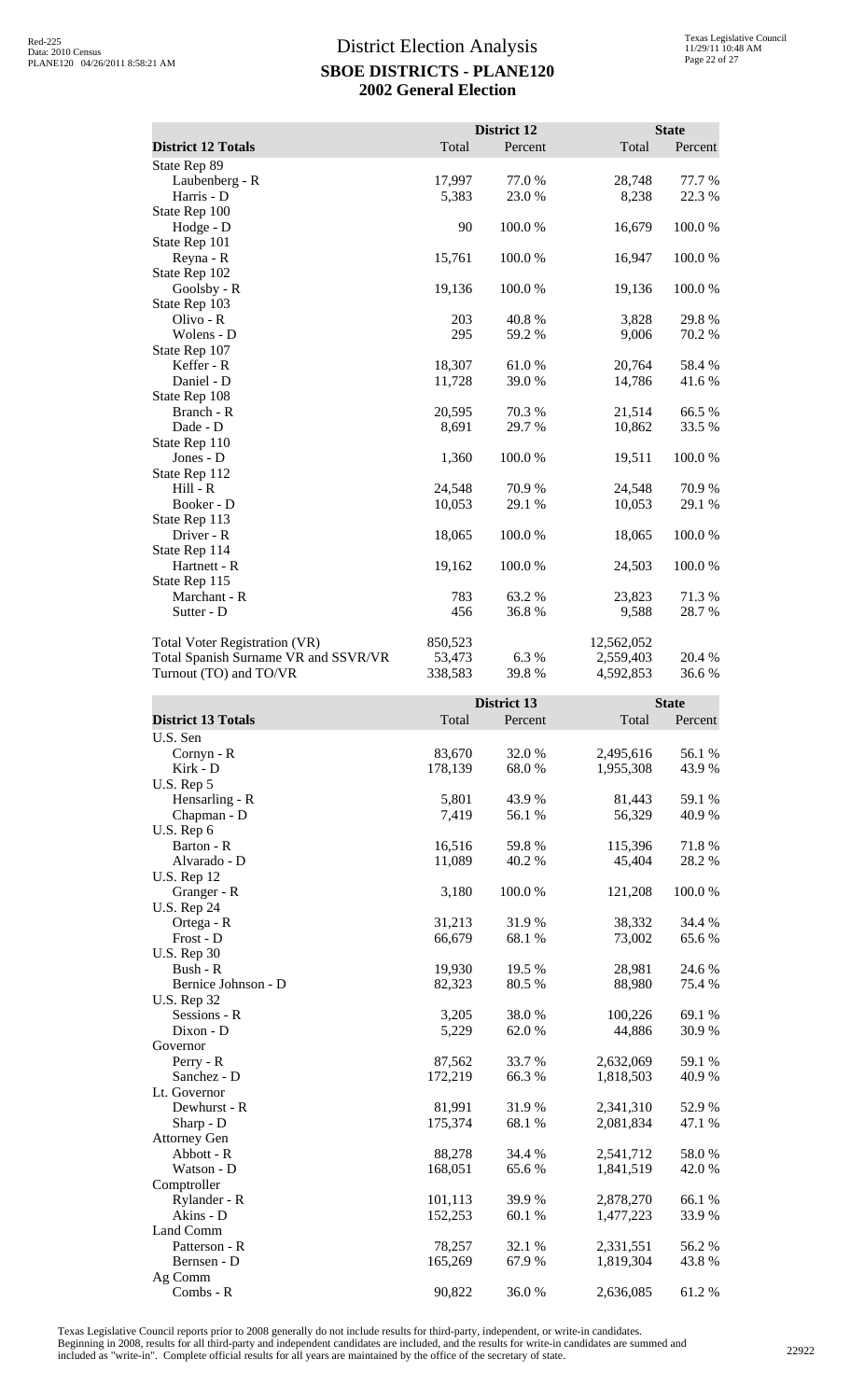|                                      |         | <b>District 12</b> |            | <b>State</b> |
|--------------------------------------|---------|--------------------|------------|--------------|
| <b>District 12 Totals</b>            | Total   | Percent            | Total      | Percent      |
| State Rep 89                         |         |                    |            |              |
| Laubenberg - R                       | 17,997  | 77.0%              | 28,748     | 77.7 %       |
| Harris - D                           | 5,383   | 23.0 %             | 8,238      | 22.3 %       |
| State Rep 100                        |         |                    |            |              |
| Hodge - D                            | 90      | 100.0%             | 16,679     | 100.0%       |
| State Rep 101                        |         |                    |            |              |
| Reyna - R                            | 15,761  | 100.0%             | 16,947     | 100.0%       |
| State Rep 102                        |         |                    |            |              |
| Goolsby - R                          | 19,136  | 100.0%             | 19,136     | 100.0%       |
| State Rep 103                        |         |                    |            |              |
| Olivo - R                            | 203     | 40.8%              | 3,828      | 29.8%        |
| Wolens - D                           | 295     | 59.2 %             | 9,006      | 70.2 %       |
| State Rep 107                        |         |                    |            |              |
| Keffer - R                           | 18,307  | 61.0%              | 20,764     | 58.4 %       |
| Daniel - D                           | 11,728  | 39.0 %             | 14,786     | 41.6 %       |
| State Rep 108                        |         |                    |            |              |
| Branch - R                           | 20,595  | 70.3%              | 21,514     | 66.5%        |
| Dade - D                             | 8,691   | 29.7%              | 10,862     | 33.5 %       |
| State Rep 110                        |         |                    |            |              |
| Jones - D                            | 1,360   | 100.0%             | 19,511     | 100.0%       |
| State Rep 112                        |         |                    |            |              |
| Hill - R                             | 24,548  | 70.9%              | 24,548     | 70.9%        |
| Booker - D                           | 10,053  | 29.1 %             | 10,053     | 29.1 %       |
| State Rep 113                        |         |                    |            |              |
| Driver - R                           | 18,065  | 100.0%             | 18,065     | 100.0%       |
| State Rep 114                        |         |                    |            |              |
| Hartnett - R                         | 19,162  | 100.0%             | 24,503     | 100.0%       |
| State Rep 115                        |         |                    |            |              |
| Marchant - R                         | 783     | 63.2%              | 23,823     | 71.3%        |
| Sutter - D                           | 456     | 36.8%              | 9,588      | 28.7%        |
| <b>Total Voter Registration (VR)</b> | 850,523 |                    | 12,562,052 |              |
| Total Spanish Surname VR and SSVR/VR | 53,473  | 6.3%               | 2,559,403  | 20.4 %       |
| Turnout (TO) and TO/VR               | 338,583 | 39.8 %             | 4,592,853  | 36.6%        |

|                           |         | <b>District 13</b> |           | <b>State</b> |
|---------------------------|---------|--------------------|-----------|--------------|
| <b>District 13 Totals</b> | Total   | Percent            | Total     | Percent      |
| U.S. Sen                  |         |                    |           |              |
| Cornyn - R                | 83,670  | 32.0 %             | 2,495,616 | 56.1 %       |
| Kirk - D                  | 178,139 | 68.0%              | 1,955,308 | 43.9 %       |
| U.S. Rep 5                |         |                    |           |              |
| Hensarling - R            | 5,801   | 43.9%              | 81,443    | 59.1 %       |
| Chapman - D               | 7,419   | 56.1 %             | 56,329    | 40.9%        |
| U.S. Rep 6                |         |                    |           |              |
| Barton - R                | 16,516  | 59.8%              | 115,396   | 71.8%        |
| Alvarado - D              | 11,089  | 40.2 %             | 45,404    | 28.2 %       |
| <b>U.S. Rep 12</b>        |         |                    |           |              |
| Granger - R               | 3,180   | 100.0%             | 121,208   | 100.0%       |
| <b>U.S. Rep 24</b>        |         |                    |           |              |
| Ortega - R                | 31,213  | 31.9%              | 38,332    | 34.4 %       |
| Frost - D                 | 66,679  | 68.1 %             | 73,002    | 65.6%        |
| <b>U.S. Rep 30</b>        |         |                    |           |              |
| Bush - R                  | 19,930  | 19.5 %             | 28,981    | 24.6 %       |
| Bernice Johnson - D       | 82,323  | 80.5 %             | 88,980    | 75.4 %       |
| <b>U.S. Rep 32</b>        |         |                    |           |              |
| Sessions - R              | 3,205   | 38.0%              | 100,226   | 69.1 %       |
| Dixon - D                 | 5,229   | 62.0 %             | 44,886    | 30.9%        |
| Governor                  |         |                    |           |              |
| Perry - R                 | 87,562  | 33.7%              | 2,632,069 | 59.1 %       |
| Sanchez - D               | 172,219 | 66.3 %             | 1,818,503 | 40.9 %       |
| Lt. Governor              |         |                    |           |              |
| Dewhurst - R              | 81,991  | 31.9%              | 2,341,310 | 52.9%        |
| Sharp - D                 | 175,374 | 68.1 %             | 2,081,834 | 47.1 %       |
| <b>Attorney Gen</b>       |         |                    |           |              |
| Abbott - R                | 88,278  | 34.4 %             | 2,541,712 | 58.0%        |
| Watson - D                | 168,051 | 65.6%              | 1,841,519 | 42.0%        |
| Comptroller               |         |                    |           |              |
| Rylander - R              | 101,113 | 39.9 %             | 2,878,270 | 66.1 %       |
| Akins - D                 | 152,253 | 60.1%              | 1,477,223 | 33.9%        |
| Land Comm                 |         |                    |           |              |
| Patterson - R             | 78,257  | 32.1 %             | 2,331,551 | 56.2%        |
| Bernsen - D               | 165,269 | 67.9%              | 1,819,304 | 43.8 %       |
| Ag Comm                   |         |                    |           |              |
| Combs - R                 | 90,822  | 36.0%              | 2,636,085 | 61.2%        |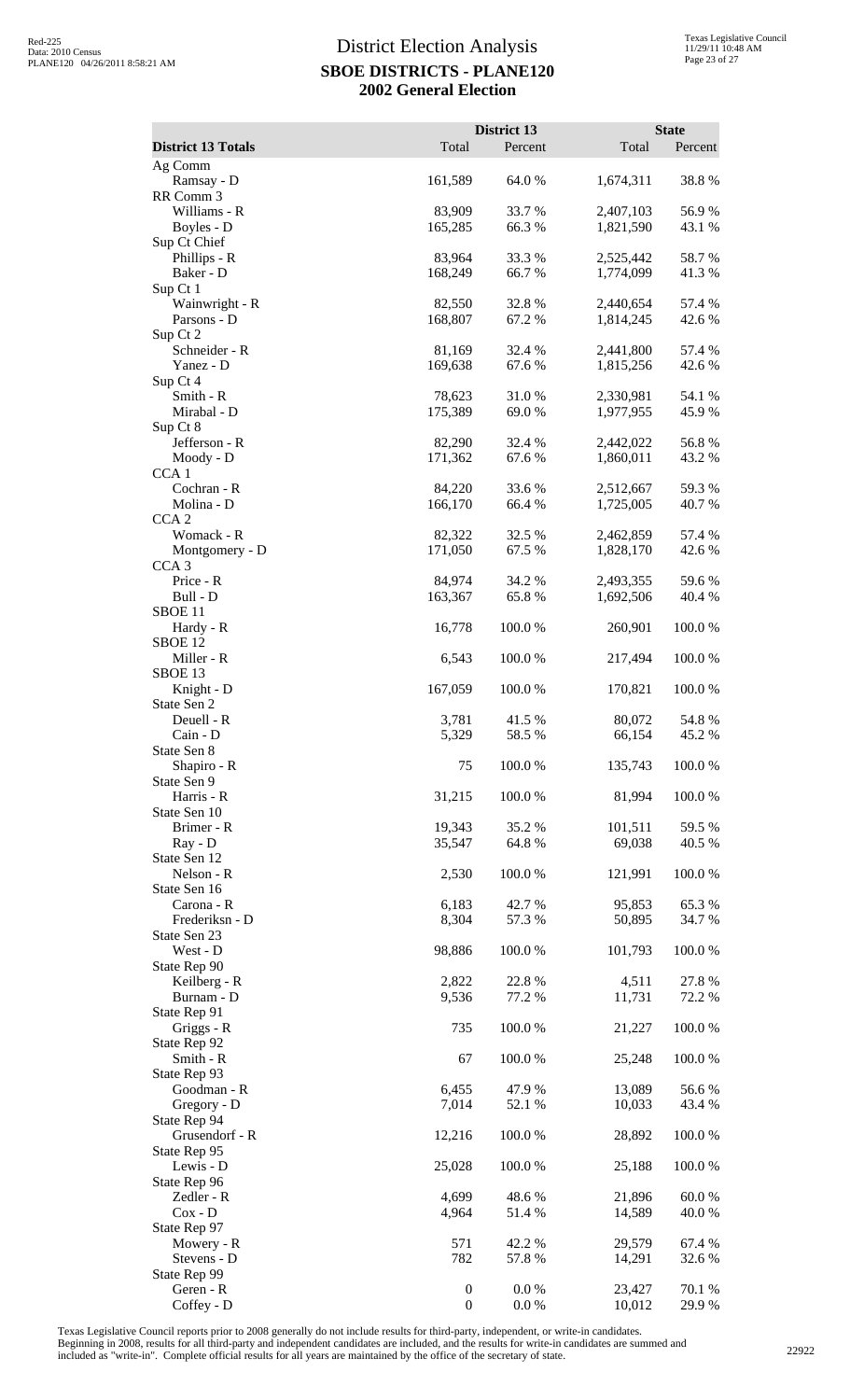| <b>District 13 Totals</b>      | Total             | District 13<br>Percent | Total                  | <b>State</b><br>Percent |
|--------------------------------|-------------------|------------------------|------------------------|-------------------------|
| Ag Comm                        |                   |                        |                        |                         |
| Ramsay - D                     | 161,589           | 64.0 %                 | 1,674,311              | 38.8%                   |
| RR Comm 3                      |                   |                        |                        |                         |
| Williams - R                   | 83,909            | 33.7%                  | 2,407,103              | 56.9%                   |
| Boyles - D<br>Sup Ct Chief     | 165,285           | 66.3 %                 | 1,821,590              | 43.1 %                  |
| Phillips - R                   | 83,964            | 33.3 %                 | 2,525,442              | 58.7%                   |
| Baker - D                      | 168,249           | 66.7%                  | 1,774,099              | 41.3 %                  |
| Sup Ct 1                       |                   |                        |                        |                         |
| Wainwright - R                 | 82,550            | 32.8 %                 | 2,440,654              | 57.4 %                  |
| Parsons - D<br>Sup Ct 2        | 168,807           | 67.2 %                 | 1,814,245              | 42.6%                   |
| Schneider - R                  | 81,169            | 32.4 %                 | 2,441,800              | 57.4 %                  |
| Yanez - D                      | 169,638           | 67.6%                  | 1,815,256              | 42.6 %                  |
| Sup Ct 4                       |                   |                        |                        |                         |
| Smith - R<br>Mirabal - D       | 78,623<br>175,389 | 31.0%<br>69.0 %        | 2,330,981<br>1,977,955 | 54.1 %<br>45.9%         |
| Sup Ct 8                       |                   |                        |                        |                         |
| Jefferson - R                  | 82,290            | 32.4 %                 | 2,442,022              | 56.8%                   |
| Moody - D                      | 171,362           | 67.6%                  | 1,860,011              | 43.2 %                  |
| CCA <sub>1</sub>               |                   |                        |                        |                         |
| Cochran - R<br>Molina - D      | 84,220<br>166,170 | 33.6 %<br>66.4 %       | 2,512,667<br>1,725,005 | 59.3%<br>40.7%          |
| CCA <sub>2</sub>               |                   |                        |                        |                         |
| Womack - R                     | 82,322            | 32.5 %                 | 2,462,859              | 57.4 %                  |
| Montgomery - D                 | 171,050           | 67.5 %                 | 1,828,170              | 42.6 %                  |
| CCA <sub>3</sub>               |                   |                        |                        |                         |
| Price - R<br>Bull - D          | 84,974<br>163,367 | 34.2 %<br>65.8%        | 2,493,355              | 59.6%<br>40.4 %         |
| SBOE <sub>11</sub>             |                   |                        | 1,692,506              |                         |
| Hardy - R                      | 16,778            | 100.0%                 | 260,901                | 100.0%                  |
| SBOE <sub>12</sub>             |                   |                        |                        |                         |
| Miller - R                     | 6,543             | 100.0%                 | 217,494                | 100.0%                  |
| SBOE 13                        |                   |                        |                        | 100.0%                  |
| Knight - D<br>State Sen 2      | 167,059           | 100.0 %                | 170,821                |                         |
| Deuell - R                     | 3,781             | 41.5 %                 | 80,072                 | 54.8%                   |
| Cain - D                       | 5,329             | 58.5 %                 | 66,154                 | 45.2 %                  |
| State Sen 8                    |                   |                        |                        |                         |
| Shapiro - R                    | 75                | 100.0%                 | 135,743                | 100.0%                  |
| State Sen 9<br>Harris - R      | 31,215            | 100.0%                 | 81,994                 | 100.0%                  |
| State Sen 10                   |                   |                        |                        |                         |
| Brimer - R                     | 19,343            | 35.2%                  | 101,511                | 59.5 %                  |
| Ray - D                        | 35,547            | 64.8%                  | 69,038                 | 40.5 %                  |
| State Sen 12<br>Nelson - R     | 2,530             | 100.0%                 | 121,991                | 100.0%                  |
| State Sen 16                   |                   |                        |                        |                         |
| Carona - R                     | 6,183             | 42.7 %                 | 95,853                 | 65.3%                   |
| Frederiksn - D                 | 8,304             | 57.3 %                 | 50,895                 | 34.7 %                  |
| State Sen 23                   |                   |                        |                        |                         |
| West - D<br>State Rep 90       | 98,886            | 100.0%                 | 101,793                | 100.0%                  |
| Keilberg - R                   | 2,822             | 22.8 %                 | 4,511                  | 27.8 %                  |
| Burnam - D                     | 9,536             | 77.2 %                 | 11,731                 | 72.2 %                  |
| State Rep 91                   |                   |                        |                        |                         |
| Griggs - R                     | 735               | 100.0%                 | 21,227                 | 100.0%                  |
| State Rep 92<br>Smith - R      | 67                | 100.0%                 | 25,248                 | 100.0%                  |
| State Rep 93                   |                   |                        |                        |                         |
| Goodman - R                    | 6,455             | 47.9%                  | 13,089                 | 56.6%                   |
| Gregory - D                    | 7,014             | 52.1 %                 | 10,033                 | 43.4 %                  |
| State Rep 94                   |                   |                        |                        |                         |
| Grusendorf - R<br>State Rep 95 | 12,216            | 100.0%                 | 28,892                 | 100.0%                  |
| Lewis - D                      | 25,028            | 100.0%                 | 25,188                 | 100.0%                  |
| State Rep 96                   |                   |                        |                        |                         |
| Zedler - R                     | 4,699             | 48.6%                  | 21,896                 | 60.0%                   |
| $Cox - D$                      | 4,964             | 51.4 %                 | 14,589                 | 40.0%                   |
| State Rep 97<br>Mowery - R     | 571               | 42.2 %                 | 29,579                 | 67.4 %                  |
| Stevens - D                    | 782               | 57.8 %                 | 14,291                 | 32.6 %                  |
| State Rep 99                   |                   |                        |                        |                         |
| Geren - R                      | $\boldsymbol{0}$  | 0.0 %                  | 23,427                 | 70.1 %                  |
| Coffey - D                     | $\boldsymbol{0}$  | 0.0 %                  | 10,012                 | 29.9%                   |

Texas Legislative Council reports prior to 2008 generally do not include results for third-party, independent, or write-in candidates.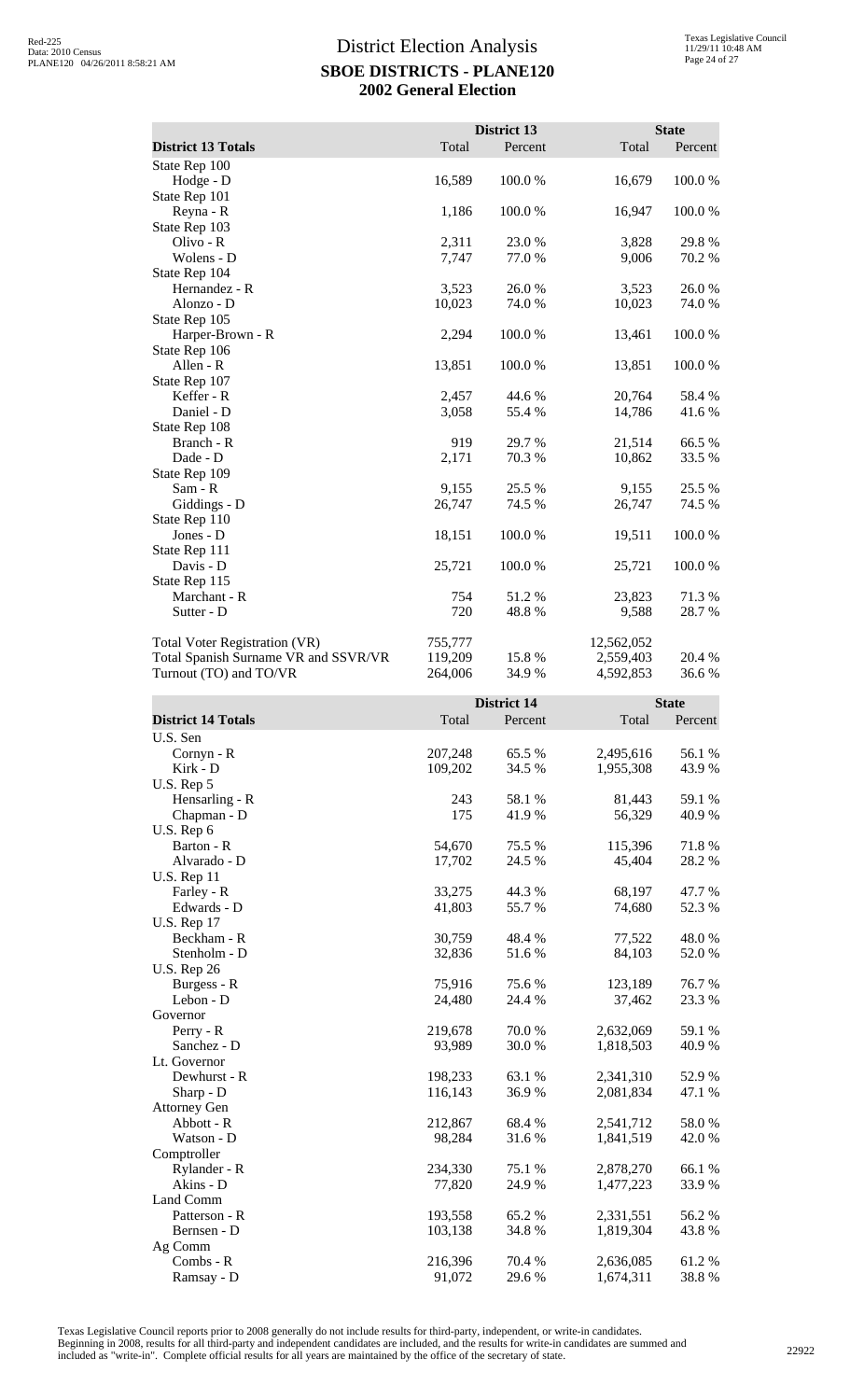|                                      |         | District 13 |            | <b>State</b> |
|--------------------------------------|---------|-------------|------------|--------------|
| <b>District 13 Totals</b>            | Total   | Percent     | Total      | Percent      |
| State Rep 100                        |         |             |            |              |
| Hodge - D                            | 16,589  | 100.0%      | 16,679     | 100.0%       |
| State Rep 101                        |         |             |            |              |
| Reyna - R                            | 1,186   | 100.0%      | 16,947     | 100.0%       |
| State Rep 103                        |         |             |            |              |
| Olivo - R                            | 2,311   | 23.0 %      | 3,828      | 29.8%        |
| Wolens - D                           | 7,747   | 77.0 %      | 9,006      | 70.2 %       |
| State Rep 104                        |         |             |            |              |
| Hernandez - R                        | 3,523   | 26.0%       | 3,523      | 26.0%        |
| Alonzo - D                           | 10,023  | 74.0 %      | 10,023     | 74.0%        |
| State Rep 105                        |         |             |            |              |
| Harper-Brown - R                     | 2,294   | 100.0%      | 13,461     | 100.0%       |
| State Rep 106                        |         |             |            |              |
| Allen - R                            | 13,851  | 100.0 %     | 13,851     | 100.0%       |
| State Rep 107                        |         |             |            |              |
| Keffer - R                           | 2,457   | 44.6 %      | 20,764     | 58.4 %       |
| Daniel - D                           | 3,058   | 55.4 %      | 14,786     | 41.6 %       |
| State Rep 108                        |         |             |            |              |
| Branch - R                           | 919     | 29.7 %      | 21,514     | 66.5%        |
| Dade - D                             | 2,171   | 70.3 %      | 10,862     | 33.5 %       |
| State Rep 109                        |         |             |            |              |
| Sam - R                              | 9,155   | 25.5 %      | 9,155      | 25.5 %       |
| Giddings - D                         | 26,747  | 74.5 %      | 26,747     | 74.5 %       |
| State Rep 110                        |         |             |            |              |
| Jones - D                            | 18,151  | 100.0%      | 19,511     | 100.0%       |
| State Rep 111                        |         |             |            |              |
| Davis - D                            | 25,721  | 100.0%      | 25,721     | 100.0%       |
| State Rep 115                        |         |             |            |              |
| Marchant - R                         | 754     | 51.2%       | 23,823     | 71.3%        |
| Sutter - D                           | 720     | 48.8%       | 9,588      | 28.7%        |
| <b>Total Voter Registration (VR)</b> | 755,777 |             | 12,562,052 |              |
| Total Spanish Surname VR and SSVR/VR | 119,209 | 15.8 %      | 2,559,403  | 20.4 %       |
| Turnout (TO) and TO/VR               | 264,006 | 34.9 %      | 4,592,853  | 36.6%        |

|                           |         | <b>District 14</b> |           | <b>State</b> |
|---------------------------|---------|--------------------|-----------|--------------|
| <b>District 14 Totals</b> | Total   | Percent            | Total     | Percent      |
| U.S. Sen                  |         |                    |           |              |
| Cornyn - R                | 207,248 | 65.5 %             | 2,495,616 | 56.1 %       |
| Kirk - D                  | 109,202 | 34.5 %             | 1,955,308 | 43.9%        |
| U.S. Rep 5                |         |                    |           |              |
| Hensarling - R            | 243     | 58.1 %             | 81,443    | 59.1 %       |
| Chapman - D               | 175     | 41.9%              | 56,329    | 40.9 %       |
| U.S. Rep 6                |         |                    |           |              |
| Barton - R                | 54,670  | 75.5 %             | 115,396   | 71.8%        |
| Alvarado - D              | 17,702  | 24.5 %             | 45,404    | 28.2%        |
| <b>U.S. Rep 11</b>        |         |                    |           |              |
| Farley - R                | 33,275  | 44.3 %             | 68,197    | 47.7 %       |
| Edwards - D               | 41,803  | 55.7%              | 74,680    | 52.3 %       |
| <b>U.S. Rep 17</b>        |         |                    |           |              |
| Beckham - R               | 30,759  | 48.4 %             | 77,522    | 48.0%        |
| Stenholm - D              | 32,836  | 51.6%              | 84,103    | 52.0%        |
| <b>U.S. Rep 26</b>        |         |                    |           |              |
| Burgess - R               | 75,916  | 75.6%              | 123,189   | 76.7%        |
| Lebon - D                 | 24,480  | 24.4 %             | 37,462    | 23.3 %       |
| Governor                  |         |                    |           |              |
| Perry - R                 | 219,678 | 70.0%              | 2,632,069 | 59.1 %       |
| Sanchez - D               | 93,989  | 30.0%              | 1,818,503 | 40.9%        |
| Lt. Governor              |         |                    |           |              |
| Dewhurst - R              | 198,233 | 63.1 %             | 2,341,310 | 52.9 %       |
| Sharp - D                 | 116,143 | 36.9%              | 2,081,834 | 47.1 %       |
| <b>Attorney Gen</b>       |         |                    |           |              |
| Abbott - R                | 212,867 | 68.4%              | 2,541,712 | 58.0%        |
| Watson - D                | 98,284  | 31.6 %             | 1,841,519 | 42.0%        |
| Comptroller               |         |                    |           |              |
| Rylander - R              | 234,330 | 75.1 %             | 2,878,270 | 66.1%        |
| Akins - D                 | 77,820  | 24.9 %             | 1,477,223 | 33.9%        |
| Land Comm                 |         |                    |           |              |
| Patterson - R             | 193,558 | 65.2 %             | 2,331,551 | 56.2%        |
| Bernsen - D               | 103,138 | 34.8%              | 1,819,304 | 43.8%        |
| Ag Comm                   |         |                    |           |              |
| Combs - R                 | 216,396 | 70.4 %             | 2,636,085 | 61.2%        |
| Ramsay - D                | 91,072  | 29.6 %             | 1,674,311 | 38.8%        |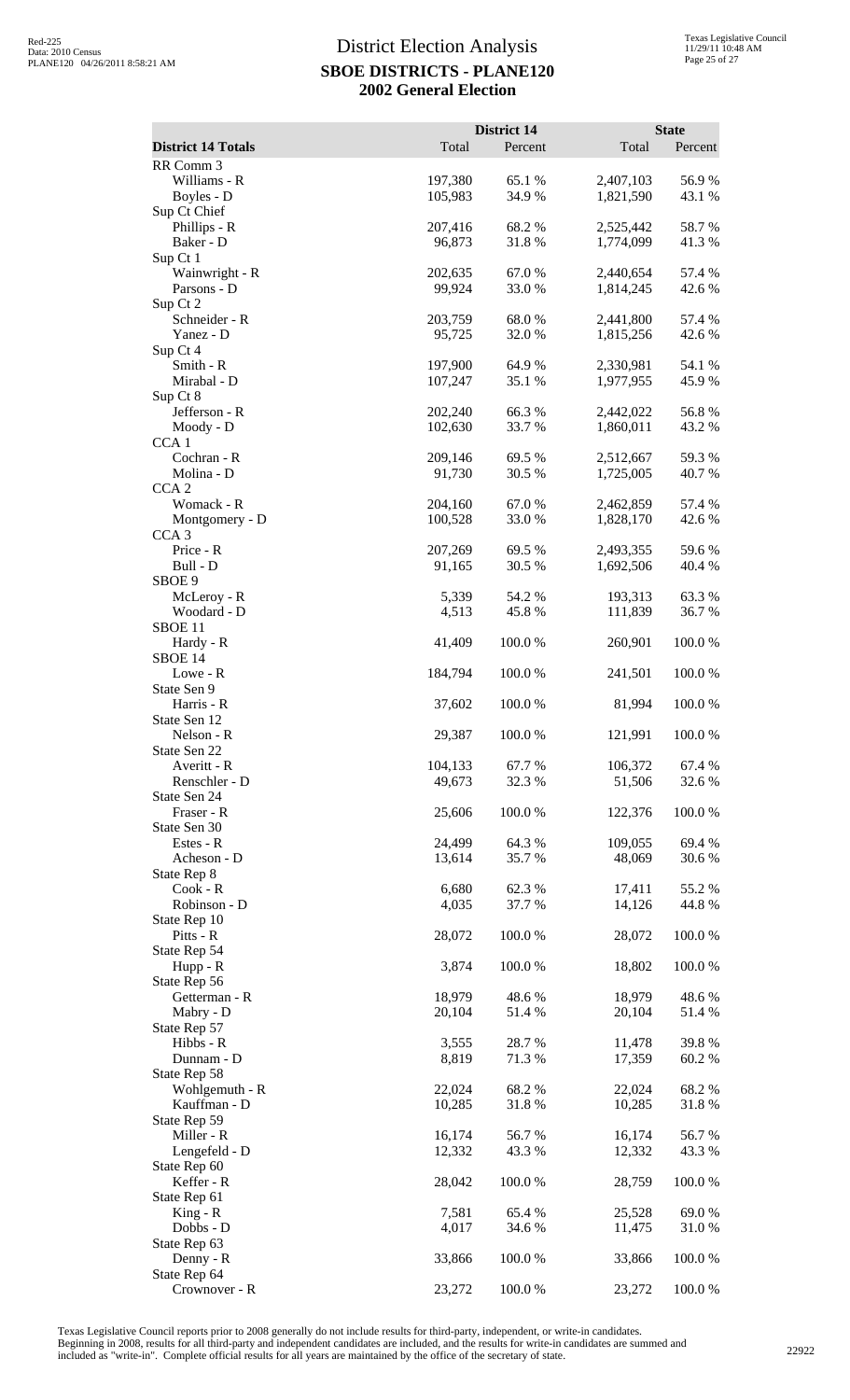|                                                  |                    | District 14       |                        | <b>State</b>      |
|--------------------------------------------------|--------------------|-------------------|------------------------|-------------------|
| <b>District 14 Totals</b><br>RR Comm 3           | Total              | Percent           | Total                  | Percent           |
| Williams - R<br>Boyles - D                       | 197,380<br>105,983 | 65.1 %<br>34.9%   | 2,407,103<br>1,821,590 | 56.9%<br>43.1 %   |
| Sup Ct Chief<br>Phillips - R<br>Baker - D        | 207,416<br>96,873  | 68.2%<br>31.8%    | 2,525,442<br>1,774,099 | 58.7%<br>41.3%    |
| Sup Ct 1<br>Wainwright - R<br>Parsons - D        | 202,635<br>99,924  | 67.0%<br>33.0%    | 2,440,654<br>1,814,245 | 57.4 %<br>42.6 %  |
| Sup Ct 2<br>Schneider - R<br>Yanez - D           | 203,759<br>95,725  | 68.0%<br>32.0%    | 2,441,800<br>1,815,256 | 57.4 %<br>42.6 %  |
| Sup Ct 4<br>Smith - R<br>Mirabal - D             | 197,900<br>107,247 | 64.9%<br>35.1 %   | 2,330,981<br>1,977,955 | 54.1 %<br>45.9 %  |
| Sup Ct 8<br>Jefferson - R<br>Moody - D           | 202,240<br>102,630 | 66.3%<br>33.7%    | 2,442,022<br>1,860,011 | 56.8%<br>43.2 %   |
| CCA <sub>1</sub><br>Cochran - R<br>Molina - D    | 209,146<br>91,730  | 69.5 %<br>30.5 %  | 2,512,667<br>1,725,005 | 59.3%<br>40.7%    |
| CCA <sub>2</sub><br>Womack - R<br>Montgomery - D | 204,160<br>100,528 | 67.0%<br>33.0%    | 2,462,859<br>1,828,170 | 57.4 %<br>42.6 %  |
| CCA <sub>3</sub><br>Price - R<br>Bull - D        | 207,269<br>91,165  | 69.5 %<br>30.5 %  | 2,493,355<br>1,692,506 | 59.6%<br>40.4 %   |
| SBOE 9<br>McLeroy - R<br>Woodard - D             | 5,339<br>4,513     | 54.2 %<br>45.8%   | 193,313<br>111,839     | 63.3%<br>36.7%    |
| SBOE <sub>11</sub><br>Hardy - R<br>SBOE 14       | 41,409             | 100.0%            | 260,901                | 100.0%            |
| Lowe - R<br>State Sen 9                          | 184,794            | 100.0%            | 241,501                | 100.0%            |
| Harris - R<br>State Sen 12<br>Nelson - R         | 37,602<br>29,387   | 100.0 %<br>100.0% | 81,994<br>121,991      | 100.0 %<br>100.0% |
| State Sen 22<br>Averitt - R<br>Renschler - D     | 104,133<br>49,673  | 67.7%<br>32.3 %   | 106,372<br>51,506      | 67.4 %<br>32.6 %  |
| State Sen 24<br>Fraser - R<br>State Sen 30       | 25,606             | 100.0%            | 122,376                | 100.0%            |
| Estes - R<br>Acheson - D<br>State Rep 8          | 24,499<br>13,614   | 64.3%<br>35.7%    | 109,055<br>48,069      | 69.4%<br>30.6%    |
| Cook - R<br>Robinson - D<br>State Rep 10         | 6,680<br>4,035     | 62.3 %<br>37.7 %  | 17,411<br>14,126       | 55.2 %<br>44.8%   |
| Pitts - R<br>State Rep 54<br>$Hupp - R$          | 28,072<br>3,874    | 100.0%<br>100.0%  | 28,072<br>18,802       | 100.0%<br>100.0%  |
| State Rep 56<br>Getterman - R                    | 18,979             | 48.6%             | 18,979                 | 48.6%             |
| Mabry - D<br>State Rep 57<br>Hibbs - R           | 20,104<br>3,555    | 51.4%<br>28.7%    | 20,104<br>11,478       | 51.4 %<br>39.8%   |
| Dunnam - D<br>State Rep 58<br>Wohlgemuth - R     | 8,819<br>22,024    | 71.3%<br>68.2%    | 17,359<br>22,024       | 60.2%<br>68.2%    |
| Kauffman - D<br>State Rep 59<br>Miller - R       | 10,285<br>16,174   | 31.8%<br>56.7%    | 10,285<br>16,174       | 31.8%<br>56.7%    |
| Lengefeld - D<br>State Rep 60<br>Keffer - R      | 12,332<br>28,042   | 43.3 %<br>100.0%  | 12,332<br>28,759       | 43.3 %<br>100.0%  |
| State Rep 61<br>$King - R$                       | 7,581              | 65.4 %            | 25,528                 | 69.0%             |
| Dobbs - D<br>State Rep 63<br>Denny - R           | 4,017<br>33,866    | 34.6 %<br>100.0%  | 11,475<br>33,866       | 31.0%<br>100.0%   |
| State Rep 64<br>Crownover - R                    | 23,272             | 100.0%            | 23,272                 | 100.0%            |

Texas Legislative Council reports prior to 2008 generally do not include results for third-party, independent, or write-in candidates.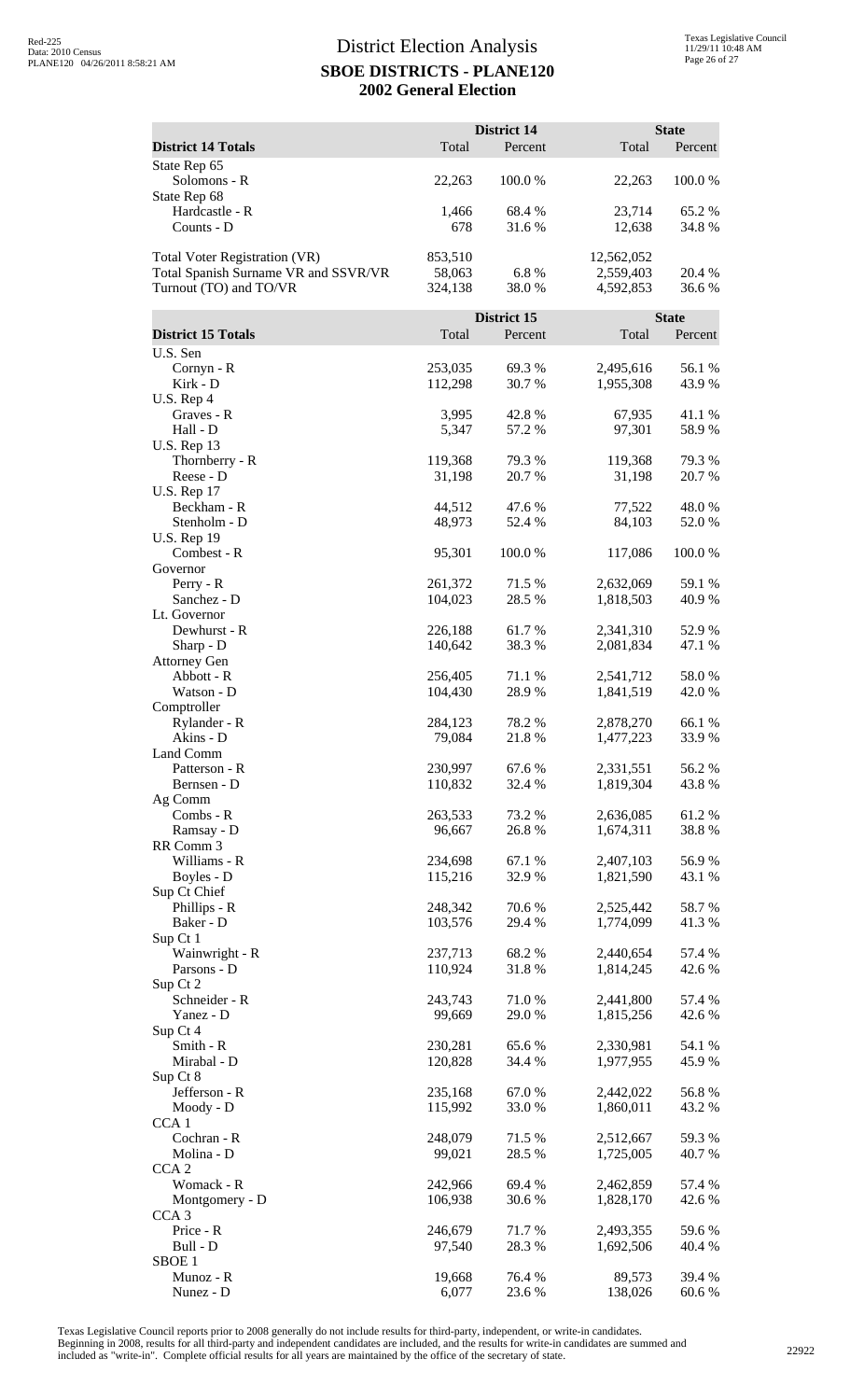|                                              |                    | District 14     |                        | <b>State</b>     |
|----------------------------------------------|--------------------|-----------------|------------------------|------------------|
| <b>District 14 Totals</b>                    | Total              | Percent         | Total                  | Percent          |
| State Rep 65<br>Solomons - R<br>State Rep 68 | 22,263             | 100.0%          | 22,263                 | 100.0%           |
| Hardcastle - R                               | 1,466              | 68.4 %          | 23,714                 | 65.2%            |
| Counts - D                                   | 678                | 31.6 %          | 12,638                 | 34.8%            |
| <b>Total Voter Registration (VR)</b>         | 853,510            |                 | 12,562,052             |                  |
| Total Spanish Surname VR and SSVR/VR         | 58,063             | 6.8%            | 2,559,403              | 20.4 %           |
| Turnout (TO) and TO/VR                       | 324,138            | 38.0%           | 4,592,853              | 36.6%            |
|                                              |                    | District 15     |                        | <b>State</b>     |
| <b>District 15 Totals</b>                    | Total              | Percent         | Total                  | Percent          |
| U.S. Sen                                     |                    |                 |                        |                  |
| Cornyn - R<br>Kirk - D                       | 253,035<br>112,298 | 69.3%<br>30.7%  | 2,495,616<br>1,955,308 | 56.1 %<br>43.9 % |
| U.S. Rep 4                                   |                    |                 |                        |                  |
| Graves - R                                   | 3,995              | 42.8%           | 67,935                 | 41.1%            |
| Hall - D                                     | 5,347              | 57.2 %          | 97,301                 | 58.9%            |
| <b>U.S. Rep 13</b><br>Thornberry - R         | 119,368            | 79.3 %          | 119,368                | 79.3 %           |
| Reese - D                                    | 31,198             | 20.7 %          | 31,198                 | 20.7 %           |
| <b>U.S. Rep 17</b>                           |                    |                 |                        |                  |
| Beckham - R                                  | 44,512             | 47.6 %          | 77,522                 | 48.0%            |
| Stenholm - D<br><b>U.S. Rep 19</b>           | 48,973             | 52.4 %          | 84,103                 | 52.0 %           |
| Combest - R                                  | 95,301             | 100.0%          | 117,086                | 100.0%           |
| Governor                                     |                    |                 |                        |                  |
| $Perry - R$                                  | 261,372            | 71.5 %          | 2,632,069              | 59.1 %           |
| Sanchez - D<br>Lt. Governor                  | 104,023            | 28.5 %          | 1,818,503              | 40.9%            |
| Dewhurst - R                                 | 226,188            | 61.7%           | 2,341,310              | 52.9%            |
| Sharp - D                                    | 140,642            | 38.3%           | 2,081,834              | 47.1 %           |
| <b>Attorney Gen</b><br>Abbott - R            | 256,405            | 71.1 %          | 2,541,712              | 58.0%            |
| Watson - D                                   | 104,430            | 28.9%           | 1,841,519              | 42.0 %           |
| Comptroller                                  |                    |                 |                        |                  |
| Rylander - R                                 | 284,123            | 78.2 %          | 2,878,270              | 66.1 %           |
| Akins - D<br>Land Comm                       | 79,084             | 21.8%           | 1,477,223              | 33.9%            |
| Patterson - R                                | 230,997            | 67.6%           | 2,331,551              | 56.2%            |
| Bernsen - D                                  | 110,832            | 32.4 %          | 1,819,304              | 43.8%            |
| Ag Comm                                      |                    |                 |                        |                  |
| Combs - R<br>Ramsay - D                      | 263,533<br>96,667  | 73.2 %<br>26.8% | 2,636,085<br>1,674,311 | 61.2%<br>38.8%   |
| RR Comm 3                                    |                    |                 |                        |                  |
| Williams - R                                 | 234,698            | 67.1 %          | 2,407,103              | 56.9%            |
| Boyles - D<br>Sup Ct Chief                   | 115,216            | 32.9%           | 1,821,590              | 43.1 %           |
| Phillips - R                                 | 248,342            | 70.6%           | 2,525,442              | 58.7%            |
| Baker - D                                    | 103,576            | 29.4 %          | 1,774,099              | 41.3%            |
| Sup Ct 1                                     |                    |                 |                        |                  |
| Wainwright - R<br>Parsons - D                | 237,713<br>110,924 | 68.2%<br>31.8%  | 2,440,654<br>1,814,245 | 57.4 %<br>42.6 % |
| Sup Ct 2                                     |                    |                 |                        |                  |
| Schneider - R                                | 243,743            | 71.0%           | 2,441,800              | 57.4 %           |
| Yanez - D<br>Sup Ct 4                        | 99,669             | 29.0 %          | 1,815,256              | 42.6 %           |
| Smith - R                                    | 230,281            | 65.6%           | 2,330,981              | 54.1 %           |
| Mirabal - D                                  | 120,828            | 34.4 %          | 1,977,955              | 45.9%            |
| Sup Ct 8                                     |                    |                 |                        |                  |
| Jefferson - R<br>Moody - D                   | 235,168<br>115,992 | 67.0%<br>33.0%  | 2,442,022<br>1,860,011 | 56.8%<br>43.2 %  |
| CCA <sub>1</sub>                             |                    |                 |                        |                  |
| Cochran - R                                  | 248,079            | 71.5 %          | 2,512,667              | 59.3 %           |
| Molina - D<br>CCA <sub>2</sub>               | 99,021             | 28.5 %          | 1,725,005              | 40.7%            |
| Womack - R                                   | 242,966            | 69.4 %          | 2,462,859              | 57.4 %           |
| Montgomery - D                               | 106,938            | 30.6%           | 1,828,170              | 42.6 %           |
| CCA <sub>3</sub>                             |                    |                 |                        |                  |
| Price - R<br>Bull - D                        | 246,679<br>97,540  | 71.7%<br>28.3%  | 2,493,355<br>1,692,506 | 59.6%<br>40.4 %  |
| SBOE <sub>1</sub>                            |                    |                 |                        |                  |
| Munoz - R                                    | 19,668             | 76.4 %          | 89,573                 | 39.4 %           |
| Nunez - D                                    | 6,077              | 23.6 %          | 138,026                | 60.6%            |